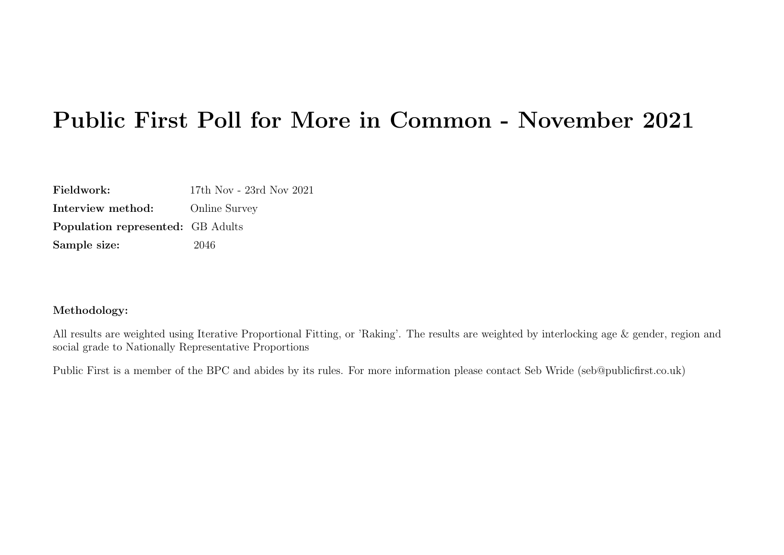# Public First Poll for More in Common - November 2021

| Fieldwork:                               | 17th Nov - 23rd Nov 2021 |
|------------------------------------------|--------------------------|
| Interview method:                        | <b>Online Survey</b>     |
| <b>Population represented:</b> GB Adults |                          |
| Sample size:                             | 2046                     |

#### Methodology:

All results are weighted using Iterative Proportional Fitting, or 'Raking'. The results are weighted by interlocking age & gender, region and social grade to Nationally Representative Proportions

Public First is a member of the BPC and abides by its rules. For more information please contact Seb Wride (seb@publicfirst.co.uk)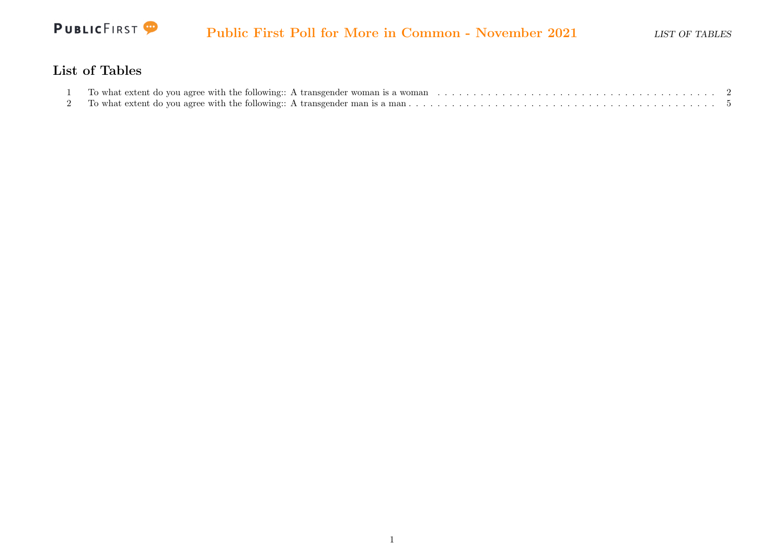

#### List of Tables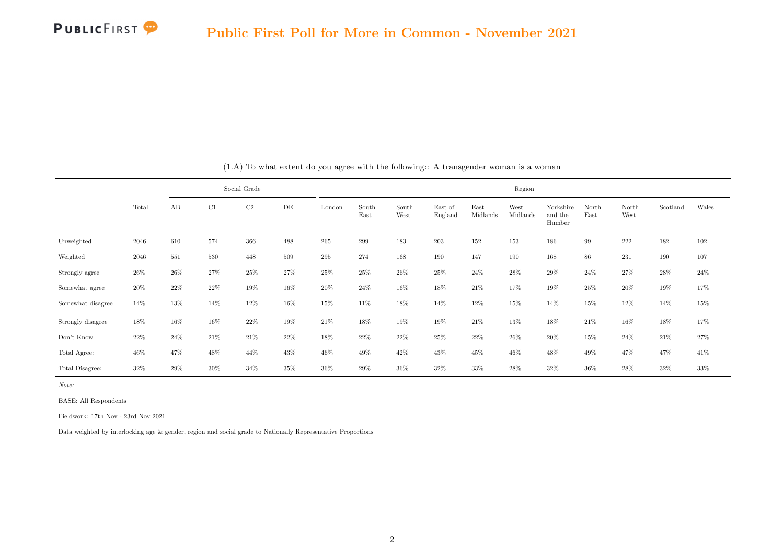|                   |       |     |     | Social Grade   |     | Region |               |               |                    |                  |                  |                                |               |               |          |        |  |  |
|-------------------|-------|-----|-----|----------------|-----|--------|---------------|---------------|--------------------|------------------|------------------|--------------------------------|---------------|---------------|----------|--------|--|--|
|                   | Total | AB  | C1  | C <sub>2</sub> | DE  | London | South<br>East | South<br>West | East of<br>England | East<br>Midlands | West<br>Midlands | Yorkshire<br>and the<br>Humber | North<br>East | North<br>West | Scotland | Wales  |  |  |
| Unweighted        | 2046  | 610 | 574 | 366            | 488 | 265    | 299           | 183           | 203                | 152              | 153              | 186                            | 99            | 222           | 182      | 102    |  |  |
| Weighted          | 2046  | 551 | 530 | 448            | 509 | 295    | 274           | 168           | 190                | 147              | 190              | 168                            | 86            | 231           | 190      | 107    |  |  |
| Strongly agree    | 26%   | 26% | 27% | 25%            | 27% | 25%    | 25%           | $26\%$        | 25%                | $24\%$           | 28%              | 29%                            | 24%           | 27%           | 28%      | $24\%$ |  |  |
| Somewhat agree    | 20%   | 22% | 22% | 19%            | 16% | 20%    | 24%           | 16%           | 18%                | 21%              | 17%              | 19%                            | 25%           | 20%           | 19%      | 17%    |  |  |
| Somewhat disagree | 14%   | 13% | 14% | 12%            | 16% | 15%    | 11%           | 18%           | 14%                | 12%              | 15%              | 14%                            | 15%           | 12%           | 14%      | 15%    |  |  |
| Strongly disagree | 18%   | 16% | 16% | 22%            | 19% | 21%    | 18%           | 19%           | 19%                | 21%              | 13%              | 18%                            | 21%           | 16%           | 18%      | 17%    |  |  |
| Don't Know        | 22%   | 24% | 21% | 21%            | 22% | 18%    | 22%           | 22%           | 25%                | 22%              | 26%              | 20%                            | 15%           | 24%           | 21%      | 27%    |  |  |
| Total Agree:      | 46%   | 47% | 48% | 44%            | 43% | 46%    | 49%           | 42%           | 43%                | 45%              | 46%              | 48%                            | 49%           | 47%           | 47%      | 41%    |  |  |
| Total Disagree:   | 32%   | 29% | 30% | 34%            | 35% | 36%    | 29%           | 36%           | 32%                | 33%              | 28%              | 32%                            | 36%           | 28%           | 32%      | 33%    |  |  |

(1.A) To what extent do you agree with the following:: A transgender woman is a woman

Note:

BASE: All Respondents

Fieldwork: 17th Nov - 23rd Nov 2021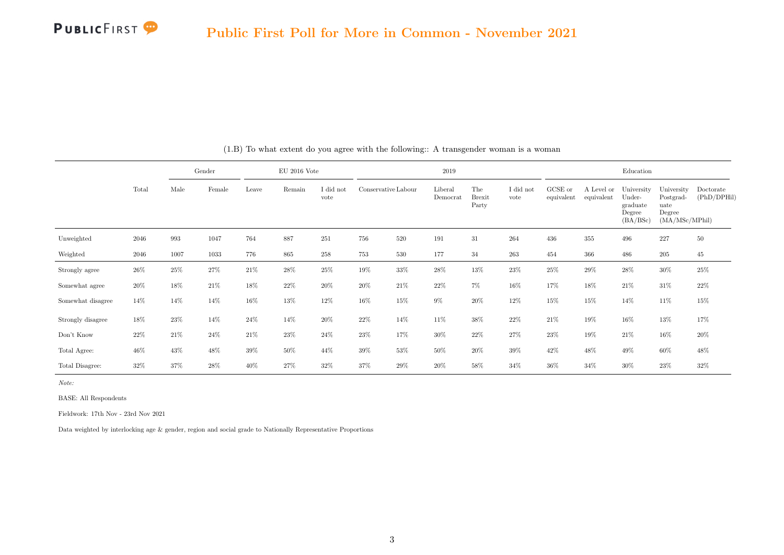

|                   |        |                    |        | Gender |         | $EU$ 2016 Vote    |                     |         |                     | 2019                          |                   |                       |                          |                                                        | Education                                                   |                          |  |
|-------------------|--------|--------------------|--------|--------|---------|-------------------|---------------------|---------|---------------------|-------------------------------|-------------------|-----------------------|--------------------------|--------------------------------------------------------|-------------------------------------------------------------|--------------------------|--|
|                   | Total  | Male               | Female | Leave  | Remain  | I did not<br>vote | Conservative Labour |         | Liberal<br>Democrat | The<br><b>Brexit</b><br>Party | I did not<br>vote | GCSE or<br>equivalent | A Level or<br>equivalent | University<br>Under-<br>graduate<br>Degree<br>(BA/BSc) | University<br>Postgrad-<br>uate<br>Degree<br>(MA/MSc/MPhil) | Doctorate<br>(PhD/DPHil) |  |
| Unweighted        | 2046   | $\boldsymbol{993}$ | 1047   | 764    | 887     | 251               | 756                 | $520\,$ | 191                 | $31\,$                        | 264               | 436                   | $355\,$                  | 496                                                    | 227                                                         | $50\,$                   |  |
| Weighted          | 2046   | 1007               | 1033   | 776    | $865\,$ | $258\,$           | 753                 | 530     | 177                 | $34\,$                        | 263               | 454                   | 366                      | 486                                                    | 205                                                         | $45\,$                   |  |
| Strongly agree    | 26%    | 25%                | 27%    | 21%    | 28%     | 25%               | 19%                 | 33%     | 28%                 | 13%                           | 23%               | 25%                   | 29%                      | 28%                                                    | 30%                                                         | 25%                      |  |
| Somewhat agree    | 20%    | 18%                | 21\%   | 18%    | 22%     | 20%               | 20%                 | 21%     | 22%                 | $7\%$                         | 16%               | 17%                   | 18%                      | 21%                                                    | 31%                                                         | $22\%$                   |  |
| Somewhat disagree | 14%    | 14%                | 14%    | 16%    | 13%     | 12%               | 16%                 | 15%     | $9\%$               | $20\%$                        | 12%               | 15%                   | 15%                      | 14%                                                    | 11%                                                         | 15%                      |  |
| Strongly disagree | 18%    | 23%                | 14%    | 24%    | 14%     | $20\%$            | 22%                 | 14%     | 11%                 | $38\%$                        | $22\%$            | $21\%$                | 19%                      | 16%                                                    | 13%                                                         | 17%                      |  |
| Don't Know        | $22\%$ | 21\%               | $24\%$ | $21\%$ | $23\%$  | 24%               | 23%                 | 17%     | 30%                 | $22\%$                        | 27%               | $23\%$                | 19%                      | 21%                                                    | 16%                                                         | $20\%$                   |  |
| Total Agree:      | 46%    | 43%                | 48%    | 39%    | 50%     | 44%               | 39%                 | 53%     | 50%                 | 20%                           | 39%               | 42%                   | 48%                      | 49%                                                    | 60%                                                         | 48%                      |  |
| Total Disagree:   | 32%    | 37%                | 28%    | 40%    | 27%     | 32%               | 37%                 | 29%     | 20%                 | 58%                           | 34%               | 36%                   | 34%                      | 30%                                                    | 23%                                                         | 32%                      |  |

(1.B) To what extent do you agree with the following:: A transgender woman is a woman

Note:

BASE: All Respondents

Fieldwork: 17th Nov - 23rd Nov 2021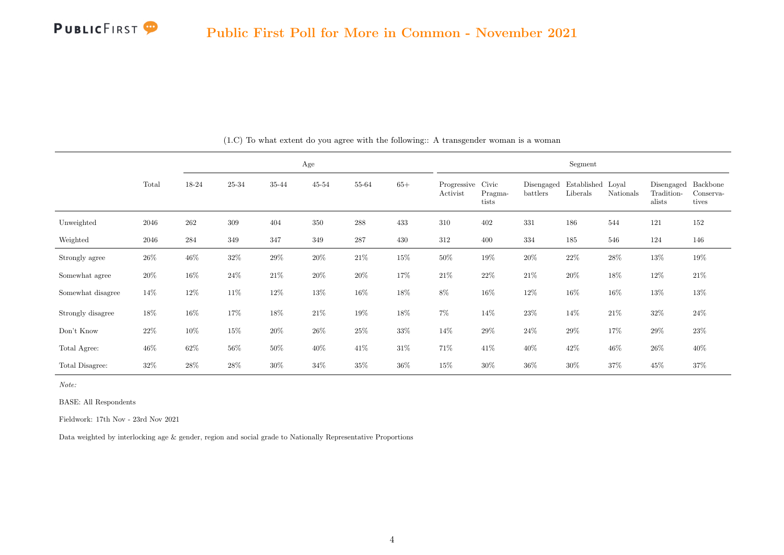

|                   |        |         |        |        | Age       |                    |        | Segment                 |                           |                        |                               |           |                                    |                                |  |  |  |
|-------------------|--------|---------|--------|--------|-----------|--------------------|--------|-------------------------|---------------------------|------------------------|-------------------------------|-----------|------------------------------------|--------------------------------|--|--|--|
|                   | Total  | 18-24   | 25-34  | 35-44  | $45 - 54$ | 55-64              | $65+$  | Progressive<br>Activist | Civic<br>Pragma-<br>tists | Disengaged<br>battlers | Established Loyal<br>Liberals | Nationals | Disengaged<br>Tradition-<br>alists | Backbone<br>Conserva-<br>tives |  |  |  |
| Unweighted        | 2046   | 262     | 309    | 404    | 350       | $\boldsymbol{288}$ | 433    | 310                     | 402                       | 331                    | 186                           | 544       | 121                                | 152                            |  |  |  |
| Weighted          | 2046   | $\,284$ | 349    | 347    | 349       | $\bf 287$          | 430    | 312                     | 400                       | 334                    | 185                           | 546       | 124                                | 146                            |  |  |  |
| Strongly agree    | $26\%$ | $46\%$  | $32\%$ | $29\%$ | $20\%$    | $21\%$             | 15%    | $50\%$                  | $19\%$                    | $20\%$                 | $22\%$                        | $28\%$    | $13\%$                             | 19%                            |  |  |  |
| Somewhat agree    | $20\%$ | 16%     | $24\%$ | $21\%$ | $20\%$    | $20\%$             | 17%    | $21\%$                  | $22\%$                    | $21\%$                 | $20\%$                        | $18\%$    | 12\%                               | $21\%$                         |  |  |  |
| Somewhat disagree | 14\%   | 12%     | $11\%$ | 12%    | 13%       | $16\%$             | $18\%$ | 8%                      | 16%                       | $12\%$                 | $16\%$                        | $16\%$    | 13%                                | 13%                            |  |  |  |
| Strongly disagree | $18\%$ | 16%     | 17%    | 18%    | 21\%      | $19\%$             | 18%    | $7\%$                   | $14\%$                    | $23\%$                 | 14%                           | $21\%$    | $32\%$                             | 24%                            |  |  |  |
| Don't Know        | $22\%$ | 10%     | $15\%$ | $20\%$ | 26\%      | $25\%$             | $33\%$ | 14%                     | $29\%$                    | $24\%$                 | 29%                           | $17\%$    | 29%                                | $23\%$                         |  |  |  |
| Total Agree:      | $46\%$ | 62%     | $56\%$ | $50\%$ | 40%       | 41\%               | $31\%$ | 71%                     | 41%                       | 40\%                   | 42\%                          | $46\%$    | $26\%$                             | 40%                            |  |  |  |
| Total Disagree:   | 32\%   | $28\%$  | $28\%$ | 30%    | 34%       | $35\%$             | 36%    | 15%                     | $30\%$                    | $36\%$                 | 30%                           | 37%       | 45\%                               | 37%                            |  |  |  |

(1.C) To what extent do you agree with the following:: A transgender woman is a woman

Note:

BASE: All Respondents

Fieldwork: 17th Nov - 23rd Nov 2021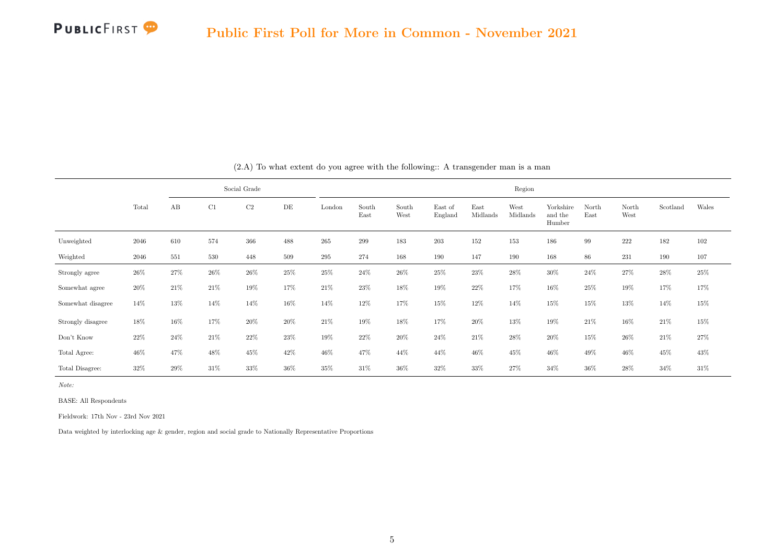|                   |        |      |        | Social Grade   |           | Region |               |               |                    |                  |                  |                                |               |               |          |        |  |  |
|-------------------|--------|------|--------|----------------|-----------|--------|---------------|---------------|--------------------|------------------|------------------|--------------------------------|---------------|---------------|----------|--------|--|--|
|                   | Total  | AB   | C1     | C <sub>2</sub> | $\rm{DE}$ | London | South<br>East | South<br>West | East of<br>England | East<br>Midlands | West<br>Midlands | Yorkshire<br>and the<br>Humber | North<br>East | North<br>West | Scotland | Wales  |  |  |
| Unweighted        | 2046   | 610  | 574    | 366            | 488       | 265    | 299           | 183           | 203                | 152              | 153              | 186                            | 99            | 222           | 182      | 102    |  |  |
| Weighted          | 2046   | 551  | 530    | 448            | 509       | 295    | 274           | 168           | 190                | 147              | 190              | 168                            | 86            | 231           | 190      | 107    |  |  |
| Strongly agree    | $26\%$ | 27%  | $26\%$ | 26%            | 25%       | 25%    | $24\%$        | 26%           | $25\%$             | 23%              | 28%              | 30%                            | 24%           | 27%           | $28\%$   | $25\%$ |  |  |
| Somewhat agree    | 20%    | 21\% | $21\%$ | 19%            | 17%       | $21\%$ | 23%           | 18%           | 19%                | $22\%$           | 17%              | 16%                            | 25%           | 19%           | 17%      | 17%    |  |  |
| Somewhat disagree | 14%    | 13%  | 14%    | 14%            | 16%       | 14%    | 12%           | 17%           | 15%                | 12%              | 14%              | 15%                            | 15%           | 13%           | 14%      | 15%    |  |  |
| Strongly disagree | 18%    | 16%  | 17%    | 20%            | 20%       | $21\%$ | 19%           | 18%           | 17%                | 20%              | 13%              | 19%                            | 21%           | 16%           | 21%      | 15%    |  |  |
| Don't Know        | 22%    | 24%  | 21%    | 22%            | 23%       | 19%    | 22%           | 20%           | $24\%$             | 21%              | 28%              | 20%                            | 15%           | 26%           | 21%      | $27\%$ |  |  |
| Total Agree:      | 46%    | 47%  | 48%    | 45%            | 42%       | 46%    | 47%           | 44%           | 44%                | 46%              | 45%              | 46%                            | 49%           | 46%           | 45%      | 43%    |  |  |
| Total Disagree:   | 32%    | 29%  | 31%    | 33%            | 36%       | 35%    | 31%           | 36%           | 32%                | 33%              | 27%              | 34%                            | 36%           | 28%           | 34%      | 31%    |  |  |

(2.A) To what extent do you agree with the following:: A transgender man is a man

BASE: All Respondents

Fieldwork: 17th Nov - 23rd Nov 2021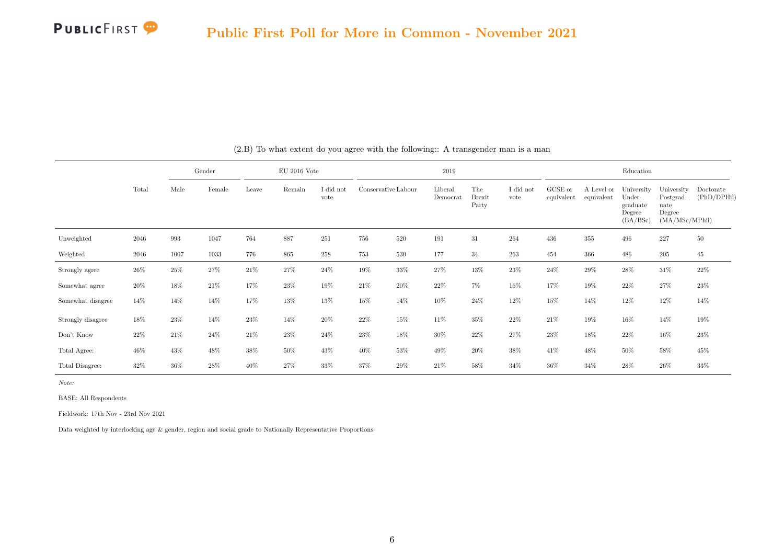

|                   |       |      | Gender |        | $EU$ 2016 Vote |                   |                     |        | 2019                |                               |                   |                       |                          | Education                                              |                                                             |                          |
|-------------------|-------|------|--------|--------|----------------|-------------------|---------------------|--------|---------------------|-------------------------------|-------------------|-----------------------|--------------------------|--------------------------------------------------------|-------------------------------------------------------------|--------------------------|
|                   | Total | Male | Female | Leave  | Remain         | I did not<br>vote | Conservative Labour |        | Liberal<br>Democrat | The<br><b>Brexit</b><br>Party | I did not<br>vote | GCSE or<br>equivalent | A Level or<br>equivalent | University<br>Under-<br>graduate<br>Degree<br>(BA/BSc) | University<br>Postgrad-<br>uate<br>Degree<br>(MA/MSc/MPhil) | Doctorate<br>(PhD/DPHil) |
| Unweighted        | 2046  | 993  | 1047   | 764    | 887            | 251               | 756                 | 520    | 191                 | $31\,$                        | 264               | 436                   | 355                      | 496                                                    | 227                                                         | 50                       |
| Weighted          | 2046  | 1007 | 1033   | 776    | 865            | $258\,$           | 753                 | 530    | 177                 | 34                            | 263               | 454                   | 366                      | 486                                                    | 205                                                         | 45                       |
| Strongly agree    | 26%   | 25%  | 27%    | 21%    | 27%            | 24%               | $19\%$              | 33%    | 27%                 | 13%                           | 23%               | 24%                   | 29%                      | 28%                                                    | 31%                                                         | 22%                      |
| Somewhat agree    | 20%   | 18%  | 21\%   | 17%    | 23%            | 19%               | 21%                 | 20%    | 22%                 | 7%                            | 16%               | 17%                   | 19%                      | 22%                                                    | 27%                                                         | 23%                      |
| Somewhat disagree | 14%   | 14%  | 14%    | 17%    | 13%            | 13%               | $15\%$              | 14%    | 10%                 | 24%                           | 12%               | 15%                   | 14%                      | 12%                                                    | 12%                                                         | 14%                      |
| Strongly disagree | 18%   | 23%  | 14%    | 23%    | 14%            | $20\%$            | 22%                 | 15%    | 11%                 | 35%                           | 22%               | 21\%                  | 19%                      | 16%                                                    | 14%                                                         | 19%                      |
| Don't Know        | 22%   | 21\% | $24\%$ | $21\%$ | $23\%$         | $24\%$            | $23\%$              | 18%    | $30\%$              | $22\%$                        | 27%               | $23\%$                | 18%                      | 22%                                                    | 16%                                                         | 23%                      |
| Total Agree:      | 46%   | 43%  | 48%    | 38%    | 50%            | $43\%$            | $40\%$              | $53\%$ | 49%                 | 20%                           | 38%               | 41%                   | 48%                      | 50%                                                    | 58%                                                         | 45%                      |
| Total Disagree:   | 32%   | 36%  | 28%    | 40%    | 27%            | 33%               | 37%                 | 29%    | 21%                 | 58%                           | 34%               | 36%                   | 34%                      | 28%                                                    | 26%                                                         | 33%                      |

(2.B) To what extent do you agree with the following:: A transgender man is a man

Note:

BASE: All Respondents

Fieldwork: 17th Nov - 23rd Nov 2021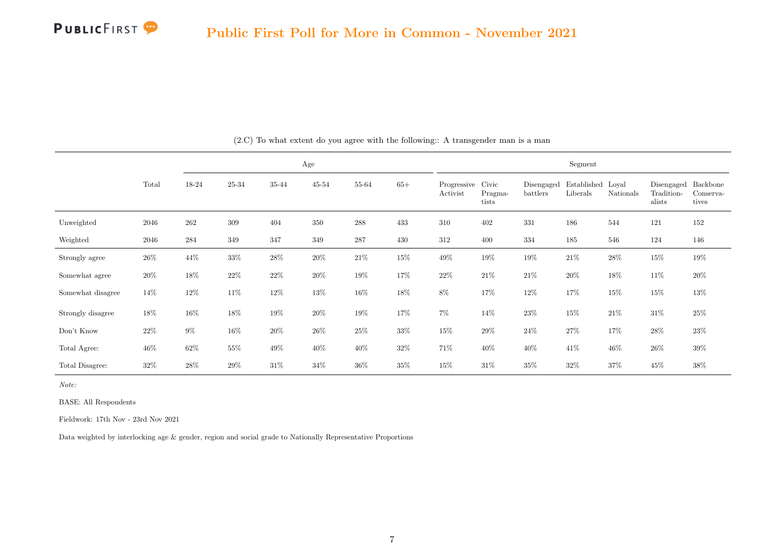

|                   |        |        |        |        | Age       |        |        | Segment                 |                           |                        |                               |           |                                    |                                |  |  |  |
|-------------------|--------|--------|--------|--------|-----------|--------|--------|-------------------------|---------------------------|------------------------|-------------------------------|-----------|------------------------------------|--------------------------------|--|--|--|
|                   | Total  | 18-24  | 25-34  | 35-44  | $45 - 54$ | 55-64  | $65+$  | Progressive<br>Activist | Civic<br>Pragma-<br>tists | Disengaged<br>battlers | Established Loval<br>Liberals | Nationals | Disengaged<br>Tradition-<br>alists | Backbone<br>Conserva-<br>tives |  |  |  |
| Unweighted        | 2046   | 262    | 309    | 404    | 350       | 288    | 433    | 310                     | 402                       | 331                    | 186                           | 544       | 121                                | 152                            |  |  |  |
| Weighted          | 2046   | 284    | 349    | 347    | 349       | 287    | 430    | 312                     | 400                       | 334                    | 185                           | 546       | 124                                | 146                            |  |  |  |
| Strongly agree    | $26\%$ | 44\%   | $33\%$ | $28\%$ | $20\%$    | $21\%$ | 15%    | $49\%$                  | $19\%$                    | $19\%$                 | $21\%$                        | $28\%$    | $15\%$                             | $19\%$                         |  |  |  |
| Somewhat agree    | 20%    | $18\%$ | $22\%$ | $22\%$ | $20\%$    | $19\%$ | 17%    | 22%                     | $21\%$                    | $21\%$                 | $20\%$                        | $18\%$    | $11\%$                             | $20\%$                         |  |  |  |
| Somewhat disagree | 14\%   | 12\%   | $11\%$ | 12%    | 13%       | $16\%$ | 18%    | $8\%$                   | 17%                       | $12\%$                 | 17%                           | $15\%$    | $15\%$                             | $13\%$                         |  |  |  |
| Strongly disagree | $18\%$ | 16%    | 18%    | 19%    | $20\%$    | $19\%$ | 17%    | $7\%$                   | 14%                       | $23\%$                 | 15%                           | 21%       | $31\%$                             | $25\%$                         |  |  |  |
| Don't Know        | 22\%   | 9%     | $16\%$ | $20\%$ | $26\%$    | $25\%$ | $33\%$ | $15\%$                  | $29\%$                    | $24\%$                 | $27\%$                        | 17%       | 28\%                               | 23%                            |  |  |  |
| Total Agree:      | $46\%$ | $62\%$ | $55\%$ | 49\%   | 40%       | $40\%$ | $32\%$ | 71%                     | 40\%                      | 40\%                   | 41\%                          | $46\%$    | $26\%$                             | $39\%$                         |  |  |  |
| Total Disagree:   | 32\%   | 28\%   | 29%    | 31\%   | 34%       | 36%    | 35%    | 15%                     | $31\%$                    | 35%                    | 32%                           | 37%       | 45\%                               | 38%                            |  |  |  |

(2.C) To what extent do you agree with the following:: A transgender man is a man

Note:

BASE: All Respondents

Fieldwork: 17th Nov - 23rd Nov 2021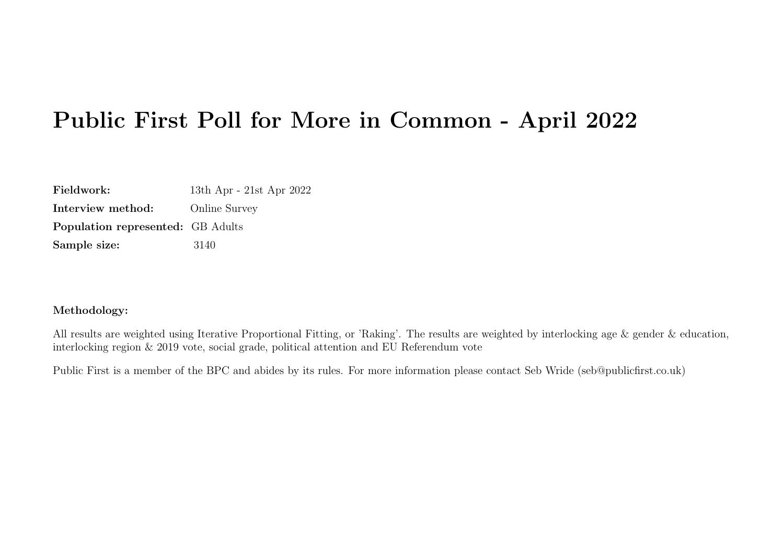# Public First Poll for More in Common - April 2022

| Fieldwork:                               | 13th Apr - 21st Apr 2022 |
|------------------------------------------|--------------------------|
| Interview method:                        | <b>Online Survey</b>     |
| <b>Population represented:</b> GB Adults |                          |
| Sample size:                             | 3140                     |

#### Methodology:

All results are weighted using Iterative Proportional Fitting, or 'Raking'. The results are weighted by interlocking age & gender & education, interlocking region & 2019 vote, social grade, political attention and EU Referendum vote

Public First is a member of the BPC and abides by its rules. For more information please contact Seb Wride (seb@publicfirst.co.uk)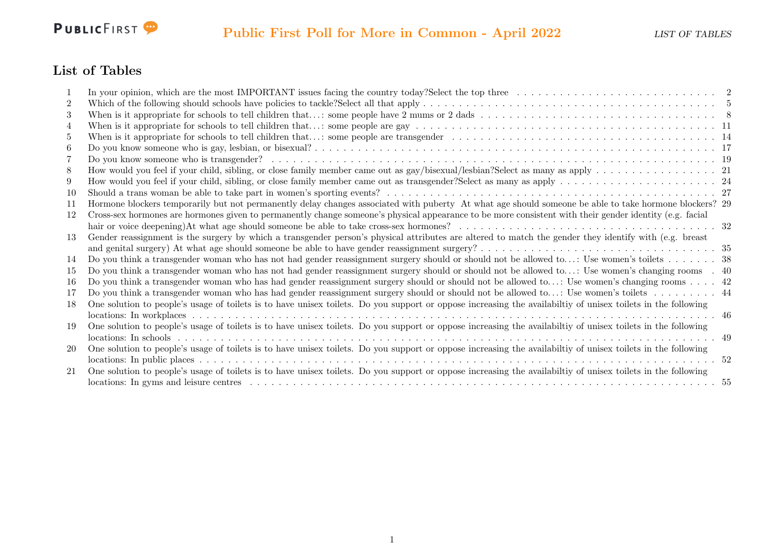

#### List of Tables

|     | In your opinion, which are the most IMPORTANT issues facing the country today?Select the top three $\ldots \ldots \ldots \ldots \ldots \ldots \ldots \ldots \ldots$ |  |
|-----|---------------------------------------------------------------------------------------------------------------------------------------------------------------------|--|
| 2   |                                                                                                                                                                     |  |
| 3   |                                                                                                                                                                     |  |
| 4   |                                                                                                                                                                     |  |
| 5   |                                                                                                                                                                     |  |
| 6   |                                                                                                                                                                     |  |
|     |                                                                                                                                                                     |  |
| 8   |                                                                                                                                                                     |  |
| 9   |                                                                                                                                                                     |  |
| -10 |                                                                                                                                                                     |  |
| -11 | Hormone blockers temporarily but not permanently delay changes associated with puberty At what age should someone be able to take hormone blockers? 29              |  |
| 12  | Cross-sex hormones are hormones given to permanently change someone's physical appearance to be more consistent with their gender identity (e.g. facial             |  |
|     |                                                                                                                                                                     |  |
| 13  | Gender reassignment is the surgery by which a transgender person's physical attributes are altered to match the gender they identify with (e.g. breast              |  |
|     |                                                                                                                                                                     |  |
| 14  | Do you think a transgender woman who has not had gender reassignment surgery should or should not be allowed to: Use women's toilets 38                             |  |
| 15  | Do you think a transgender woman who has not had gender reassignment surgery should or should not be allowed to: Use women's changing rooms . 40                    |  |
| -16 | Do you think a transgender woman who has had gender reassignment surgery should or should not be allowed to: Use women's changing rooms  42                         |  |
| 17  | Do you think a transgender woman who has had gender reassignment surgery should or should not be allowed to: Use women's toilets 44                                 |  |
| 18  | One solution to people's usage of toilets is to have unisex toilets. Do you support or oppose increasing the availability of unisex toilets in the following        |  |
|     |                                                                                                                                                                     |  |
| 19  | One solution to people's usage of toilets is to have unisex toilets. Do you support or oppose increasing the availability of unisex toilets in the following        |  |
|     |                                                                                                                                                                     |  |
| 20  | One solution to people's usage of toilets is to have unisex toilets. Do you support or oppose increasing the availabiltiy of unisex toilets in the following        |  |
|     |                                                                                                                                                                     |  |
| 21  | One solution to people's usage of toilets is to have unisex toilets. Do you support or oppose increasing the availability of unisex toilets in the following        |  |
|     |                                                                                                                                                                     |  |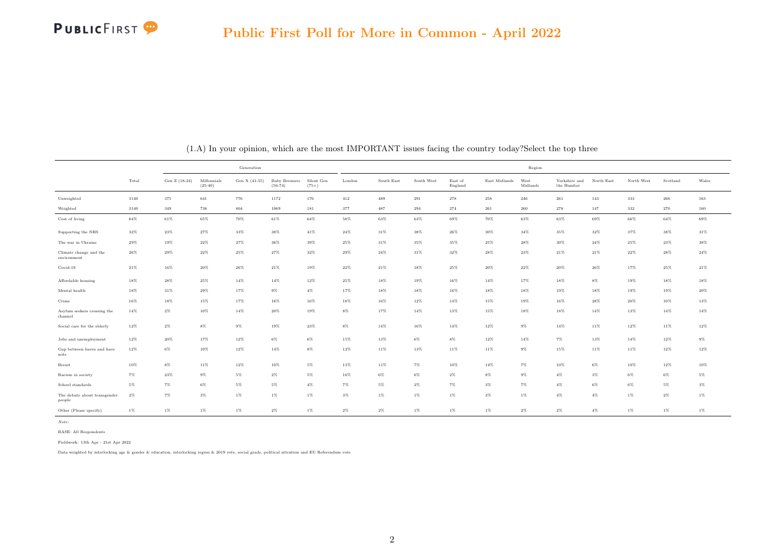

<span id="page-10-0"></span>

|                                        |          |               |                          | Generation    |                                  |                       | Region  |            |            |                    |               |                  |                             |            |            |             |        |  |
|----------------------------------------|----------|---------------|--------------------------|---------------|----------------------------------|-----------------------|---------|------------|------------|--------------------|---------------|------------------|-----------------------------|------------|------------|-------------|--------|--|
|                                        | Total    | Gen Z (18-24) | Millennials<br>$(25-40)$ | Gen X (41-55) | <b>Baby Boomers</b><br>$(56-74)$ | Silent Gen<br>$(75+)$ | London  | South East | South West | East of<br>England | East Midlands | West<br>Midlands | Yorkshire and<br>the Humber | North East | North West | Scotland    | Wales  |  |
| Unweighted                             | $3140\,$ | 375           | 641                      | 776           | 1172                             | 176                   | $412\,$ | 489        | 291        | $278\,$            | 258           | 246              | 261                         | 143        | 333        | ${\bf 266}$ | 163    |  |
| Weighted                               | 3140     | 349           | 738                      | 804           | 1069                             | 181                   | 377     | 487        | 294        | 274                | 261           | 260              | 278                         | 147        | 332        | 270         | 160    |  |
| Cost of living                         | $64\%$   | $61\%$        | $65\%$                   | 70%           | $61\%$                           | $64\%$                | $58\%$  | 63%        | 63%        | 69%                | 70%           | 63%              | 63%                         | 69%        | 66%        | 64%         | $69\%$ |  |
| Supporting the NHS                     | 32%      | 23%           | 27%                      | 33%           | 38%                              | 41%                   | 24%     | 31%        | 38%        | 26%                | 30%           | 34%              | 35%                         | 32%        | 37%        | 38%         | 31%    |  |
| The war in Ukraine                     | 29%      | 19%           | $22\%$                   | $27\%$        | $36\%$                           | 39%                   | $25\%$  | $31\%$     | 35%        | 35%                | 25%           | 28%              | 30%                         | $24\%$     | 25%        | 23%         | $38\%$ |  |
| Climate change and the<br>environment  | 26%      | 29%           | $22\%$                   | 25%           | $27\%$                           | $32\%$                | $29\%$  | 24%        | $31\%$     | 32%                | 28%           | $23\%$           | 21%                         | $21\%$     | 22%        | $28\%$      | $24\%$ |  |
| Covid-19                               | $21\%$   | $16\%$        | $20\%$                   | 26%           | $21\%$                           | 19%                   | $22\%$  | $21\%$     | 18%        | $25\%$             | $20\%$        | $22\%$           | 20%                         | $26\%$     | 17%        | 25%         | $21\%$ |  |
| Affordable housing                     | 18%      | $28\%$        | $25\%$                   | $14\%$        | $14\%$                           | $12\%$                | $25\%$  | $18\%$     | 19%        | 16%                | $14\%$        | 17%              | 18%                         | $8\%$      | 19%        | $18\%$      | 18%    |  |
| Mental health                          | 18%      | 31%           | 29%                      | 17%           | $9\%$                            | $4\%$                 | 17%     | 18%        | 18%        | 16%                | 18%           | 18%              | 19%                         | 18%        | 19%        | 19%         | $20\%$ |  |
| Crime                                  | $16\%$   | 18%           | $15\%$                   | 17%           | $16\%$                           | 16%                   | $18\%$  | $16\%$     | 12%        | $14\%$             | $15\%$        | 19%              | 16%                         | 28%        | 20%        | 10%         | $13\%$ |  |
| Asylum seekers crossing the<br>channel | 14%      | $2\%$         | $10\%$                   | $14\%$        | $20\%$                           | $19\%$                | $8\%$   | 17%        | $14\%$     | 13%                | $15\%$        | 18%              | 18%                         | 14%        | 13%        | 14%         | $14\%$ |  |
| Social care for the elderly            | $12\%$   | $2\%$         | $8\%$                    | $9\%$         | $19\%$                           | $23\%$                | $8\%$   | $14\%$     | 16%        | $14\%$             | $12\%$        | $9\%$            | 14%                         | $11\%$     | 12%        | $11\%$      | $12\%$ |  |
| Jobs and unemployment                  | $12\%$   | 20%           | $17\%$                   | 12%           | $6\%$                            | $6\%$                 | 15%     | 13%        | $6\%$      | $8\%$              | 12%           | 14%              | $7\%$                       | 13%        | 14%        | $12\%$      | $9\%$  |  |
| Gap between haves and have<br>nots     | $12\%$   | $6\%$         | $10\%$                   | 12%           | $14\%$                           | 8%                    | $12\%$  | 11%        | 13%        | 11%                | $11\%$        | $9\%$            | 15%                         | $11\%$     | 11%        | 12%         | $12\%$ |  |
| Brexit                                 | 10%      | $8\%$         | $11\%$                   | 12%           | $10\%$                           | 5%                    | 13%     | 11%        | 7%         | 10%                | 14%           | 7%               | 10%                         | 6%         | 10%        | 12%         | 10%    |  |
| Racism in society                      | 7%       | 23%           | $9\%$                    | $5\%$         | $2\%$                            | 5%                    | 16%     | $6\%$      | $6\%$      | $2\%$              | $8\%$         | $9\%$            | $4\%$                       | 3%         | $6\%$      | $6\%$       | $5\%$  |  |
| School standards                       | $5\%$    | $7\%$         | $6\%$                    | $5\%$         | $5\%$                            | $4\%$                 | 7%      | 5%         | $2\%$      | $7\%$              | $3\%$         | 7%               | $4\%$                       | 6%         | 6%         | $5\%$       | $3\%$  |  |
| The debate about transgender<br>people | $2\%$    | $7\%$         | $3\%$                    | $1\%$         | $1\%$                            | $1\%$                 | $3\%$   | $1\%$      | $1\%$      | $1\%$              | $3\%$         | $1\%$            | $4\%$                       | $4\%$      | 1%         | $2\%$       | $1\%$  |  |
| Other (Please specify)                 | $1\%$    | $1\%$         | $1\%$                    | $1\%$         | $2\%$                            | $1\%$                 | $2\%$   | $2\%$      | $1\%$      | $1\%$              | $1\%$         | $2\%$            | $2\%$                       | $4\%$      | $1\%$      | $1\%$       | $1\%$  |  |

(1.A) In your opinion, which are the most IMPORTANT issues facing the country today?Select the top three

BASE: All Respondents

Fieldwork: 13th Apr - 21st Apr 2022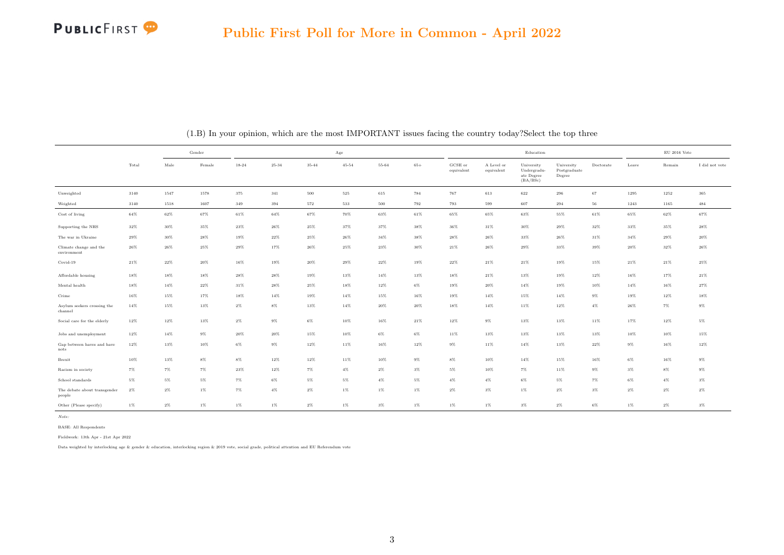

|                                        | Gender |        |        |        | $_{\rm Age}$ |        |           |        |        |                       |                          | Education                                           |                                      | $\mathrm{EU}$ 2016 Vote |        |        |                |
|----------------------------------------|--------|--------|--------|--------|--------------|--------|-----------|--------|--------|-----------------------|--------------------------|-----------------------------------------------------|--------------------------------------|-------------------------|--------|--------|----------------|
|                                        | Total  | Male   | Female | 18-24  | $25 - 34$    | 35-44  | $45 - 54$ | 55-64  | $65+$  | GCSE or<br>equivalent | A Level or<br>equivalent | University<br>Undergradu-<br>ate Degree<br>(BA/BSc) | University<br>Postgraduate<br>Degree | Doctorate               | Leave  | Remain | I did not vote |
| Unweighted                             | 3140   | 1547   | 1578   | 375    | 341          | 500    | 525       | 615    | 784    | 767                   | 613                      | 622                                                 | 296                                  | 67                      | 1295   | 1252   | 365            |
| Weighted                               | 3140   | 1518   | 1607   | 349    | 394          | 572    | 533       | 500    | 792    | 793                   | 599                      | 607                                                 | 294                                  | 56                      | 1243   | 1165   | $\bf 484$      |
| Cost of living                         | $64\%$ | $62\%$ | 67%    | 61%    | $64\%$       | 67%    | 70%       | 63%    | 61%    | 65%                   | 65%                      | 63%                                                 | 55%                                  | 61%                     | 65%    | 62%    | 67%            |
| Supporting the NHS                     | $32\%$ | 30%    | 35%    | $23\%$ | 26%          | 25%    | 37%       | 37%    | 38%    | 36%                   | 31%                      | 30%                                                 | 29%                                  | $32\%$                  | 33%    | 35%    | $28\%$         |
| The war in Ukraine                     | 29%    | 30%    | $28\%$ | 19%    | $22\%$       | 25%    | $26\%$    | $34\%$ | 38%    | 28%                   | 26%                      | $33\%$                                              | 26%                                  | $31\%$                  | $34\%$ | $29\%$ | $20\%$         |
| Climate change and the<br>environment  | $26\%$ | 26%    | $25\%$ | $29\%$ | 17%          | $26\%$ | $25\%$    | $23\%$ | $30\%$ | $21\%$                | $26\%$                   | $29\%$                                              | $33\%$                               | $39\%$                  | $20\%$ | $32\%$ | $26\%$         |
| Covid-19                               | $21\%$ | $22\%$ | $20\%$ | $16\%$ | $19\%$       | $20\%$ | $29\%$    | $22\%$ | 19%    | $22\%$                | $21\%$                   | $21\%$                                              | 19%                                  | 15%                     | $21\%$ | $21\%$ | $25\%$         |
| Affordable housing                     | $18\%$ | $18\%$ | $18\%$ | 28%    | $28\%$       | 19%    | $13\%$    | $14\%$ | 13%    | 18%                   | $21\%$                   | 13%                                                 | 19%                                  | 12%                     | 16%    | 17%    | $21\%$         |
| Mental health                          | 18%    | 14%    | 22%    | 31%    | 28%          | 25%    | 18%       | 12%    | $6\%$  | 19%                   | $20\%$                   | 14%                                                 | 19%                                  | 10%                     | 14%    | 16%    | $27\%$         |
| Crime                                  | $16\%$ | 15%    | 17%    | 18%    | $14\%$       | 19%    | $14\%$    | 15%    | 16%    | 19%                   | 14%                      | 15%                                                 | $14\%$                               | $9\%$                   | 19%    | $12\%$ | 18%            |
| Asylum seekers crossing the<br>channel | $14\%$ | 15%    | 13%    | $2\%$  | $8\%$        | 13%    | $14\%$    | $20\%$ | $20\%$ | 18%                   | 14%                      | 11%                                                 | 12%                                  | $4\%$                   | 26%    | $7\%$  | $9\%$          |
| Social care for the elderly            | $12\%$ | $12\%$ | 13%    | $2\%$  | $9\%$        | $6\%$  | $10\%$    | 16%    | $21\%$ | $12\%$                | $9\%$                    | 13%                                                 | 13%                                  | 11%                     | 17%    | $12\%$ | $5\%$          |
| Jobs and unemployment                  | 12%    | $14\%$ | $9\%$  | 20%    | $20\%$       | 15%    | 10%       | $6\%$  | $6\%$  | 11%                   | 13%                      | 13%                                                 | 13%                                  | 13%                     | 10%    | 10%    | 15%            |
| Gap between haves and have<br>nots     | $12\%$ | 13%    | $10\%$ | $6\%$  | $9\%$        | 12%    | $11\%$    | 16%    | $12\%$ | $9\%$                 | 11%                      | $14\%$                                              | 13%                                  | $22\%$                  | $9\%$  | 16%    | $12\%$         |
| Brexit                                 | $10\%$ | $13\%$ | $8\%$  | $8\%$  | $12\%$       | $12\%$ | $11\%$    | $10\%$ | $9\%$  | $8\%$                 | 10%                      | 14%                                                 | 15%                                  | 16%                     | $6\%$  | $16\%$ | $9\%$          |
| Racism in society                      | $7\%$  | $7\%$  | 7%     | 23%    | 12%          | $7\%$  | $4\%$     | $2\%$  | $3\%$  | $5\%$                 | 10%                      | 7%                                                  | 11%                                  | 9%                      | $3\%$  | $8\%$  | $9\%$          |
| School standards                       | 5%     | 5%     | 5%     | 7%     | 6%           | 5%     | 5%        | $4\%$  | 5%     | $4\%$                 | $4\%$                    | $6\%$                                               | $5\%$                                | $7\%$                   | $6\%$  | 4%     | $3\%$          |
| The debate about transgender<br>people | $2\%$  | $2\%$  | $1\%$  | $7\%$  | $4\%$        | $2\%$  | $1\%$     | $1\%$  | $1\%$  | $2\%$                 | $3\%$                    | $1\%$                                               | $2\%$                                | $3\%$                   | $2\%$  | $2\%$  | $2\%$          |
| Other (Please specify)                 | $1\%$  | $2\%$  | $1\%$  | $1\%$  | 1%           | $2\%$  | $1\%$     | $3\%$  | $1\%$  | $1\%$                 | $1\%$                    | $3\%$                                               | $2\%$                                | $6\%$                   | $1\%$  | $2\%$  | $3\%$          |

(1.B) In your opinion, which are the most IMPORTANT issues facing the country today?Select the top three

Note:

BASE: All Respondents

Fieldwork: 13th Apr - 21st Apr 2022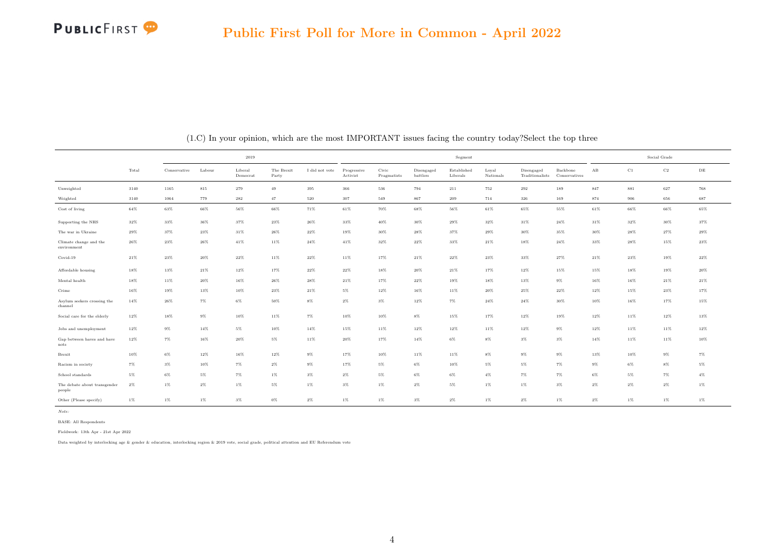

|                                        |        |              |        | 2019                |                     |                |                         |                      |                        | Segment                 |                    |                               |                           |                      |        | Social Grade |           |
|----------------------------------------|--------|--------------|--------|---------------------|---------------------|----------------|-------------------------|----------------------|------------------------|-------------------------|--------------------|-------------------------------|---------------------------|----------------------|--------|--------------|-----------|
|                                        | Total  | Conservative | Labour | Liberal<br>Democrat | The Brexit<br>Party | I did not vote | Progressive<br>Activist | Civic<br>Pragmatists | Disengaged<br>battlers | Established<br>Liberals | Loyal<br>Nationals | Disengaged<br>Traditionalists | Backbone<br>Conservatives | $\mathbf A\mathbf B$ | C1     | C2           | $\rm{DE}$ |
| Unweighted                             | 3140   | 1165         | 815    | 279                 | 49                  | 395            | 366                     | 536                  | 794                    | 211                     | 752                | 292                           | 189                       | 847                  | 881    | 627          | 768       |
| Weighted                               | 3140   | 1064         | 779    | 282                 | 47                  | 520            | 307                     | 549                  | 867                    | 209                     | 714                | 326                           | 169                       | 874                  | 906    | 656          | 687       |
| Cost of living                         | $64\%$ | 63%          | $66\%$ | $56\%$              | $66\%$              | 71%            | $61\%$                  | 70%                  | $68\%$                 | $56\%$                  | $61\%$             | $65\%$                        | 55%                       | $61\%$               | 66%    | 66%          | $65\%$    |
| Supporting the NHS                     | $32\%$ | $33\%$       | $36\%$ | $37\%$              | 23%                 | $26\%$         | $33\%$                  | $40\%$               | $30\%$                 | $29\%$                  | $32\%$             | 31%                           | $24\%$                    | $31\%$               | $32\%$ | 30%          | $37\%$    |
| The war in Ukraine                     | 29%    | 37%          | 23%    | 31%                 | 26%                 | $22\%$         | 19%                     | 30%                  | 28%                    | 37%                     | 29%                | 30%                           | 35%                       | 30%                  | 28%    | 27%          | 29%       |
| Climate change and the<br>environment  | $26\%$ | $23\%$       | $26\%$ | $41\%$              | 11%                 | $24\%$         | $41\%$                  | $32\%$               | $22\%$                 | $33\%$                  | $21\%$             | 18%                           | 24%                       | $33\%$               | 28%    | 15%          | $23\%$    |
| Covid-19                               | 21%    | 23%          | 20%    | $22\%$              | 11%                 | $22\%$         | $11\%$                  | 17%                  | $21\%$                 | $22\%$                  | $23\%$             | 33%                           | 27%                       | $21\%$               | $23\%$ | 19%          | $22\%$    |
| Affordable housing                     | 18%    | 13%          | 21%    | 12%                 | 17%                 | $22\%$         | $22\%$                  | 18%                  | $20\%$                 | $21\%$                  | 17%                | 12%                           | 15%                       | 15%                  | 18%    | 19%          | 20%       |
| Mental health                          | 18%    | 11%          | $20\%$ | 16%                 | 26%                 | 28%            | $21\%$                  | 17%                  | $22\%$                 | 19%                     | 18%                | 13%                           | $9\%$                     | 16%                  | 16%    | 21%          | $21\%$    |
| Crime                                  | 16%    | 19%          | 13%    | 10%                 | 23%                 | 21%            | $5\%$                   | 12%                  | 16%                    | 11%                     | 20%                | 25%                           | 22%                       | 12%                  | 15%    | 23%          | 17%       |
| Asylum seekers crossing the<br>channel | 14%    | 26%          | $7\%$  | $6\%$               | 50%                 | $8\%$          | $2\%$                   | $3\%$                | $12\%$                 | $7\%$                   | 24%                | 24%                           | 30%                       | 10%                  | 16%    | 17%          | 15%       |
| Social care for the elderly            | $12\%$ | 18%          | $9\%$  | $10\%$              | $11\%$              | 7%             | $10\%$                  | $10\%$               | $8\%$                  | 15%                     | 17%                | 12%                           | 19%                       | $12\%$               | 11%    | $12\%$       | $13\%$    |
| Jobs and unemployment                  | $12\%$ | $9\%$        | 14%    | $5\%$               | $10\%$              | 14%            | $15\%$                  | $11\%$               | $12\%$                 | 12%                     | 11%                | 12%                           | $9\%$                     | $12\%$               | 11%    | 11%          | $12\%$    |
| Gap between haves and have<br>nots     | 12%    | $7\%$        | 16%    | 20%                 | $5\%$               | 11%            | $20\%$                  | 17%                  | $14\%$                 | $6\%$                   | $8\%$              | $3\%$                         | $3\%$                     | 14%                  | 11%    | 11%          | $10\%$    |
| Brexit                                 | 10%    | $6\%$        | 12%    | 16%                 | 12%                 | $9\%$          | 17%                     | 10%                  | 11%                    | 11%                     | $8\%$              | $9\%$                         | $9\%$                     | 13%                  | 10%    | $9\%$        | $7\%$     |
| Racism in society                      | 7%     | $3\%$        | 10%    | 7%                  | $2\%$               | $9\%$          | 17%                     | 5%                   | 6%                     | 10%                     | $5\%$              | 5%                            | 7%                        | $9\%$                | $6\%$  | $8\%$        | 5%        |
| School standards                       | 5%     | 6%           | 5%     | $7\%$               | $1\%$               | $3\%$          | $2\%$                   | 5%                   | $6\%$                  | $6\%$                   | $4\%$              | 7%                            | 7%                        | 6%                   | 5%     | 7%           | $4\%$     |
| The debate about transgender<br>people | 2%     | $1\%$        | $2\%$  | $1\%$               | $5\%$               | $1\%$          | $3\%$                   | $1\%$                | $2\%$                  | $5\%$                   | $1\%$              | $1\%$                         | $3\%$                     | $2\%$                | $2\%$  | $2\%$        | $1\%$     |
| Other (Please specify)                 | $1\%$  | $1\%$        | $1\%$  | $3\%$               | $0\%$               | $2\%$          | $1\%$                   | $1\%$                | $3\%$                  | $2\%$                   | $1\%$              | $2\%$                         | $1\%$                     | $2\%$                | $1\%$  | $1\%$        | $1\%$     |

(1.C) In your opinion, which are the most IMPORTANT issues facing the country today?Select the top three

BASE: All Respondents

Fieldwork: 13th Apr - 21st Apr 2022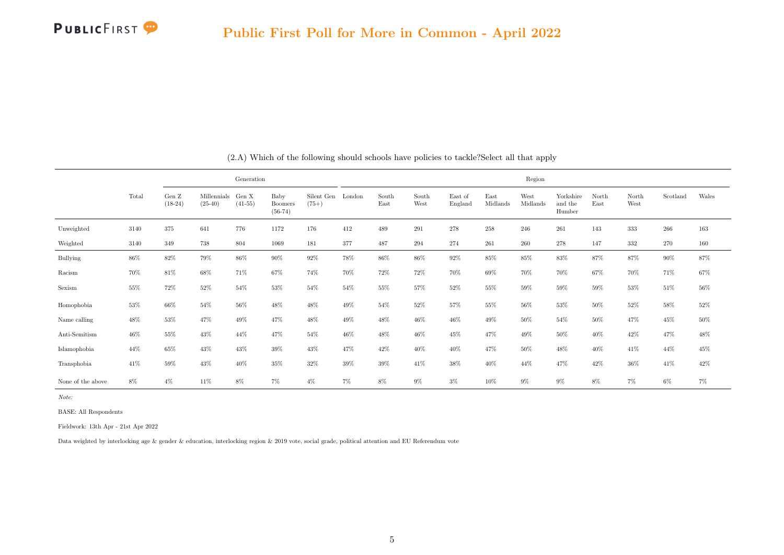<span id="page-13-0"></span>

|                   |       |                              |                          | Generation         |                                     |                              |        |               |               |                    |                  | Region           |                                |               |               |          |        |
|-------------------|-------|------------------------------|--------------------------|--------------------|-------------------------------------|------------------------------|--------|---------------|---------------|--------------------|------------------|------------------|--------------------------------|---------------|---------------|----------|--------|
|                   | Total | Gen $\mathbf Z$<br>$(18-24)$ | Millennials<br>$(25-40)$ | Gen X<br>$(41-55)$ | Baby<br><b>Boomers</b><br>$(56-74)$ | Silent Gen London<br>$(75+)$ |        | South<br>East | South<br>West | East of<br>England | East<br>Midlands | West<br>Midlands | Yorkshire<br>and the<br>Humber | North<br>East | North<br>West | Scotland | Wales  |
| Unweighted        | 3140  | 375                          | 641                      | 776                | 1172                                | 176                          | 412    | 489           | $\,291$       | 278                | 258              | 246              | 261                            | 143           | 333           | $266\,$  | 163    |
| Weighted          | 3140  | 349                          | 738                      | 804                | 1069                                | 181                          | 377    | 487           | 294           | 274                | 261              | 260              | 278                            | 147           | 332           | 270      | 160    |
| <b>Bullying</b>   | 86%   | $82\%$                       | 79%                      | 86%                | $90\%$                              | $92\%$                       | $78\%$ | $86\%$        | $86\%$        | 92%                | 85%              | 85%              | 83%                            | 87%           | 87%           | $90\%$   | $87\%$ |
| Racism            | 70%   | 81%                          | 68%                      | 71%                | 67%                                 | 74%                          | 70%    | 72%           | 72%           | 70%                | 69%              | 70%              | 70%                            | 67%           | 70%           | 71%      | 67%    |
| Sexism            | 55%   | 72%                          | 52%                      | 54%                | 53%                                 | 54%                          | 54%    | 55%           | 57%           | 52%                | 55%              | 59%              | 59%                            | $59\%$        | $53\%$        | 51%      | $56\%$ |
| Homophobia        | 53%   | 66%                          | 54%                      | 56%                | $48\%$                              | 48%                          | 49%    | 54%           | 52%           | 57%                | 55%              | 56%              | 53%                            | 50%           | 52%           | $58\%$   | $52\%$ |
| Name calling      | 48%   | 53%                          | 47%                      | 49%                | 47%                                 | 48%                          | 49%    | 48%           | 46%           | 46%                | 49%              | 50%              | 54%                            | $50\%$        | 47%           | 45%      | 50%    |
| Anti-Semitism     | 46%   | 55%                          | 43%                      | 44%                | $47\%$                              | 54%                          | $46\%$ | $48\%$        | $46\%$        | $45\%$             | 47%              | 49%              | $50\%$                         | 40%           | 42%           | $47\%$   | $48\%$ |
| Islamophobia      | 44%   | 65%                          | 43%                      | 43%                | 39%                                 | 43%                          | 47%    | $42\%$        | 40%           | 40%                | 47%              | $50\%$           | 48%                            | 40%           | 41\%          | 44%      | 45%    |
| Transphobia       | 41\%  | 59%                          | 43%                      | 40%                | 35%                                 | 32%                          | 39%    | $39\%$        | 41\%          | 38%                | 40%              | 44%              | 47%                            | 42%           | $36\%$        | 41\%     | $42\%$ |
| None of the above | 8%    | $4\%$                        | $11\%$                   | $8\%$              | $7\%$                               | $4\%$                        | $7\%$  | $8\%$         | $9\%$         | $3\%$              | $10\%$           | $9\%$            | $9\%$                          | 8%            | $7\%$         | $6\%$    | $7\%$  |

(2.A) Which of the following should schools have policies to tackle?Select all that apply

BASE: All Respondents

Fieldwork: 13th Apr - 21st Apr 2022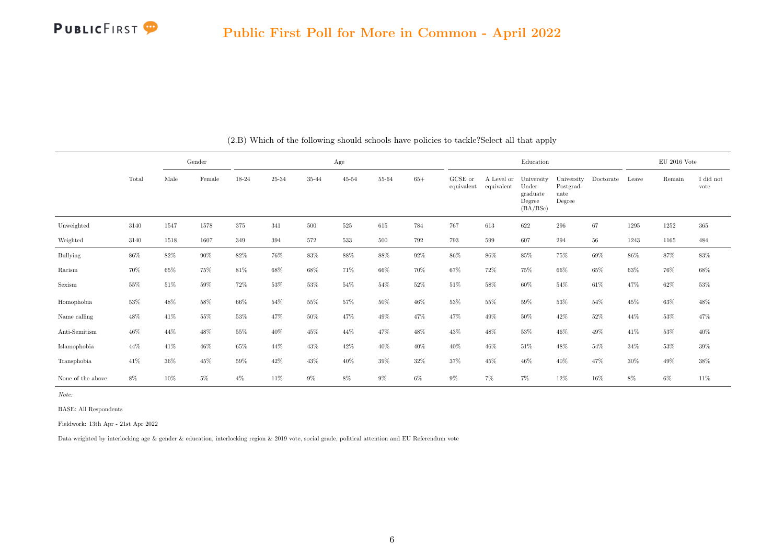

|                   |        |        | Gender |        |        |           | Age       |        |        |                       |                          | Education                                              |                                           |           |       | $EU$ 2016 Vote |                   |
|-------------------|--------|--------|--------|--------|--------|-----------|-----------|--------|--------|-----------------------|--------------------------|--------------------------------------------------------|-------------------------------------------|-----------|-------|----------------|-------------------|
|                   | Total  | Male   | Female | 18-24  | 25-34  | $35 - 44$ | $45 - 54$ | 55-64  | $65+$  | GCSE or<br>equivalent | A Level or<br>equivalent | University<br>Under-<br>graduate<br>Degree<br>(BA/BSc) | University<br>Postgrad-<br>uate<br>Degree | Doctorate | Leave | Remain         | I did not<br>vote |
| Unweighted        | 3140   | 1547   | 1578   | 375    | 341    | 500       | 525       | 615    | 784    | 767                   | 613                      | 622                                                    | 296                                       | 67        | 1295  | 1252           | $365\,$           |
| Weighted          | 3140   | 1518   | 1607   | 349    | 394    | 572       | 533       | 500    | 792    | 793                   | 599                      | 607                                                    | 294                                       | 56        | 1243  | 1165           | 484               |
| <b>Bullying</b>   | 86%    | 82%    | $90\%$ | 82%    | $76\%$ | $83\%$    | $88\%$    | 88%    | $92\%$ | $86\%$                | $86\%$                   | $85\%$                                                 | 75%                                       | $69\%$    | 86%   | 87%            | $83\%$            |
| Racism            | 70%    | 65%    | 75%    | 81%    | 68%    | 68%       | 71%       | 66%    | 70%    | 67%                   | 72%                      | 75%                                                    | 66%                                       | 65%       | 63%   | 76%            | 68%               |
| Sexism            | 55%    | 51%    | 59%    | 72%    | 53%    | 53%       | 54%       | 54%    | 52%    | 51%                   | 58%                      | 60%                                                    | 54%                                       | 61\%      | 47%   | 62%            | $53\%$            |
| Homophobia        | $53\%$ | $48\%$ | 58%    | 66%    | $54\%$ | 55%       | 57%       | 50%    | $46\%$ | 53%                   | 55%                      | 59%                                                    | $53\%$                                    | 54%       | 45%   | $63\%$         | 48%               |
| Name calling      | 48%    | 41\%   | 55%    | $53\%$ | 47%    | 50%       | 47%       | 49%    | 47%    | 47%                   | 49%                      | $50\%$                                                 | 42\%                                      | 52%       | 44%   | $53\%$         | 47%               |
| Anti-Semitism     | $46\%$ | 44%    | 48%    | 55%    | 40%    | 45%       | $44\%$    | $47\%$ | $48\%$ | 43%                   | 48%                      | $53\%$                                                 | $46\%$                                    | $49\%$    | 41\%  | $53\%$         | $40\%$            |
| Islamophobia      | 44%    | 41\%   | $46\%$ | 65%    | 44%    | 43%       | 42\%      | $40\%$ | 40%    | $40\%$                | 46%                      | 51%                                                    | 48%                                       | 54%       | 34%   | $53\%$         | $39\%$            |
| Transphobia       | 41\%   | 36%    | 45%    | 59%    | 42%    | 43%       | 40%       | 39%    | $32\%$ | 37%                   | 45%                      | 46%                                                    | 40\%                                      | 47%       | 30%   | $49\%$         | $38\%$            |
| None of the above | 8%     | 10%    | 5%     | $4\%$  | 11%    | 9%        | 8%        | $9\%$  | $6\%$  | 9%                    | $7\%$                    | $7\%$                                                  | 12%                                       | 16%       | $8\%$ | $6\%$          | 11%               |

(2.B) Which of the following should schools have policies to tackle?Select all that apply

BASE: All Respondents

Fieldwork: 13th Apr - 21st Apr 2022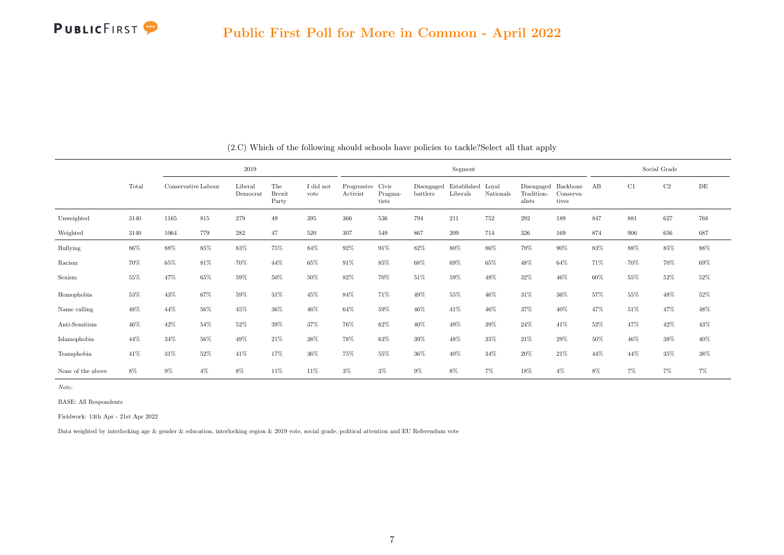

|                   |       |                     |       | 2019                |                               |                   |                               |                  |                        | Segment                       |           |                                             |                    |     |     | Social Grade |        |
|-------------------|-------|---------------------|-------|---------------------|-------------------------------|-------------------|-------------------------------|------------------|------------------------|-------------------------------|-----------|---------------------------------------------|--------------------|-----|-----|--------------|--------|
|                   | Total | Conservative Labour |       | Liberal<br>Democrat | The<br><b>Brexit</b><br>Party | I did not<br>vote | Progressive Civic<br>Activist | Pragma-<br>tists | Disengaged<br>battlers | Established Loyal<br>Liberals | Nationals | Disengaged Backbone<br>Tradition-<br>alists | Conserva-<br>tives | AB  | C1  | $\rm{C2}$    | DE     |
| Unweighted        | 3140  | 1165                | 815   | 279                 | 49                            | 395               | 366                           | 536              | 794                    | 211                           | 752       | 292                                         | 189                | 847 | 881 | 627          | 768    |
| Weighted          | 3140  | 1064                | 779   | $\bf 282$           | 47                            | 520               | 307                           | 549              | 867                    | 209                           | 714       | 326                                         | 169                | 874 | 906 | 656          | 687    |
| Bullying          | 86%   | 88%                 | 85%   | 83%                 | 75%                           | 84%               | 92%                           | 91%              | 82%                    | $80\%$                        | 86%       | 79%                                         | 90%                | 83% | 88% | 85%          | $88\%$ |
| Racism            | 70%   | 65%                 | 81\%  | 70%                 | 44%                           | $65\%$            | 91%                           | 85%              | $68\%$                 | 69%                           | 65%       | 48%                                         | 64%                | 71% | 70% | 70%          | $69\%$ |
| Sexism            | 55%   | 47%                 | 65%   | 59%                 | 50%                           | 50%               | 82%                           | 70%              | 51%                    | 59%                           | 48%       | 32%                                         | 46%                | 60% | 55% | 52%          | $52\%$ |
| Homophobia        | 53%   | 43%                 | 67%   | 59%                 | 31%                           | $45\%$            | 84%                           | 71%              | 49%                    | $55\%$                        | 46%       | 31%                                         | 36%                | 57% | 55% | 48%          | $52\%$ |
| Name calling      | 48%   | 44%                 | 56%   | 45%                 | $36\%$                        | $46\%$            | 64%                           | 59%              | 46%                    | $41\%$                        | 46%       | 37%                                         | 40%                | 47% | 51% | $47\%$       | $48\%$ |
| Anti-Semitism     | 46%   | 42%                 | 54%   | 52%                 | 39%                           | 37%               | 76%                           | 62%              | 40%                    | 49%                           | 39%       | 24%                                         | 41\%               | 52% | 47% | 42%          | $43\%$ |
| Islamophobia      | 44%   | 34%                 | 56%   | 49%                 | $21\%$                        | $38\%$            | 78%                           | 63%              | 39%                    | 48%                           | 35%       | 21%                                         | 29%                | 50% | 46% | 38%          | $40\%$ |
| Transphobia       | 41%   | 31%                 | 52%   | 41\%                | 17%                           | 36%               | 75%                           | 55%              | 36%                    | 40%                           | 34%       | 20%                                         | 21\%               | 44% | 44% | 35%          | 38%    |
| None of the above | 8%    | $9\%$               | $4\%$ | 8%                  | 11%                           | 11%               | $3\%$                         | $3\%$            | $9\%$                  | 8%                            | $7\%$     | 18%                                         | $4\%$              | 8%  | 7%  | 7%           | 7%     |

(2.C) Which of the following should schools have policies to tackle?Select all that apply

BASE: All Respondents

Fieldwork: 13th Apr - 21st Apr 2022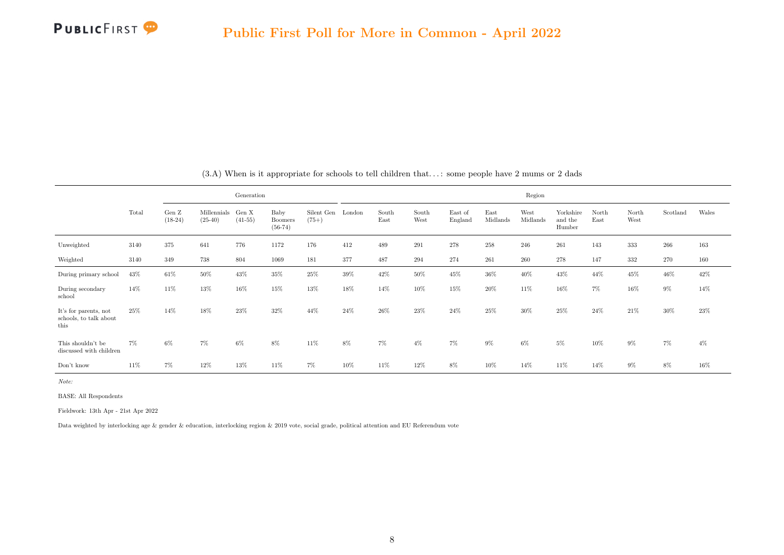

<span id="page-16-0"></span>

|                                                         |       |                      |                          | Generation         |                              |                       |        |               |               |                    |                  | Region           |                                |               |               |          |       |
|---------------------------------------------------------|-------|----------------------|--------------------------|--------------------|------------------------------|-----------------------|--------|---------------|---------------|--------------------|------------------|------------------|--------------------------------|---------------|---------------|----------|-------|
|                                                         | Total | Gen $Z$<br>$(18-24)$ | Millennials<br>$(25-40)$ | Gen X<br>$(41-55)$ | Baby<br>Boomers<br>$(56-74)$ | Silent Gen<br>$(75+)$ | London | South<br>East | South<br>West | East of<br>England | East<br>Midlands | West<br>Midlands | Yorkshire<br>and the<br>Humber | North<br>East | North<br>West | Scotland | Wales |
| Unweighted                                              | 3140  | 375                  | 641                      | 776                | 1172                         | 176                   | 412    | 489           | 291           | 278                | 258              | 246              | 261                            | 143           | 333           | 266      | 163   |
| Weighted                                                | 3140  | 349                  | 738                      | 804                | 1069                         | 181                   | 377    | 487           | 294           | 274                | 261              | 260              | 278                            | 147           | 332           | 270      | 160   |
| During primary school                                   | 43%   | 61\%                 | 50%                      | 43%                | $35\%$                       | $25\%$                | $39\%$ | 42%           | 50%           | 45%                | 36%              | 40%              | 43%                            | 44%           | 45%           | 46%      | 42%   |
| During secondary<br>school                              | 14%   | 11\%                 | 13%                      | 16%                | 15%                          | 13%                   | 18%    | 14%           | 10%           | 15%                | $20\%$           | 11\%             | 16%                            | $7\%$         | 16%           | 9%       | 14%   |
| It's for parents, not<br>schools, to talk about<br>this | 25%   | 14%                  | 18%                      | 23%                | 32%                          | 44%                   | 24%    | 26%           | 23%           | 24%                | 25%              | $30\%$           | $25\%$                         | 24\%          | 21\%          | 30%      | 23%   |
| This shouldn't be<br>discussed with children            | 7%    | 6%                   | 7%                       | 6%                 | 8%                           | 11%                   | $8\%$  | $7\%$         | $4\%$         | $7\%$              | $9\%$            | 6%               | $5\%$                          | 10%           | $9\%$         | 7%       | $4\%$ |
| Don't know                                              | 11%   | 7%                   | 12%                      | 13%                | 11%                          | 7%                    | 10%    | 11%           | 12%           | 8%                 | 10%              | 14%              | 11%                            | 14%           | $9\%$         | 8%       | 16%   |

(3.A) When is it appropriate for schools to tell children that. . . : some people have 2 mums or 2 dads

Note:

BASE: All Respondents

Fieldwork: 13th Apr - 21st Apr 2022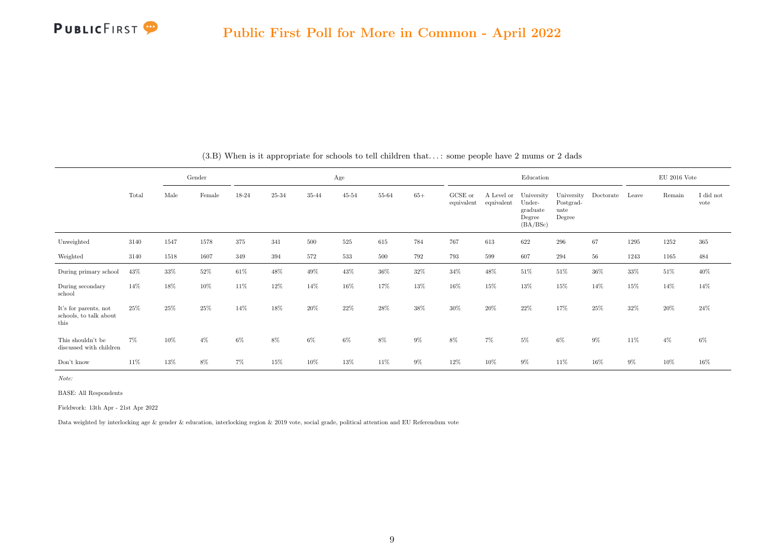|                                                         |       |      | Gender |        |        |        | Age       |           |       |                       |                          | Education                                              |                                           |           |       | $EU$ 2016 Vote |                   |
|---------------------------------------------------------|-------|------|--------|--------|--------|--------|-----------|-----------|-------|-----------------------|--------------------------|--------------------------------------------------------|-------------------------------------------|-----------|-------|----------------|-------------------|
|                                                         | Total | Male | Female | 18-24  | 25-34  | 35-44  | $45 - 54$ | $55 - 64$ | $65+$ | GCSE or<br>equivalent | A Level or<br>equivalent | University<br>Under-<br>graduate<br>Degree<br>(BA/BSc) | University<br>Postgrad-<br>uate<br>Degree | Doctorate | Leave | Remain         | I did not<br>vote |
| Unweighted                                              | 3140  | 1547 | 1578   | 375    | 341    | 500    | $525\,$   | 615       | 784   | 767                   | 613                      | 622                                                    | 296                                       | 67        | 1295  | 1252           | $365\,$           |
| Weighted                                                | 3140  | 1518 | 1607   | 349    | 394    | 572    | 533       | 500       | 792   | 793                   | 599                      | 607                                                    | 294                                       | $56\,$    | 1243  | 1165           | 484               |
| During primary school                                   | 43%   | 33%  | 52%    | $61\%$ | $48\%$ | 49%    | $43\%$    | $36\%$    | 32%   | 34%                   | 48%                      | 51%                                                    | 51%                                       | $36\%$    | 33%   | 51%            | $40\%$            |
| During secondary<br>school                              | 14%   | 18%  | 10%    | 11\%   | 12%    | 14%    | 16%       | 17%       | 13%   | 16%                   | 15%                      | 13%                                                    | 15%                                       | 14%       | 15%   | 14%            | 14%               |
| It's for parents, not<br>schools, to talk about<br>this | 25%   | 25%  | 25%    | 14%    | 18%    | $20\%$ | 22%       | 28%       | 38%   | $30\%$                | 20%                      | 22\%                                                   | 17%                                       | $25\%$    | 32%   | $20\%$         | 24\%              |
| This shouldn't be<br>discussed with children            | $7\%$ | 10%  | $4\%$  | $6\%$  | $8\%$  | $6\%$  | $6\%$     | $8\%$     | $9\%$ | $8\%$                 | $7\%$                    | $5\%$                                                  | $6\%$                                     | 9%        | 11%   | $4\%$          | $6\%$             |
| Don't know                                              | 11%   | 13%  | 8%     | 7%     | 15%    | 10%    | 13%       | 11%       | $9\%$ | 12%                   | 10%                      | $9\%$                                                  | 11\%                                      | 16%       | $9\%$ | 10%            | 16%               |

(3.B) When is it appropriate for schools to tell children that. . . : some people have 2 mums or 2 dads

Note:

BASE: All Respondents

Fieldwork: 13th Apr - 21st Apr 2022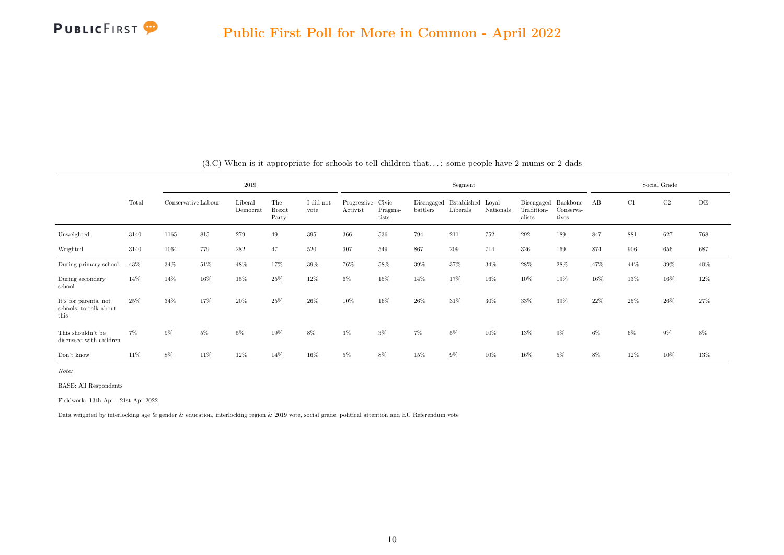|                                                         |       |                     |     | 2019                |                               |                   |                               |                  |                        | Segment                       |           |                                    |                                |     |       | Social Grade |        |
|---------------------------------------------------------|-------|---------------------|-----|---------------------|-------------------------------|-------------------|-------------------------------|------------------|------------------------|-------------------------------|-----------|------------------------------------|--------------------------------|-----|-------|--------------|--------|
|                                                         | Total | Conservative Labour |     | Liberal<br>Democrat | The<br><b>Brexit</b><br>Party | I did not<br>vote | Progressive Civic<br>Activist | Pragma-<br>tists | Disengaged<br>battlers | Established Loyal<br>Liberals | Nationals | Disengaged<br>Tradition-<br>alists | Backbone<br>Conserva-<br>tives | АB  | C1    | C2           | DE     |
| Unweighted                                              | 3140  | 1165                | 815 | 279                 | 49                            | 395               | 366                           | 536              | 794                    | 211                           | 752       | 292                                | 189                            | 847 | 881   | 627          | 768    |
| Weighted                                                | 3140  | 1064                | 779 | 282                 | 47                            | 520               | 307                           | 549              | 867                    | 209                           | 714       | 326                                | 169                            | 874 | 906   | 656          | 687    |
| During primary school                                   | 43%   | 34%                 | 51% | 48%                 | 17%                           | 39%               | 76%                           | 58%              | 39%                    | 37%                           | 34%       | 28%                                | 28%                            | 47% | 44%   | $39\%$       | $40\%$ |
| During secondary<br>school                              | 14%   | 14%                 | 16% | 15%                 | 25%                           | 12%               | $6\%$                         | 15%              | 14%                    | 17%                           | 16%       | 10%                                | 19%                            | 16% | 13%   | 16%          | 12%    |
| It's for parents, not<br>schools, to talk about<br>this | 25%   | 34%                 | 17% | 20%                 | 25%                           | 26%               | 10%                           | 16%              | 26%                    | 31%                           | 30%       | 33%                                | 39%                            | 22% | 25%   | 26%          | 27%    |
| This shouldn't be<br>discussed with children            | $7\%$ | 9%                  | 5%  | 5%                  | 19%                           | 8%                | $3\%$                         | $3\%$            | $7\%$                  | $5\%$                         | 10%       | 13%                                | $9\%$                          | 6%  | $6\%$ | $9\%$        | 8%     |
| Don't know                                              | 11%   | 8%                  | 11% | 12%                 | 14%                           | 16%               | 5%                            | 8%               | 15%                    | $9\%$                         | 10%       | 16%                                | 5%                             | 8%  | 12%   | 10%          | 13%    |

(3.C) When is it appropriate for schools to tell children that. . . : some people have 2 mums or 2 dads

Note:

BASE: All Respondents

Fieldwork: 13th Apr - 21st Apr 2022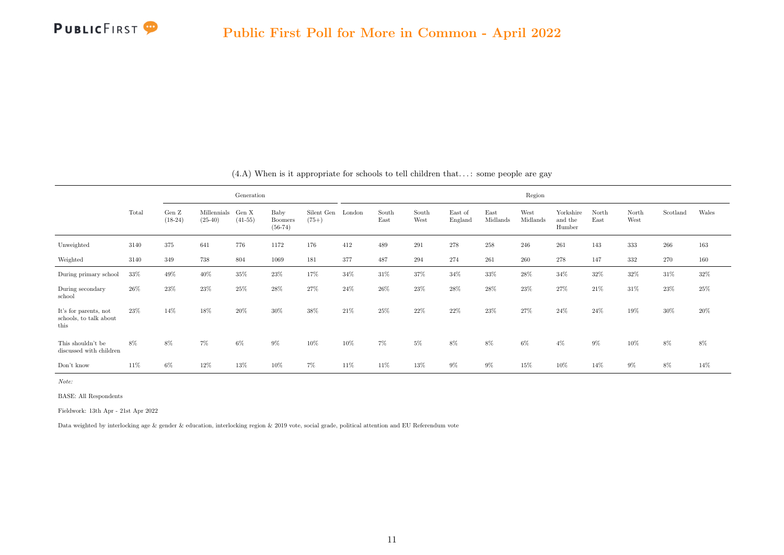

<span id="page-19-0"></span>

|                                                         |       |                              |                          | Generation         |                              |                       |        |               |               |                    |                  | Region           |                                |               |               |          |       |
|---------------------------------------------------------|-------|------------------------------|--------------------------|--------------------|------------------------------|-----------------------|--------|---------------|---------------|--------------------|------------------|------------------|--------------------------------|---------------|---------------|----------|-------|
|                                                         | Total | Gen $\mathbf Z$<br>$(18-24)$ | Millennials<br>$(25-40)$ | Gen X<br>$(41-55)$ | Baby<br>Boomers<br>$(56-74)$ | Silent Gen<br>$(75+)$ | London | South<br>East | South<br>West | East of<br>England | East<br>Midlands | West<br>Midlands | Yorkshire<br>and the<br>Humber | North<br>East | North<br>West | Scotland | Wales |
| Unweighted                                              | 3140  | 375                          | 641                      | 776                | 1172                         | 176                   | 412    | 489           | 291           | 278                | 258              | 246              | 261                            | 143           | 333           | 266      | 163   |
| Weighted                                                | 3140  | 349                          | 738                      | 804                | 1069                         | 181                   | 377    | 487           | 294           | 274                | 261              | 260              | 278                            | 147           | 332           | 270      | 160   |
| During primary school                                   | 33%   | 49%                          | 40%                      | 35%                | 23%                          | 17%                   | 34%    | 31\%          | 37%           | 34%                | 33%              | $28\%$           | 34%                            | 32%           | 32%           | 31%      | 32%   |
| During secondary<br>school                              | 26%   | 23%                          | 23%                      | $25\%$             | 28%                          | 27%                   | 24%    | $26\%$        | 23%           | 28%                | 28%              | $23\%$           | 27%                            | 21%           | 31%           | 23%      | 25%   |
| It's for parents, not<br>schools, to talk about<br>this | 23%   | 14%                          | 18%                      | 20%                | 30%                          | 38%                   | 21%    | 25%           | 22%           | 22%                | 23%              | 27%              | 24%                            | 24%           | 19%           | 30%      | 20%   |
| This shouldn't be<br>discussed with children            | 8%    | 8%                           | 7%                       | 6%                 | 9%                           | 10%                   | 10%    | $7\%$         | $5\%$         | $8\%$              | 8%               | 6%               | $4\%$                          | $9\%$         | 10%           | 8%       | 8%    |
| Don't know                                              | 11%   | 6%                           | 12%                      | 13%                | 10%                          | 7%                    | 11%    | 11\%          | 13%           | $9\%$              | $9\%$            | 15%              | 10%                            | 14%           | $9\%$         | 8%       | 14%   |

#### (4.A) When is it appropriate for schools to tell children that. . . : some people are gay

Note:

BASE: All Respondents

Fieldwork: 13th Apr - 21st Apr 2022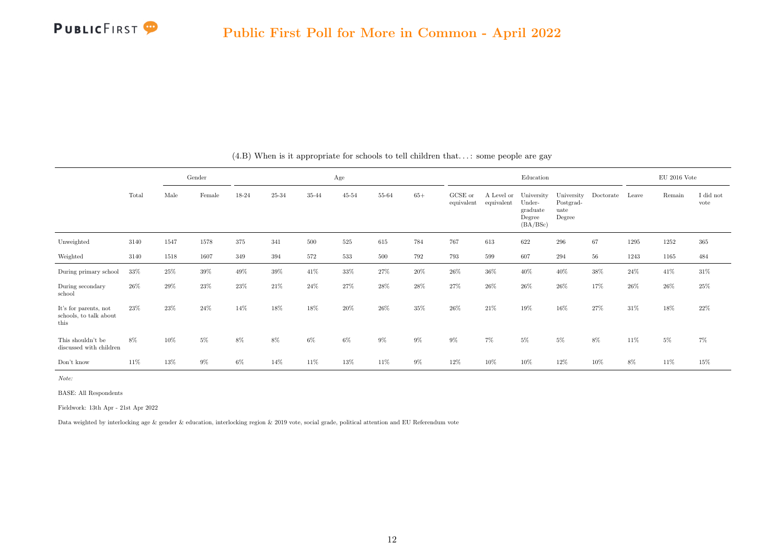|                                                         |       | Gender |        |       |           |       | Age            |           |       |                       |                          | Education                                              |                                           |           |        | $EU$ 2016 Vote |                               |
|---------------------------------------------------------|-------|--------|--------|-------|-----------|-------|----------------|-----------|-------|-----------------------|--------------------------|--------------------------------------------------------|-------------------------------------------|-----------|--------|----------------|-------------------------------|
|                                                         | Total | Male   | Female | 18-24 | $25 - 34$ | 35-44 | $45\hbox{-}54$ | $55 - 64$ | $65+$ | GCSE or<br>equivalent | A Level or<br>equivalent | University<br>Under-<br>graduate<br>Degree<br>(BA/BSc) | University<br>Postgrad-<br>uate<br>Degree | Doctorate | Leave  | Remain         | $\rm I$ did $\rm not$<br>vote |
| Unweighted                                              | 3140  | 1547   | 1578   | 375   | 341       | 500   | $525\,$        | 615       | 784   | 767                   | 613                      | 622                                                    | 296                                       | 67        | 1295   | 1252           | 365                           |
| Weighted                                                | 3140  | 1518   | 1607   | 349   | 394       | 572   | 533            | 500       | 792   | 793                   | 599                      | 607                                                    | 294                                       | $56\,$    | 1243   | 1165           | 484                           |
| During primary school                                   | 33%   | 25%    | $39\%$ | 49%   | 39%       | 41\%  | 33%            | 27%       | 20%   | 26%                   | 36%                      | 40%                                                    | 40%                                       | 38%       | 24%    | 41\%           | $31\%$                        |
| During secondary<br>school                              | 26\%  | 29%    | 23%    | 23%   | 21\%      | 24\%  | 27%            | 28%       | 28%   | 27%                   | 26\%                     | 26\%                                                   | 26\%                                      | 17%       | $26\%$ | 26%            | 25%                           |
| It's for parents, not<br>schools, to talk about<br>this | 23%   | 23%    | 24%    | 14%   | 18%       | 18%   | 20%            | 26%       | 35%   | 26%                   | 21%                      | 19%                                                    | 16%                                       | 27%       | 31%    | 18%            | $22\%$                        |
| This shouldn't be<br>discussed with children            | 8%    | 10%    | 5%     | 8%    | 8%        | $6\%$ | $6\%$          | $9\%$     | 9%    | $9\%$                 | $7\%$                    | $5\%$                                                  | 5%                                        | 8%        | 11%    | $5\%$          | $7\%$                         |
| Don't know                                              | 11%   | 13%    | $9\%$  | 6%    | 14%       | 11%   | 13%            | 11%       | 9%    | 12%                   | 10%                      | 10%                                                    | 12%                                       | 10%       | 8%     | 11%            | 15%                           |

(4.B) When is it appropriate for schools to tell children that. . . : some people are gay

Note:

BASE: All Respondents

Fieldwork: 13th Apr - 21st Apr 2022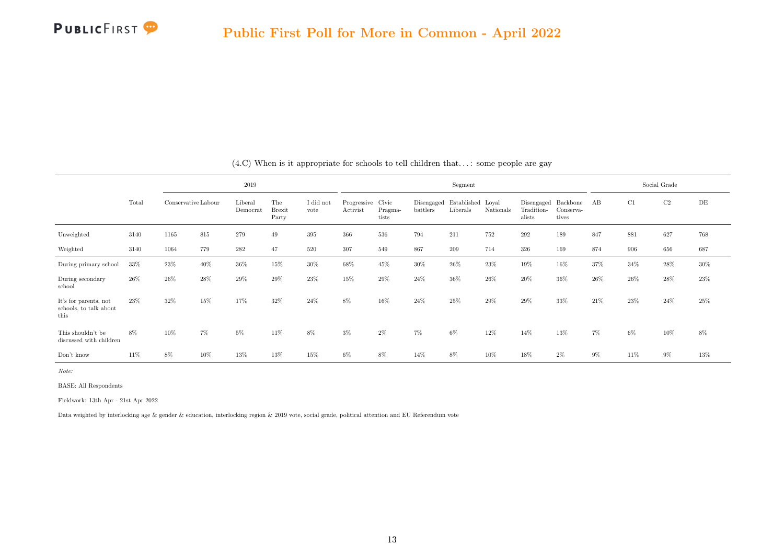|                                                         |       |                     |     | 2019                |                               |                   |                               |                  |                        | Segment                       |           |                                    |                                |        |        | Social Grade |        |
|---------------------------------------------------------|-------|---------------------|-----|---------------------|-------------------------------|-------------------|-------------------------------|------------------|------------------------|-------------------------------|-----------|------------------------------------|--------------------------------|--------|--------|--------------|--------|
|                                                         | Total | Conservative Labour |     | Liberal<br>Democrat | The<br><b>Brexit</b><br>Party | I did not<br>vote | Progressive Civic<br>Activist | Pragma-<br>tists | Disengaged<br>battlers | Established Loyal<br>Liberals | Nationals | Disengaged<br>Tradition-<br>alists | Backbone<br>Conserva-<br>tives | АB     | C1     | C2           | DE     |
| Unweighted                                              | 3140  | 1165                | 815 | 279                 | 49                            | 395               | 366                           | 536              | 794                    | 211                           | 752       | 292                                | 189                            | 847    | 881    | 627          | 768    |
| Weighted                                                | 3140  | 1064                | 779 | 282                 | 47                            | 520               | 307                           | 549              | 867                    | 209                           | 714       | 326                                | 169                            | 874    | 906    | 656          | 687    |
| During primary school                                   | 33%   | 23%                 | 40% | 36%                 | 15%                           | 30%               | 68%                           | 45%              | 30%                    | $26\%$                        | $23\%$    | 19%                                | 16%                            | 37%    | 34%    | 28%          | $30\%$ |
| During secondary<br>school                              | 26%   | 26%                 | 28% | 29%                 | 29%                           | 23%               | 15%                           | 29%              | 24%                    | $36\%$                        | $26\%$    | 20%                                | 36%                            | $26\%$ | 26%    | $28\%$       | 23%    |
| It's for parents, not<br>schools, to talk about<br>this | 23%   | 32%                 | 15% | 17%                 | 32%                           | 24\%              | 8%                            | 16%              | 24\%                   | 25%                           | $29\%$    | 29%                                | 33%                            | 21\%   | $23\%$ | $24\%$       | 25%    |
| This shouldn't be<br>discussed with children            | 8%    | 10%                 | 7%  | 5%                  | 11%                           | 8%                | $3\%$                         | $2\%$            | $7\%$                  | 6%                            | 12%       | 14%                                | 13%                            | $7\%$  | $6\%$  | $10\%$       | 8%     |
| Don't know                                              | 11%   | 8%                  | 10% | 13%                 | 13%                           | 15%               | 6%                            | 8%               | 14%                    | 8%                            | 10%       | 18%                                | $2\%$                          | 9%     | 11\%   | 9%           | 13%    |

 $(4.C)$  When is it appropriate for schools to tell children that...: some people are gay

Note:

BASE: All Respondents

Fieldwork: 13th Apr - 21st Apr 2022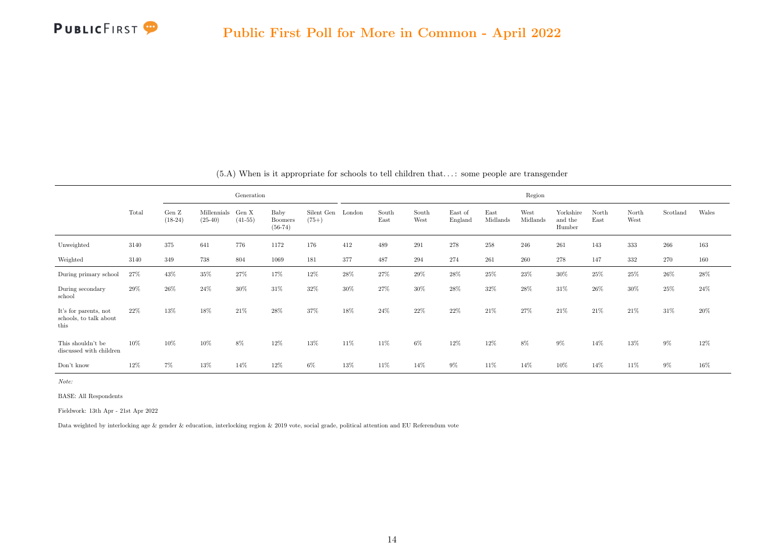

<span id="page-22-0"></span>

|                                                         |       |                              |                          | Generation         |                                     |                       |        |               |               |                    |                  | Region           |                                |               |               |          |       |
|---------------------------------------------------------|-------|------------------------------|--------------------------|--------------------|-------------------------------------|-----------------------|--------|---------------|---------------|--------------------|------------------|------------------|--------------------------------|---------------|---------------|----------|-------|
|                                                         | Total | Gen $\mathbf Z$<br>$(18-24)$ | Millennials<br>$(25-40)$ | Gen X<br>$(41-55)$ | Baby<br><b>Boomers</b><br>$(56-74)$ | Silent Gen<br>$(75+)$ | London | South<br>East | South<br>West | East of<br>England | East<br>Midlands | West<br>Midlands | Yorkshire<br>and the<br>Humber | North<br>East | North<br>West | Scotland | Wales |
| Unweighted                                              | 3140  | 375                          | 641                      | 776                | 1172                                | 176                   | 412    | 489           | 291           | 278                | 258              | 246              | 261                            | 143           | 333           | 266      | 163   |
| Weighted                                                | 3140  | 349                          | 738                      | 804                | 1069                                | 181                   | 377    | 487           | 294           | 274                | 261              | 260              | 278                            | 147           | 332           | 270      | 160   |
| During primary school                                   | 27%   | 43%                          | 35%                      | 27%                | 17%                                 | 12%                   | 28%    | 27%           | $29\%$        | 28\%               | $25\%$           | 23%              | $30\%$                         | 25%           | 25%           | 26%      | 28%   |
| During secondary<br>school                              | 29%   | $26\%$                       | 24%                      | 30%                | 31%                                 | 32%                   | 30%    | 27%           | 30%           | 28%                | 32%              | 28%              | 31%                            | 26%           | 30%           | 25%      | 24%   |
| It's for parents, not<br>schools, to talk about<br>this | 22%   | 13%                          | 18%                      | 21\%               | 28%                                 | 37%                   | 18%    | 24%           | 22%           | 22%                | 21\%             | 27%              | 21\%                           | 21%           | 21\%          | 31%      | 20%   |
| This shouldn't be<br>discussed with children            | 10%   | 10%                          | 10%                      | 8%                 | 12%                                 | 13%                   | 11%    | 11\%          | 6%            | 12%                | 12%              | 8%               | $9\%$                          | 14%           | 13%           | 9%       | 12%   |
| Don't know                                              | 12%   | 7%                           | 13%                      | 14%                | 12%                                 | 6%                    | 13%    | 11%           | 14%           | $9\%$              | 11%              | 14%              | 10%                            | 14%           | 11\%          | 9%       | 16%   |

(5.A) When is it appropriate for schools to tell children that. . . : some people are transgender

Note:

BASE: All Respondents

Fieldwork: 13th Apr - 21st Apr 2022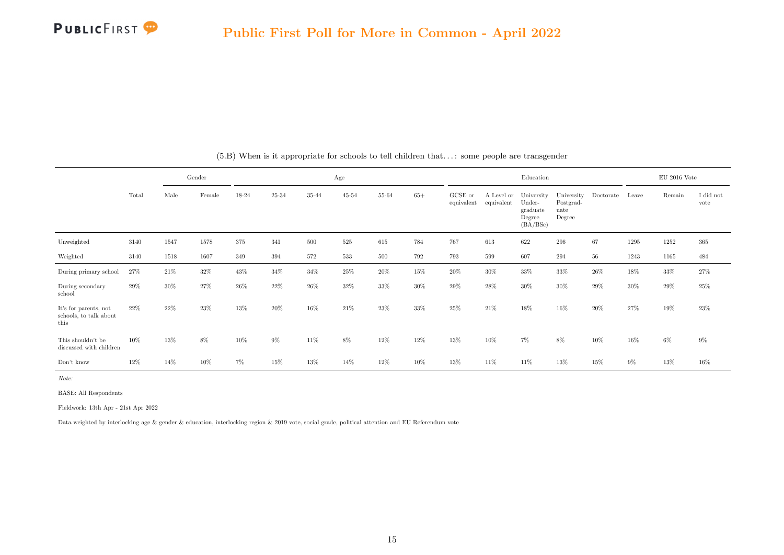|                                                         |       |        | Gender |       |        |       | Age       |         |       |                       |                          | Education                                              |                                           |           |       | $\mathrm{EU}$ 2016 Vote |                   |
|---------------------------------------------------------|-------|--------|--------|-------|--------|-------|-----------|---------|-------|-----------------------|--------------------------|--------------------------------------------------------|-------------------------------------------|-----------|-------|-------------------------|-------------------|
|                                                         | Total | Male   | Female | 18-24 | 25-34  | 35-44 | $45 - 54$ | 55-64   | $65+$ | GCSE or<br>equivalent | A Level or<br>equivalent | University<br>Under-<br>graduate<br>Degree<br>(BA/BSc) | University<br>Postgrad-<br>uate<br>Degree | Doctorate | Leave | Remain                  | I did not<br>vote |
| Unweighted                                              | 3140  | 1547   | 1578   | 375   | 341    | 500   | 525       | 615     | 784   | 767                   | 613                      | 622                                                    | 296                                       | 67        | 1295  | 1252                    | $365\,$           |
| Weighted                                                | 3140  | 1518   | 1607   | 349   | 394    | 572   | 533       | $500\,$ | 792   | 793                   | 599                      | 607                                                    | 294                                       | $56\,$    | 1243  | 1165                    | 484               |
| During primary school                                   | 27%   | 21\%   | $32\%$ | 43%   | $34\%$ | 34%   | 25%       | $20\%$  | 15%   | 20%                   | 30%                      | 33%                                                    | 33%                                       | $26\%$    | 18%   | 33%                     | $27\%$            |
| During secondary<br>school                              | 29%   | $30\%$ | 27%    | 26%   | 22%    | 26%   | 32%       | 33%     | 30%   | 29%                   | 28%                      | $30\%$                                                 | 30%                                       | 29%       | 30%   | 29%                     | 25%               |
| It's for parents, not<br>schools, to talk about<br>this | 22%   | 22%    | 23%    | 13%   | 20%    | 16%   | 21\%      | $23\%$  | 33%   | 25%                   | 21%                      | 18%                                                    | 16%                                       | 20%       | 27%   | 19%                     | 23%               |
| This shouldn't be<br>discussed with children            | 10%   | 13%    | 8%     | 10%   | 9%     | 11%   | 8%        | 12%     | 12%   | 13%                   | 10%                      | $7\%$                                                  | 8%                                        | 10%       | 16%   | $6\%$                   | $9\%$             |
| Don't know                                              | 12%   | 14%    | 10%    | 7%    | 15%    | 13%   | 14%       | 12%     | 10%   | 13%                   | 11%                      | 11%                                                    | 13%                                       | 15%       | $9\%$ | 13%                     | 16%               |

(5.B) When is it appropriate for schools to tell children that. . . : some people are transgender

Note:

BASE: All Respondents

Fieldwork: 13th Apr - 21st Apr 2022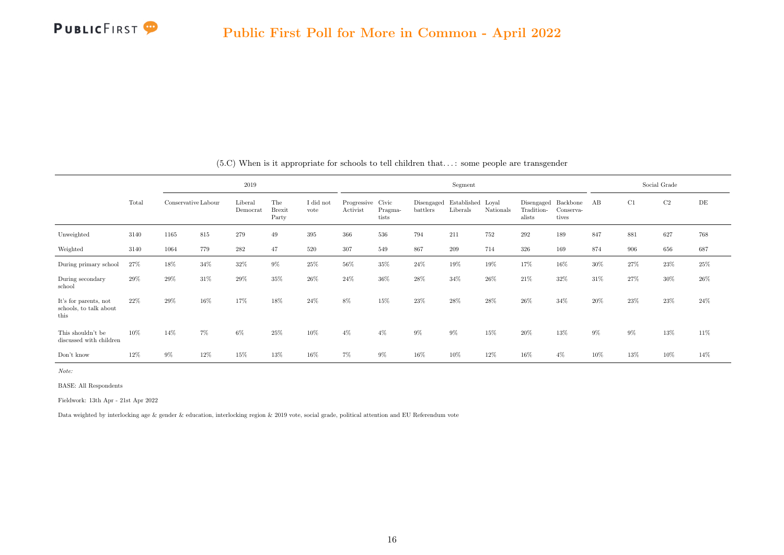|                                                         |       |                     |     | 2019                |                               |                   |                               |                  |                        | Segment                       |           |                                    |                                |       |        | Social Grade |        |
|---------------------------------------------------------|-------|---------------------|-----|---------------------|-------------------------------|-------------------|-------------------------------|------------------|------------------------|-------------------------------|-----------|------------------------------------|--------------------------------|-------|--------|--------------|--------|
|                                                         | Total | Conservative Labour |     | Liberal<br>Democrat | The<br><b>Brexit</b><br>Party | I did not<br>vote | Progressive Civic<br>Activist | Pragma-<br>tists | Disengaged<br>battlers | Established Loyal<br>Liberals | Nationals | Disengaged<br>Tradition-<br>alists | Backbone<br>Conserva-<br>tives | AB    | C1     | $\rm{C2}$    | DE     |
| Unweighted                                              | 3140  | 1165                | 815 | 279                 | 49                            | 395               | 366                           | 536              | 794                    | 211                           | 752       | 292                                | 189                            | 847   | 881    | 627          | 768    |
| Weighted                                                | 3140  | 1064                | 779 | 282                 | 47                            | 520               | 307                           | 549              | 867                    | 209                           | 714       | 326                                | 169                            | 874   | 906    | 656          | 687    |
| During primary school                                   | 27%   | 18%                 | 34% | 32%                 | $9\%$                         | 25%               | 56%                           | 35%              | 24\%                   | 19%                           | 19%       | 17%                                | 16%                            | 30%   | 27%    | $23\%$       | $25\%$ |
| During secondary<br>school                              | 29%   | 29%                 | 31% | 29%                 | 35%                           | 26%               | 24\%                          | $36\%$           | 28%                    | 34%                           | $26\%$    | $21\%$                             | $32\%$                         | 31%   | 27%    | 30%          | $26\%$ |
| It's for parents, not<br>schools, to talk about<br>this | 22\%  | 29%                 | 16% | 17%                 | 18%                           | 24\%              | 8%                            | 15%              | 23%                    | 28%                           | 28%       | 26\%                               | 34%                            | 20%   | $23\%$ | $23\%$       | 24\%   |
| This shouldn't be<br>discussed with children            | 10%   | 14%                 | 7%  | 6%                  | 25%                           | 10%               | $4\%$                         | $4\%$            | 9%                     | $9\%$                         | 15%       | 20%                                | 13%                            | $9\%$ | $9\%$  | 13%          | 11%    |
| Don't know                                              | 12%   | 9%                  | 12% | 15%                 | 13%                           | 16%               | $7\%$                         | $9\%$            | 16%                    | 10%                           | 12%       | 16%                                | $4\%$                          | 10%   | 13%    | 10%          | 14%    |

(5.C) When is it appropriate for schools to tell children that. . . : some people are transgender

Note:

BASE: All Respondents

Fieldwork: 13th Apr - 21st Apr 2022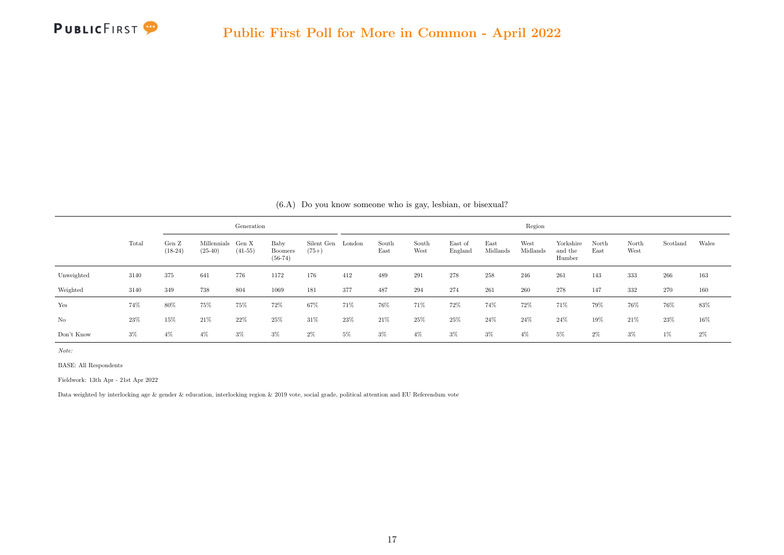

<span id="page-25-0"></span>

|            |       |                    |                                | Generation |                                     |                              |        |               |               |                    |                  | Region           |                                |               |               |          |       |
|------------|-------|--------------------|--------------------------------|------------|-------------------------------------|------------------------------|--------|---------------|---------------|--------------------|------------------|------------------|--------------------------------|---------------|---------------|----------|-------|
|            | Total | Gen Z<br>$(18-24)$ | Millennials Gen X<br>$(25-40)$ | $(41-55)$  | Baby<br><b>Boomers</b><br>$(56-74)$ | Silent Gen London<br>$(75+)$ |        | South<br>East | South<br>West | East of<br>England | East<br>Midlands | West<br>Midlands | Yorkshire<br>and the<br>Humber | North<br>East | North<br>West | Scotland | Wales |
| Unweighted | 3140  | 375                | 641                            | 776        | 1172                                | 176                          | 412    | 489           | 291           | 278                | 258              | 246              | 261                            | 143           | 333           | 266      | 163   |
| Weighted   | 3140  | 349                | 738                            | 804        | 1069                                | 181                          | 377    | 487           | 294           | 274                | 261              | 260              | 278                            | 147           | 332           | 270      | 160   |
| Yes        | 74%   | 80%                | 75%                            | 75%        | 72%                                 | 67%                          | 71%    | 76%           | 71%           | 72%                | 74%              | $72\%$           | $71\%$                         | 79%           | 76%           | 76%      | 83%   |
| No         | 23%   | 15%                | 21%                            | $22\%$     | $25\%$                              | 31\%                         | $23\%$ | 21%           | 25%           | 25%                | $24\%$           | $24\%$           | $24\%$                         | 19%           | 21%           | 23%      | 16%   |
| Don't Know | $3\%$ | $4\%$              | $4\%$                          | $3\%$      | 3%                                  | $2\%$                        | 5%     | $3\%$         | $4\%$         | $3\%$              | $3\%$            | $4\%$            | 5%                             | $2\%$         | $3\%$         | $1\%$    | $2\%$ |

(6.A) Do you know someone who is gay, lesbian, or bisexual?

Note:

BASE: All Respondents

Fieldwork: 13th Apr - 21st Apr 2022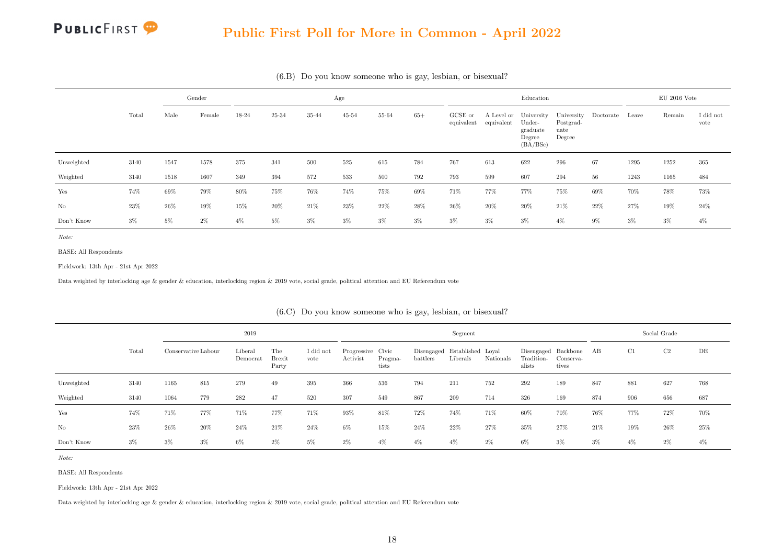#### Public First Poll for More in Common - April 2022

|            |       |       | Gender |       |       |       | Age       |       |        |                       |            | Education                                                         |                                           |           |       | $EU$ 2016 Vote |                   |
|------------|-------|-------|--------|-------|-------|-------|-----------|-------|--------|-----------------------|------------|-------------------------------------------------------------------|-------------------------------------------|-----------|-------|----------------|-------------------|
|            | Total | Male  | Female | 18-24 | 25-34 | 35-44 | $45 - 54$ | 55-64 | $65+$  | GCSE or<br>equivalent | equivalent | A Level or University<br>Under-<br>graduate<br>Degree<br>(BA/BSc) | University<br>Postgrad-<br>uate<br>Degree | Doctorate | Leave | Remain         | I did not<br>vote |
| Unweighted | 3140  | 1547  | 1578   | 375   | 341   | 500   | 525       | 615   | 784    | 767                   | 613        | 622                                                               | 296                                       | 67        | 1295  | 1252           | 365               |
| Weighted   | 3140  | 1518  | 1607   | 349   | 394   | 572   | 533       | 500   | 792    | 793                   | 599        | 607                                                               | 294                                       | 56        | 1243  | 1165           | 484               |
| Yes        | 74%   | 69%   | 79%    | 80%   | 75%   | 76%   | 74%       | 75%   | $69\%$ | 71%                   | 77%        | 77%                                                               | 75%                                       | 69%       | 70%   | 78%            | 73%               |
| No         | 23%   | 26%   | 19%    | 15%   | 20%   | 21%   | $23\%$    | 22%   | 28%    | 26%                   | 20%        | 20%                                                               | 21%                                       | 22%       | 27%   | 19%            | $24\%$            |
| Don't Know | $3\%$ | $5\%$ | $2\%$  | 4%    | 5%    | $3\%$ | $3\%$     | $3\%$ | $3\%$  | $3\%$                 | $3\%$      | $3\%$                                                             | $4\%$                                     | $9\%$     | 3%    | $3\%$          | $4\%$             |

(6.B) Do you know someone who is gay, lesbian, or bisexual?

Note:

BASE: All Respondents

Fieldwork: 13th Apr - 21st Apr 2022

Data weighted by interlocking age & gender & education, interlocking region & 2019 vote, social grade, political attention and EU Referendum vote

|            |       |                     |       | 2019                |                               |                   |                               |                  |          | Segment                                  |           |                      |                                              |       |       | Social Grade |        |
|------------|-------|---------------------|-------|---------------------|-------------------------------|-------------------|-------------------------------|------------------|----------|------------------------------------------|-----------|----------------------|----------------------------------------------|-------|-------|--------------|--------|
|            | Total | Conservative Labour |       | Liberal<br>Democrat | The<br><b>Brexit</b><br>Party | I did not<br>vote | Progressive Civic<br>Activist | Pragma-<br>tists | battlers | Disengaged Established Loyal<br>Liberals | Nationals | Tradition-<br>alists | Disengaged Backbone AB<br>Conserva-<br>tives |       | C1    | C2           | DE     |
| Unweighted | 3140  | 1165                | 815   | 279                 | 49                            | 395               | 366                           | 536              | 794      | 211                                      | 752       | 292                  | 189                                          | 847   | 881   | 627          | 768    |
| Weighted   | 3140  | 1064                | 779   | 282                 | 47                            | 520               | 307                           | 549              | 867      | 209                                      | 714       | 326                  | 169                                          | 874   | 906   | 656          | 687    |
| Yes        | 74%   | 71%                 | 77%   | 71%                 | 77%                           | 71%               | 93%                           | 81\%             | 72%      | 74%                                      | 71%       | 60%                  | 70%                                          | 76%   | 77%   | 72%          | 70%    |
| No         | 23%   | $26\%$              | 20%   | 24%                 | 21\%                          | 24%               | $6\%$                         | 15%              | 24%      | 22%                                      | 27%       | 35%                  | 27%                                          | 21%   | 19%   | $26\%$       | $25\%$ |
| Don't Know | $3\%$ | $3\%$               | $3\%$ | $6\%$               | $2\%$                         | $5\%$             | $2\%$                         | $4\%$            | $4\%$    | $4\%$                                    | $2\%$     | 6%                   | $3\%$                                        | $3\%$ | $4\%$ | $2\%$        | $4\%$  |

(6.C) Do you know someone who is gay, lesbian, or bisexual?

Note:

BASE: All Respondents

Fieldwork: 13th Apr - 21st Apr 2022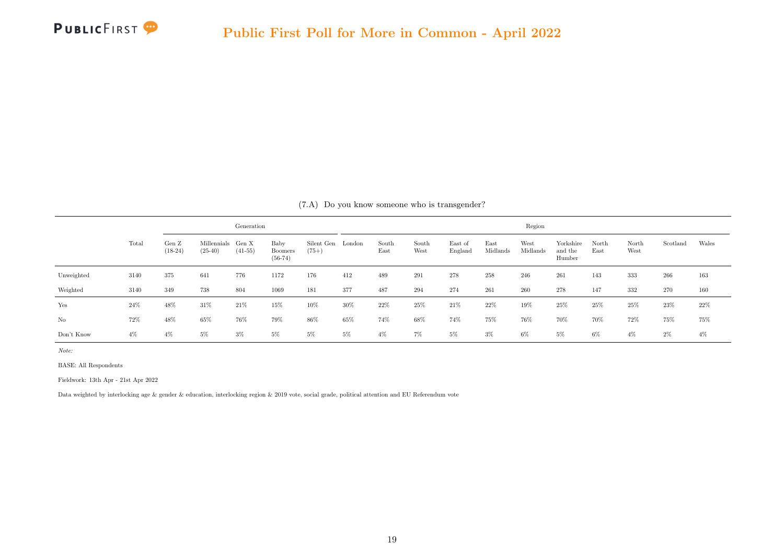

<span id="page-27-0"></span>

|            |       |                    |                                | Generation |                                     |                              |        |               |               |                    |                  | Region           |                                |               |               |          |       |
|------------|-------|--------------------|--------------------------------|------------|-------------------------------------|------------------------------|--------|---------------|---------------|--------------------|------------------|------------------|--------------------------------|---------------|---------------|----------|-------|
|            | Total | Gen Z<br>$(18-24)$ | Millennials Gen X<br>$(25-40)$ | $(41-55)$  | Baby<br><b>Boomers</b><br>$(56-74)$ | Silent Gen London<br>$(75+)$ |        | South<br>East | South<br>West | East of<br>England | East<br>Midlands | West<br>Midlands | Yorkshire<br>and the<br>Humber | North<br>East | North<br>West | Scotland | Wales |
| Unweighted | 3140  | 375                | 641                            | 776        | 1172                                | 176                          | 412    | 489           | 291           | 278                | 258              | 246              | 261                            | 143           | 333           | 266      | 163   |
| Weighted   | 3140  | 349                | 738                            | 804        | 1069                                | 181                          | 377    | 487           | 294           | 274                | 261              | 260              | 278                            | 147           | 332           | 270      | 160   |
| Yes        | 24%   | 48%                | 31\%                           | 21\%       | 15%                                 | $10\%$                       | $30\%$ | 22%           | 25%           | 21%                | 22%              | 19%              | 25%                            | 25%           | 25%           | 23%      | 22%   |
| No         | 72%   | 48%                | 65%                            | 76%        | 79%                                 | 86%                          | 65%    | 74%           | 68%           | 74%                | $75\%$           | 76%              | 70%                            | 70%           | 72%           | 75%      | 75%   |
| Don't Know | $4\%$ | $4\%$              | 5%                             | $3\%$      | $5\%$                               | $5\%$                        | $5\%$  | $4\%$         | $7\%$         | $5\%$              | $3\%$            | 6%               | $5\%$                          | $6\%$         | $4\%$         | $2\%$    | $4\%$ |

(7.A) Do you know someone who is transgender?

Note:

BASE: All Respondents

Fieldwork: 13th Apr - 21st Apr 2022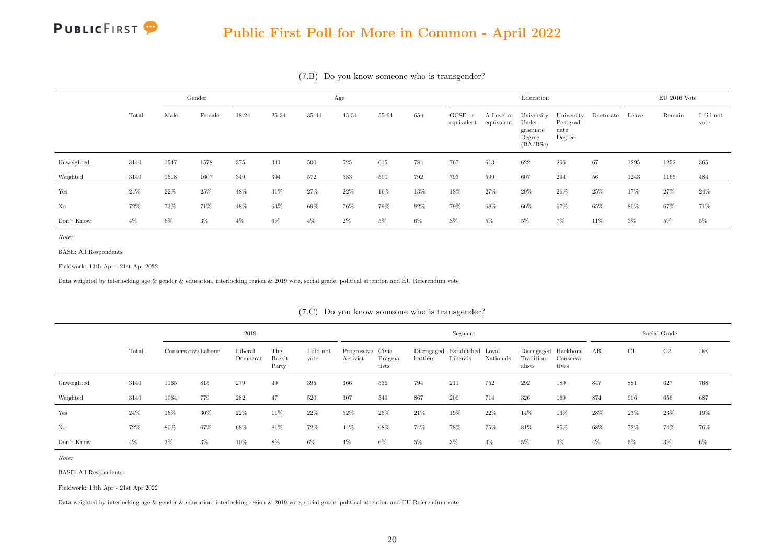#### Public First Poll for More in Common - April 2022

|            |       |       | Gender |       |       |       | Age       |       |       |                       |            | Education                                                         |                                           |           |       | $EU$ 2016 Vote |                   |
|------------|-------|-------|--------|-------|-------|-------|-----------|-------|-------|-----------------------|------------|-------------------------------------------------------------------|-------------------------------------------|-----------|-------|----------------|-------------------|
|            | Total | Male  | Female | 18-24 | 25-34 | 35-44 | $45 - 54$ | 55-64 | $65+$ | GCSE or<br>equivalent | equivalent | A Level or University<br>Under-<br>graduate<br>Degree<br>(BA/BSc) | University<br>Postgrad-<br>uate<br>Degree | Doctorate | Leave | Remain         | I did not<br>vote |
| Unweighted | 3140  | 1547  | 1578   | 375   | 341   | 500   | 525       | 615   | 784   | 767                   | 613        | 622                                                               | 296                                       | 67        | 1295  | 1252           | 365               |
| Weighted   | 3140  | 1518  | 1607   | 349   | 394   | 572   | 533       | 500   | 792   | 793                   | 599        | 607                                                               | 294                                       | 56        | 1243  | 1165           | 484               |
| Yes        | 24\%  | 22\%  | 25%    | 48%   | 31%   | 27%   | $22\%$    | 16%   | 13%   | $18\%$                | 27%        | 29%                                                               | 26%                                       | 25%       | 17%   | 27%            | 24%               |
| No         | 72%   | 73%   | 71%    | 48%   | 63%   | 69%   | 76%       | 79%   | 82%   | 79%                   | 68%        | 66%                                                               | 67%                                       | 65%       | 80%   | 67%            | 71%               |
| Don't Know | $4\%$ | $6\%$ | $3\%$  | 4%    | 6%    | $4\%$ | $2\%$     | $5\%$ | $6\%$ | $3\%$                 | 5%         | $5\%$                                                             | $7\%$                                     | 11%       | 3%    | 5%             | 5%                |

(7.B) Do you know someone who is transgender?

Note:

BASE: All Respondents

Fieldwork: 13th Apr - 21st Apr 2022

Data weighted by interlocking age & gender & education, interlocking region & 2019 vote, social grade, political attention and EU Referendum vote

|            |       |                     |       | 2019                |                               |                   |                               |                  |          | Segment                                  |           |                      |                                              |       |     | Social Grade |     |
|------------|-------|---------------------|-------|---------------------|-------------------------------|-------------------|-------------------------------|------------------|----------|------------------------------------------|-----------|----------------------|----------------------------------------------|-------|-----|--------------|-----|
|            | Total | Conservative Labour |       | Liberal<br>Democrat | The<br><b>Brexit</b><br>Party | I did not<br>vote | Progressive Civic<br>Activist | Pragma-<br>tists | battlers | Disengaged Established Loyal<br>Liberals | Nationals | Tradition-<br>alists | Disengaged Backbone AB<br>Conserva-<br>tives |       | C1  | C2           | DE  |
| Unweighted | 3140  | 1165                | 815   | 279                 | 49                            | 395               | 366                           | 536              | 794      | 211                                      | 752       | 292                  | 189                                          | 847   | 881 | 627          | 768 |
| Weighted   | 3140  | 1064                | 779   | 282                 | 47                            | 520               | 307                           | 549              | 867      | 209                                      | 714       | 326                  | 169                                          | 874   | 906 | 656          | 687 |
| Yes        | 24%   | 16%                 | 30%   | 22%                 | 11%                           | 22\%              | 52%                           | 25%              | 21%      | 19%                                      | 22\%      | 14%                  | 13%                                          | 28%   | 23% | 23%          | 19% |
| No         | 72%   | 80%                 | 67%   | 68%                 | 81\%                          | 72%               | 44%                           | 68%              | 74%      | 78%                                      | 75%       | 81%                  | 85%                                          | 68%   | 72% | 74%          | 76% |
| Don't Know | $4\%$ | 3%                  | $3\%$ | 10%                 | $8\%$                         | $6\%$             | $4\%$                         | 6%               | 5%       | $3\%$                                    | $3\%$     | 5%                   | $3\%$                                        | $4\%$ | 5%  | $3\%$        | 6%  |

(7.C) Do you know someone who is transgender?

Note:

BASE: All Respondents

Fieldwork: 13th Apr - 21st Apr 2022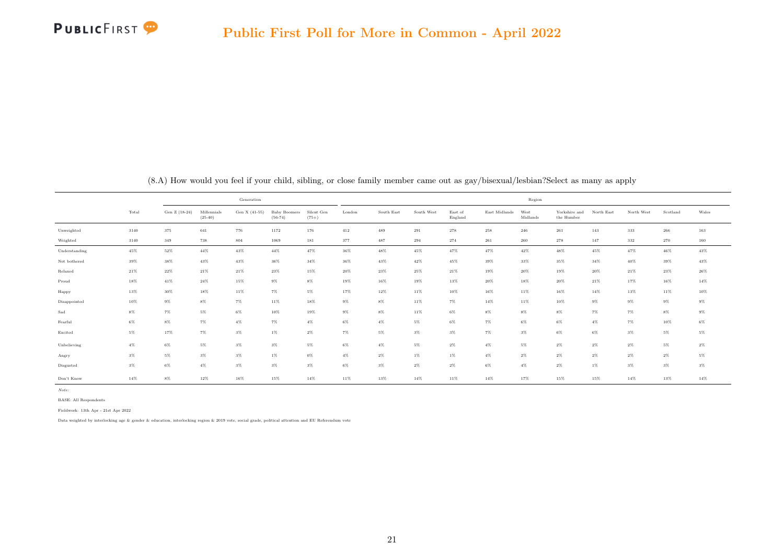

<span id="page-29-0"></span>

|               |        |               |                          | Generation    |                                  |                       |        |            |            |                    |               | Region           |                             |            |            |          |        |
|---------------|--------|---------------|--------------------------|---------------|----------------------------------|-----------------------|--------|------------|------------|--------------------|---------------|------------------|-----------------------------|------------|------------|----------|--------|
|               | Total  | Gen Z (18-24) | Millennials<br>$(25-40)$ | Gen X (41-55) | <b>Baby Boomers</b><br>$(56-74)$ | Silent Gen<br>$(75+)$ | London | South East | South West | East of<br>England | East Midlands | West<br>Midlands | Yorkshire and<br>the Humber | North East | North West | Scotland | Wales  |
| Unweighted    | 3140   | 375           | 641                      | 776           | 1172                             | 176                   | 412    | 489        | 291        | 278                | 258           | 246              | $261\,$                     | 143        | 333        | 266      | 163    |
| Weighted      | 3140   | $349\,$       | 738                      | 804           | 1069                             | 181                   | 377    | 487        | 294        | 274                | 261           | 260              | 278                         | 147        | 332        | 270      | 160    |
| Understanding | 45%    | 52%           | $44\%$                   | 43%           | $44\%$                           | 47%                   | 36%    | $48\%$     | 45%        | 47%                | 47%           | 42%              | 48%                         | 45%        | 47%        | 46%      | 43%    |
| Not bothered  | 39%    | 38%           | 43%                      | 43%           | $36\%$                           | $34\%$                | 36%    | 43%        | $42\%$     | 45%                | 39%           | 33%              | 35%                         | 34%        | 40%        | 39%      | 43%    |
| Relaxed       | $21\%$ | $22\%$        | $21\%$                   | $21\%$        | $23\%$                           | 15%                   | $20\%$ | $23\%$     | $25\%$     | $21\%$             | 19%           | 20%              | 19%                         | 20%        | 21%        | $23\%$   | 26%    |
| Proud         | 18%    | $41\%$        | $24\%$                   | 15%           | $9\%$                            | $8\%$                 | 19%    | 16%        | 19%        | 13%                | $20\%$        | 18%              | 20%                         | 21%        | 17%        | 16%      | $14\%$ |
| Happy         | 13%    | $30\%$        | 18%                      | 11%           | $7\%$                            | 5%                    | 17%    | 12%        | 11%        | 10%                | 16%           | 11%              | 16%                         | 14%        | 13%        | 11%      | 10%    |
| Disappointed  | 10%    | $9\%$         | $8\%$                    | $7\%$         | 11%                              | 18%                   | $9\%$  | $8\%$      | 11%        | $7\%$              | 14%           | 11%              | 10%                         | $9\%$      | $9\%$      | $9\%$    | $9\%$  |
| Sad           | $8\%$  | $7\%$         | $5\%$                    | $6\%$         | 10%                              | 19%                   | $9\%$  | $8\%$      | 11%        | $6\%$              | $8\%$         | $8\%$            | $8\%$                       | $7\%$      | $7\%$      | $8\%$    | $9\%$  |
| Fearful       | $6\%$  | $8\%$         | $7\%$                    | $4\%$         | $7\%$                            | $4\%$                 | $6\%$  | $4\%$      | $5\%$      | $6\%$              | $7\%$         | $6\%$            | 6%                          | $4\%$      | $7\%$      | 10%      | $6\%$  |
| Excited       | 5%     | 17%           | $7\%$                    | $3\%$         | $1\%$                            | $2\%$                 | $7\%$  | $5\%$      | $3\%$      | $3\%$              | $7\%$         | $3\%$            | $6\%$                       | $6\%$      | $3\%$      | $5\%$    | $5\%$  |
| Unbelieving   | $4\%$  | $6\%$         | $5\%$                    | $3\%$         | $3\%$                            | 5%                    | $6\%$  | $4\%$      | $5\%$      | $2\%$              | $4\%$         | $5\%$            | $2\%$                       | $2\%$      | $2\%$      | $5\%$    | $2\%$  |
| Angry         | $3\%$  | $5\%$         | $3\%$                    | $3\%$         | $1\%$                            | $0\%$                 | $4\%$  | $2\%$      | $1\%$      | $1\%$              | $4\%$         | $2\%$            | $2\%$                       | $2\%$      | $2\%$      | $2\%$    | $5\%$  |
| Disgusted     | $3\%$  | $6\%$         | $4\%$                    | $3\%$         | $3\%$                            | $3\%$                 | $6\%$  | $3\%$      | $2\%$      | $2\%$              | $6\%$         | $4\%$            | $2\%$                       | $1\%$      | $3\%$      | $3\%$    | $3\%$  |
| Don't Know    | $14\%$ | $8\%$         | $12\%$                   | $16\%$        | $15\%$                           | $14\%$                | $11\%$ | $13\%$     | $14\%$     | 11%                | $14\%$        | 17%              | 15%                         | $15\%$     | $14\%$     | $13\%$   | $14\%$ |

(8.A) How would you feel if your child, sibling, or close family member came out as gay/bisexual/lesbian?Select as many as apply

Note:

BASE: All Respondents

Fieldwork: 13th Apr - 21st Apr 2022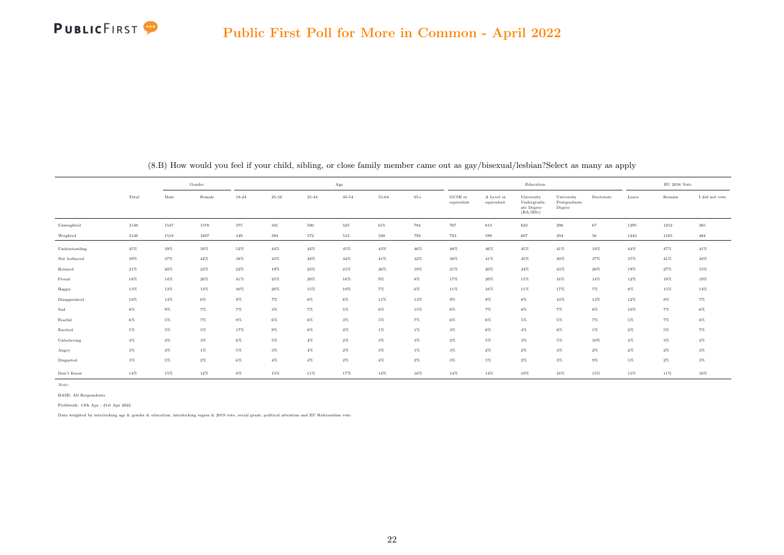

|                   |        | Gender<br>Female<br>Male |        |           |           |        | $_{\rm Age}$ |        |         |                                |                          | Education                                           |                                      |             |       | $\mathrm{EU}$ 2016 Vote |                |
|-------------------|--------|--------------------------|--------|-----------|-----------|--------|--------------|--------|---------|--------------------------------|--------------------------|-----------------------------------------------------|--------------------------------------|-------------|-------|-------------------------|----------------|
|                   | Total  |                          |        | $18 - 24$ | $25 - 34$ | 35-44  | $45 - 54$    | 55-64  | $65+$   | $_{\rm GCSE~or}$<br>equivalent | A Level or<br>equivalent | University<br>Undergradu-<br>ate Degree<br>(BA/BSc) | University<br>Postgraduate<br>Degree | Doctorate   | Leave | Remain                  | I did not vote |
| Unweighted        | 3140   | 1547                     | 1578   | 375       | $341\,$   | 500    | $525\,$      | 615    | $784\,$ | 767                            | 613                      | 622                                                 | 296                                  | 67          | 1295  | 1252                    | $365\,$        |
| Weighted          | 3140   | 1518                     | 1607   | 349       | 394       | 572    | 533          | 500    | 792     | 793                            | 599                      | 607                                                 | 294                                  | $^{\rm 56}$ | 1243  | 1165                    | 484            |
| Understanding     | $45\%$ | 39%                      | 50%    | 52%       | 44%       | $42\%$ | 45%          | 43%    | $46\%$  | $48\%$                         | 46%                      | 45%                                                 | $41\%$                               | 33%         | 44%   | 47%                     | $41\%$         |
| Not bothered      | 39%    | 37%                      | 42%    | 38%       | 43%       | $42\%$ | $44\%$       | 41%    | $32\%$  | 38%                            | 41%                      | 45%                                                 | $30\%$                               | 37%         | 37%   | 41%                     | $42\%$         |
| Relaxed           | 21%    | $20\%$                   | $23\%$ | $22\%$    | 19%       | $23\%$ | $21\%$       | $26\%$ | 19%     | $21\%$                         | $20\%$                   | $24\%$                                              | $23\%$                               | 20%         | 19%   | 27%                     | 15%            |
| Proud             | 18%    | $14\%$                   | $20\%$ | 41%       | 25%       | $20\%$ | $16\%$       | $9\%$  | $8\%$   | 17%                            | $20\%$                   | 15%                                                 | 16%                                  | $14\%$      | 12%   | 19%                     | 19%            |
| Happy             | 13%    | 13%                      | 13%    | 30%       | 20%       | 15%    | 10%          | $7\%$  | $6\%$   | 11%                            | 16%                      | 11%                                                 | 17%                                  | $7\%$       | $8\%$ | 15%                     | $14\%$         |
| Disappointed      | 10%    | 13%                      | $6\%$  | $9\%$     | $7\%$     | $8\%$  | $6\%$        | 11%    | 13%     | $9\%$                          | $9\%$                    | $8\%$                                               | 10%                                  | 13%         | 12%   | $8\%$                   | $7\%$          |
| $_{\mathrm{Sad}}$ | $8\%$  | $9\%$                    | $7\%$  | $7\%$     | $3\%$     | $7\%$  | $5\%$        | $6\%$  | $15\%$  | $8\%$                          | $7\%$                    | $8\%$                                               | $7\%$                                | $8\%$       | 10%   | $7\%$                   | $6\%$          |
| Fearful           | $6\%$  | $5\%$                    | $7\%$  | $8\%$     | $6\%$     | $6\%$  | $3\%$        | $5\%$  | $7\%$   | $6\%$                          | $6\%$                    | $5\%$                                               | $5\%$                                | $7\%$       | $5\%$ | $7\%$                   | $6\%$          |
| Excited           | $5\%$  | $5\%$                    | $5\%$  | $17\%$    | $9\%$     | $6\%$  | $2\%$        | $1\%$  | $1\%$   | $3\%$                          | $6\%$                    | $4\%$                                               | $8\%$                                | $1\%$       | $2\%$ | $5\%$                   | $7\%$          |
| Unbelieving       | $4\%$  | $4\%$                    | $3\%$  | $6\%$     | $5\%$     | $4\%$  | $2\%$        | $3\%$  | $3\%$   | $2\%$                          | $5\%$                    | $3\%$                                               | $5\%$                                | 10%         | $4\%$ | $3\%$                   | $4\%$          |
| Angry             | $3\%$  | $4\%$                    | $1\%$  | $5\%$     | $3\%$     | $4\%$  | $2\%$        | $3\%$  | $1\%$   | $3\%$                          | $2\%$                    | $2\%$                                               | $4\%$                                | $2\%$       | 2%    | $2\%$                   | $3\%$          |
| Disgusted         | $3\%$  | $5\%$                    | $2\%$  | $6\%$     | $4\%$     | $4\%$  | $2\%$        | $4\%$  | $2\%$   | $3\%$                          | $5\%$                    | $2\%$                                               | $3\%$                                | $9\%$       | $5\%$ | $2\%$                   | $3\%$          |
| Don't Know        | $14\%$ | 15%                      | 12%    | $8\%$     | 15%       | 11%    | 17%          | 14%    | 16%     | 14%                            | 14%                      | 10%                                                 | 16%                                  | 15%         | 15%   | 11%                     | 16%            |

(8.B) How would you feel if your child, sibling, or close family member came out as gay/bisexual/lesbian?Select as many as apply

Note:

BASE: All Respondents

Fieldwork: 13th Apr - 21st Apr 2022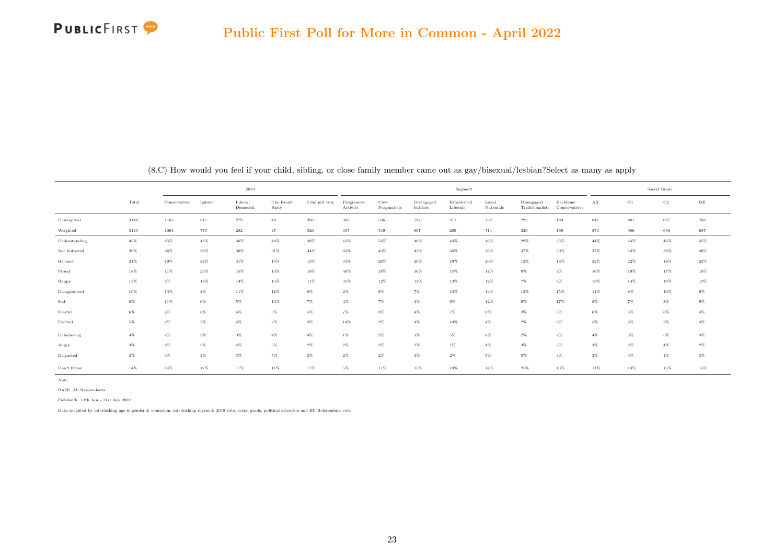

|               |        |              |        | 2019                |                     |                |                         |                      |                        | Segment                 |                    |                               |                           |                      |             | Social Grade |        |
|---------------|--------|--------------|--------|---------------------|---------------------|----------------|-------------------------|----------------------|------------------------|-------------------------|--------------------|-------------------------------|---------------------------|----------------------|-------------|--------------|--------|
|               | Total  | Conservative | Labour | Liberal<br>Democrat | The Brexit<br>Party | I did not vote | Progressive<br>Activist | Civic<br>Pragmatists | Disengaged<br>battlers | Established<br>Liberals | Loyal<br>Nationals | Disengaged<br>Traditionalists | Backbone<br>Conservatives | $\mathbf A\mathbf B$ | $_{\rm C1}$ | $_{\rm C2}$  | DE     |
| Unweighted    | 3140   | 1165         | 815    | 279                 | 49                  | 395            | 366                     | 536                  | 794                    | 211                     | 752                | $\bf 292$                     | 189                       | 847                  | 881         | 627          | 768    |
| Weighted      | 3140   | 1064         | 779    | 282                 | 47                  | $520\,$        | 307                     | 549                  | 867                    | 209                     | 714                | 326                           | 169                       | 874                  | 906         | 656          | 687    |
| Understanding | 45%    | $45\%$       | 48%    | $46\%$              | $48\%$              | $38\%$         | $62\%$                  | $54\%$               | $40\%$                 | $44\%$                  | 46%                | 29%                           | 35%                       | $44\%$               | $44\%$      | $46\%$       | $45\%$ |
| Not bothered  | 39%    | $36\%$       | 38%    | 38%                 | 31%                 | $44\%$         | $42\%$                  | 43%                  | 43%                    | $34\%$                  | 36%                | 37%                           | 30%                       | 37%                  | 42%         | 38%          | $40\%$ |
| Relaxed       | 21%    | 19%          | $24\%$ | 31%                 | 15%                 | 13%            | 33%                     | $28\%$               | $20\%$                 | 19%                     | $20\%$             | 12%                           | 16%                       | $22\%$               | $22\%$      | 18%          | $22\%$ |
| Proud         | 18%    | 11%          | $23\%$ | 15%                 | $14\%$              | 18%            | 40%                     | 18%                  | 16%                    | 15%                     | 17%                | $9\%$                         | $7\%$                     | 16%                  | 19%         | 17%          | 18%    |
| Happy         | $13\%$ | $7\%$        | $18\%$ | $14\%$              | $15\%$              | $11\%$         | 31%                     | 12%                  | 12%                    | 13%                     | $12\%$             | $7\%$                         | $5\%$                     | 13%                  | $14\%$      | $10\%$       | $13\%$ |
| Disappointed  | $10\%$ | 13%          | $8\%$  | 11%                 | 18%                 | $8\%$          | $2\%$                   | $6\%$                | $7\%$                  | 13%                     | 14%                | 12%                           | 15%                       | 11%                  | $8\%$       | $10\%$       | $9\%$  |
| Sad           | $8\%$  | 11%          | $6\%$  | 5%                  | 13%                 | 7%             | $4\%$                   | $7\%$                | $4\%$                  | $9\%$                   | 12%                | $9\%$                         | 17%                       | $8\%$                | $7\%$       | $8\%$        | $9\%$  |
| Fearful       | $6\%$  | $6\%$        | $8\%$  | $6\%$               | $5\%$               | $5\%$          | $7\%$                   | $8\%$                | $4\%$                  | $7\%$                   | $8\%$              | $3\%$                         | $6\%$                     | $6\%$                | $6\%$       | $8\%$        | $4\%$  |
| Excited       | $5\%$  | $2\%$        | $7\%$  | $6\%$               | $2\%$               | $3\%$          | 14%                     | $2\%$                | $4\%$                  | 10%                     | $4\%$              | $2\%$                         | $0\%$                     | $5\%$                | $6\%$       | $3\%$        | $4\%$  |
| Unbelieving   | $4\%$  | $4\%$        | $3\%$  | $3\%$               | $4\%$               | $4\%$          | $1\%$                   | $2\%$                | $3\%$                  | $5\%$                   | $6\%$              | $2\%$                         | $7\%$                     | $4\%$                | $3\%$       | $5\%$        | $3\%$  |
| Angry         | $3\%$  | $2\%$        | $2\%$  | $4\%$               | 5%                  | $2\%$          | $2\%$                   | $2\%$                | $2\%$                  | $1\%$                   | $4\%$              | $3\%$                         | $3\%$                     | $3\%$                | $2\%$       | $4\%$        | $2\%$  |
| Disgusted     | $3\%$  | $3\%$        | $3\%$  | $3\%$               | $5\%$               | $3\%$          | $2\%$                   | $2\%$                | $3\%$                  | $2\%$                   | $5\%$              | $5\%$                         | $3\%$                     | $3\%$                | $3\%$       | $4\%$        | $3\%$  |
| Don't Know    | 14%    | $14\%$       | $12\%$ | 11%                 | 11%                 | 17%            | $5\%$                   | 11%                  | 15%                    | 10%                     | 14%                | 25%                           | 13%                       | 11%                  | 13%         | 15%          | 15%    |

(8.C) How would you feel if your child, sibling, or close family member came out as gay/bisexual/lesbian?Select as many as apply

Note:

BASE: All Respondents

Fieldwork: 13th Apr - 21st Apr 2022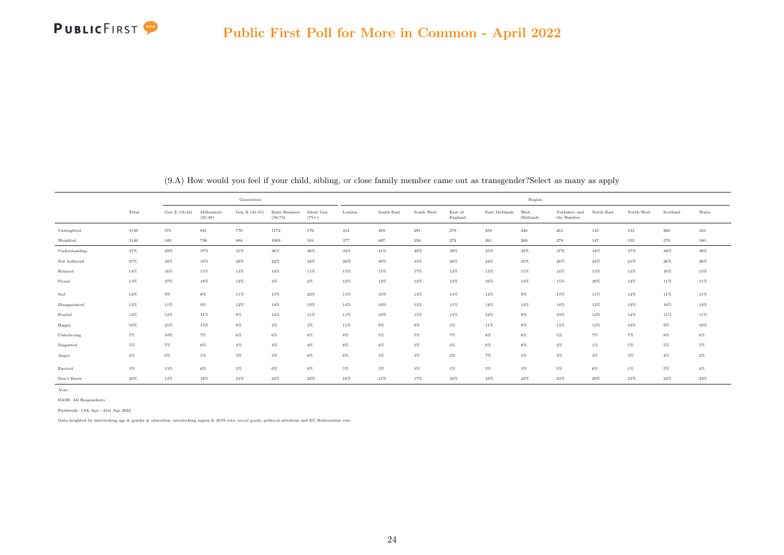

<span id="page-32-0"></span>

|               |       |               |                          | Generation    |                           |                       |        |            |            |                    |               | Region           |                             |            |            |          |        |
|---------------|-------|---------------|--------------------------|---------------|---------------------------|-----------------------|--------|------------|------------|--------------------|---------------|------------------|-----------------------------|------------|------------|----------|--------|
|               | Total | Gen Z (18-24) | Millennials<br>$(25-40)$ | Gen X (41-55) | Baby Boomers<br>$(56-74)$ | Silent Gen<br>$(75+)$ | London | South East | South West | East of<br>England | East Midlands | West<br>Midlands | Yorkshire and<br>the Humber | North East | North West | Scotland | Wales  |
| Unweighted    | 3140  | 375           | 641                      | 776           | 1172                      | 176                   | 412    | 489        | 291        | 278                | 258           | 246              | 261                         | 143        | 333        | 266      | 163    |
| Weighted      | 3140  | 349           | 738                      | 804           | 1069                      | 181                   | 377    | 487        | 294        | 274                | 261           | 260              | 278                         | 147        | 332        | 270      | 160    |
| Understanding | 37%   | 49%           | 37%                      | 35%           | 36%                       | 36%                   | $34\%$ | 41%        | $40\%$     | 39%                | 35%           | 33%              | 37%                         | $34\%$     | 37%        | 38%      | 38%    |
| Not bothered  | 27%   | 30%           | 33%                      | $29\%$        | 22%                       | $24\%$                | $26\%$ | 30%        | 33%        | $28\%$             | $24\%$        | 25%              | 28%                         | 24%        | 25%        | 26%      | 26%    |
| Relaxed       | 14%   | 16%           | 15%                      | 13%           | 14%                       | 11%                   | 15%    | 15%        | 17%        | 13%                | 13%           | 11%              | 14%                         | 13%        | 13%        | 16%      | 15%    |
| Proud         | 13%   | 37%           | 18%                      | 12%           | $4\%$                     | $2\%$                 | 12%    | 12%        | 12%        | 12%                | 16%           | 13%              | 15%                         | 20%        | 12%        | 11%      | $11\%$ |
| Sad           | 12%   | $9\%$         | $8\%$                    | 11%           | 15%                       | $22\%$                | 13%    | 10%        | 14%        | 14%                | 14%           | $9\%$            | 13%                         | 11%        | 12%        | 11%      | $11\%$ |
| Disappointed  | 12%   | 11%           | $9\%$                    | 12%           | 14%                       | 19%                   | $14\%$ | 10%        | 12%        | 11%                | 14%           | 14%              | 14%                         | 12%        | 12%        | 10%      | $14\%$ |
| Fearful       | 12%   | $12\%$        | 11%                      | $9\%$         | 14%                       | 11%                   | 11%    | 10%        | 15%        | 13%                | 12%           | $9\%$            | $10\%$                      | 12%        | 14%        | 11%      | 11%    |
| Happy         | 10%   | 25%           | 13%                      | $8\%$         | $4\%$                     | $3\%$                 | 11%    | $9\%$      | $8\%$      | $5\%$              | 11%           | $8\%$            | 13%                         | 12%        | 10%        | $9\%$    | $10\%$ |
| Unbelieving   | $7\%$ | 10%           | $7\%$                    | $6\%$         | $6\%$                     | $6\%$                 | $8\%$  | $5\%$      | $7\%$      | $7\%$              | $8\%$         | $6\%$            | $5\%$                       | 7%         | 7%         | $8\%$    | $6\%$  |
| Disgusted     | $5\%$ | $7\%$         | $6\%$                    | $4\%$         | $4\%$                     | $4\%$                 | $8\%$  | $4\%$      | $3\%$      | $2\%$              | $6\%$         | $8\%$            | $2\%$                       | $1\%$      | 5%         | $5\%$    | $5\%$  |
| Angry         | $4\%$ | $6\%$         | 5%                       | $3\%$         | $3\%$                     | $0\%$                 | $6\%$  | $3\%$      | $3\%$      | $2\%$              | $7\%$         | $5\%$            | $3\%$                       | $3\%$      | $3\%$      | $4\%$    | $2\%$  |
| Excited       | $3\%$ | 13%           | $6\%$                    | $2\%$         | $0\%$                     | $0\%$                 | $5\%$  | $3\%$      | $3\%$      | $1\%$              | $5\%$         | $3\%$            | $5\%$                       | $6\%$      | $1\%$      | $5\%$    | $4\%$  |
| Don't Know    | 20%   | 13%           | 18%                      | 23%           | 22%                       | $22\%$                | 16%    | $21\%$     | 17%        | 16%                | $23\%$        | $22\%$           | 23%                         | 20%        | 23%        | 22%      | $24\%$ |

(9.A) How would you feel if your child, sibling, or close family member came out as transgender?Select as many as apply

Note:

BASE: All Respondents

Fieldwork: 13th Apr - 21st Apr 2022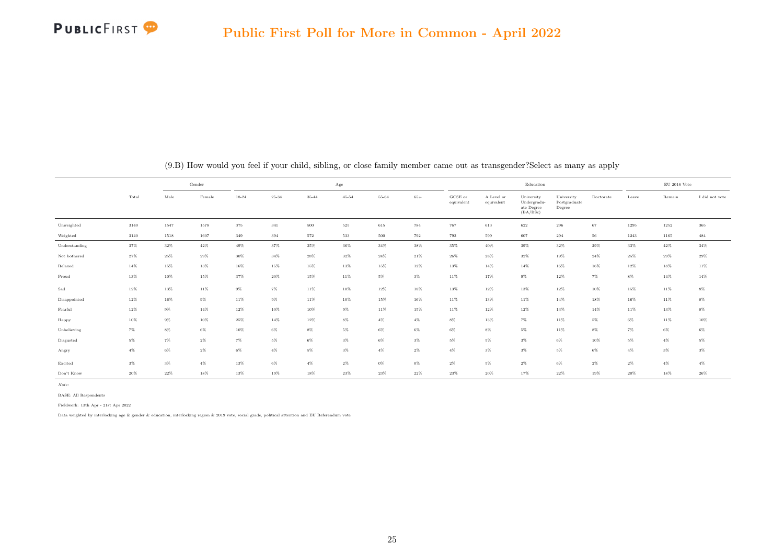

|               |        | Gender<br>Male |        |           |           |        | $_{\rm Age}$ |        |        |                       |                          | Education                                           |                                      |             |        | $\mathrm{EU}$ 2016 Vote |                |
|---------------|--------|----------------|--------|-----------|-----------|--------|--------------|--------|--------|-----------------------|--------------------------|-----------------------------------------------------|--------------------------------------|-------------|--------|-------------------------|----------------|
|               | Total  |                | Female | $18 - 24$ | $25 - 34$ | 35-44  | $45 - 54$    | 55-64  | $65+$  | GCSE or<br>equivalent | A Level or<br>equivalent | University<br>Undergradu-<br>ate Degree<br>(BA/BSc) | University<br>Postgraduate<br>Degree | Doctorate   | Leave  | Remain                  | I did not vote |
| Unweighted    | 3140   | 1547           | 1578   | 375       | $341\,$   | 500    | $525\,$      | 615    | 784    | 767                   | 613                      | 622                                                 | 296                                  | 67          | 1295   | 1252                    | $365\,$        |
| Weighted      | 3140   | 1518           | 1607   | 349       | 394       | 572    | 533          | 500    | 792    | 793                   | 599                      | 607                                                 | 294                                  | $^{\rm 56}$ | 1243   | 1165                    | 484            |
| Understanding | 37%    | $32\%$         | $42\%$ | $49\%$    | 37%       | $35\%$ | $36\%$       | $34\%$ | $38\%$ | $35\%$                | $40\%$                   | $39\%$                                              | $32\%$                               | 29%         | $33\%$ | $42\%$                  | $34\%$         |
| Not bothered  | 27%    | $25\%$         | $29\%$ | 30%       | 34%       | 28%    | 32%          | $24\%$ | $21\%$ | $26\%$                | $28\%$                   | 32%                                                 | 19%                                  | $24\%$      | 25%    | 29%                     | $29\%$         |
| Relaxed       | $14\%$ | $15\%$         | 13%    | $16\%$    | 15%       | 15%    | 13%          | 15%    | 12%    | 13%                   | 14%                      | 14%                                                 | 16%                                  | 16%         | 12%    | 18%                     | 11%            |
| Proud         | 13%    | $10\%$         | $15\%$ | 37%       | 20%       | 15%    | $11\%$       | $5\%$  | $3\%$  | 11%                   | 17%                      | $9\%$                                               | 12%                                  | $7\%$       | $8\%$  | $14\%$                  | $14\%$         |
| Sad           | 12%    | 13%            | 11%    | $9\%$     | $7\%$     | 11%    | 10%          | 12%    | 18%    | 13%                   | 12%                      | 13%                                                 | 12%                                  | 10%         | 15%    | 11%                     | $8\%$          |
| Disappointed  | 12%    | 16%            | $9\%$  | 11%       | $9\%$     | 11%    | 10%          | 15%    | 16%    | 11%                   | 13%                      | 11%                                                 | $14\%$                               | 18%         | 16%    | 11%                     | $8\%$          |
| Fearful       | $12\%$ | $9\%$          | 14%    | $12\%$    | $10\%$    | 10%    | $9\%$        | 11%    | 15%    | 11%                   | 12%                      | 12%                                                 | 13%                                  | $14\%$      | 11%    | 13%                     | $8\%$          |
| Happy         | 10%    | $9\%$          | 10%    | 25%       | 14%       | 12%    | $8\%$        | $4\%$  | $4\%$  | $8\%$                 | 13%                      | $7\%$                                               | 11%                                  | $5\%$       | $6\%$  | 11%                     | $10\%$         |
| Unbelieving   | $7\%$  | $8\%$          | $6\%$  | $10\%$    | $6\%$     | $8\%$  | $5\%$        | $6\%$  | $6\%$  | $6\%$                 | $8\%$                    | $5\%$                                               | 11%                                  | $8\%$       | $7\%$  | $6\%$                   | $6\%$          |
| Disgusted     | 5%     | $7\%$          | $2\%$  | $7\%$     | $5\%$     | $6\%$  | $3\%$        | $6\%$  | $3\%$  | $5\%$                 | $5\%$                    | $3\%$                                               | $6\%$                                | 10%         | 5%     | $4\%$                   | $5\%$          |
| Angry         | $4\%$  | $6\%$          | $2\%$  | $6\%$     | $4\%$     | $5\%$  | $3\%$        | $4\%$  | $2\%$  | $4\%$                 | $3\%$                    | $3\%$                                               | $5\%$                                | $6\%$       | $4\%$  | $3\%$                   | $3\%$          |
| Excited       | $3\%$  | $3\%$          | $4\%$  | 13%       | $6\%$     | $4\%$  | $2\%$        | $0\%$  | $0\%$  | $2\%$                 | $5\%$                    | $2\%$                                               | $6\%$                                | $2\%$       | $2\%$  | $4\%$                   | $4\%$          |
| Don't Know    | $20\%$ | 22%            | 18%    | 13%       | 19%       | 18%    | $23\%$       | $23\%$ | $22\%$ | $23\%$                | $20\%$                   | 17%                                                 | $22\%$                               | 19%         | $20\%$ | 18%                     | $26\%$         |

(9.B) How would you feel if your child, sibling, or close family member came out as transgender?Select as many as apply

Note:

BASE: All Respondents

Fieldwork: 13th Apr - 21st Apr 2022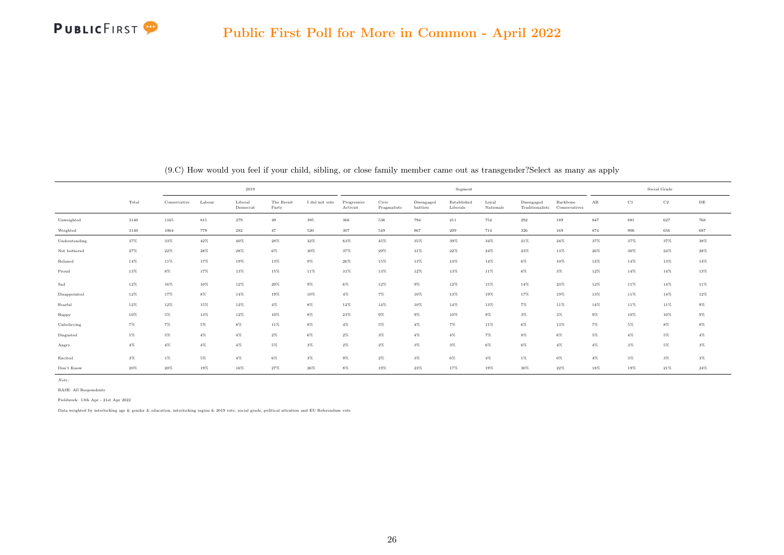

|               |       |              |         | 2019                |                     |                |                         |                      |                        | Segment                 |                    |                               |                           |       |        | $\operatorname{Social}$ $\operatorname{Grade}$ |        |
|---------------|-------|--------------|---------|---------------------|---------------------|----------------|-------------------------|----------------------|------------------------|-------------------------|--------------------|-------------------------------|---------------------------|-------|--------|------------------------------------------------|--------|
|               | Total | Conservative | Labour  | Liberal<br>Democrat | The Brexit<br>Party | I did not vote | Progressive<br>Activist | Civic<br>Pragmatists | Disengaged<br>battlers | Established<br>Liberals | Loyal<br>Nationals | Disengaged<br>Traditionalists | Backbone<br>Conservatives | AB    | C1     | $\rm C2$                                       | DE     |
| Unweighted    | 3140  | 1165         | $815\,$ | 279                 | 49                  | 395            | $366\,$                 | $536\,$              | 794                    | 211                     | 752                | 292                           | 189                       | 847   | 881    | 627                                            | 768    |
| Weighted      | 3140  | 1064         | 779     | 282                 | 47                  | 520            | 307                     | 549                  | 867                    | 209                     | 714                | 326                           | 169                       | 874   | 906    | 656                                            | 687    |
| Understanding | 37%   | 33%          | 42%     | $40\%$              | 28%                 | 32%            | 63%                     | 45%                  | 35%                    | 39%                     | 34%                | $21\%$                        | $24\%$                    | 37%   | 37%    | 37%                                            | 38%    |
| Not bothered  | 27%   | $22\%$       | $28\%$  | 28%                 | $6\%$               | $30\%$         | 37%                     | $29\%$               | $31\%$                 | $22\%$                  | 24%                | $23\%$                        | 13%                       | 26%   | 30%    | $24\%$                                         | $28\%$ |
| Relaxed       | 14%   | 11%          | 17%     | 19%                 | 13%                 | $9\%$          | $26\%$                  | 15%                  | 13%                    | 14%                     | 14%                | $6\%$                         | 10%                       | 14%   | $14\%$ | 13%                                            | 14%    |
| Proud         | 13%   | $8\%$        | 17%     | 13%                 | 15%                 | 11%            | $31\%$                  | 13%                  | 12%                    | 13%                     | 11%                | $6\%$                         | $3\%$                     | 12%   | $14\%$ | 14%                                            | 13%    |
| Sad           | 12%   | 16%          | 10%     | 12%                 | $20\%$              | $9\%$          | 6%                      | 12%                  | $9\%$                  | 12%                     | 15%                | $14\%$                        | $23\%$                    | 12%   | 11%    | 14%                                            | 11%    |
| Disappointed  | 12%   | 17%          | $8\%$   | 14%                 | 19%                 | 10%            | $4\%$                   | $7\%$                | 10%                    | 13%                     | 19%                | 17%                           | 19%                       | 13%   | 11%    | 14%                                            | $12\%$ |
| Fearful       | 12%   | $12\%$       | $15\%$  | 12%                 | $4\%$               | $8\%$          | 12%                     | 14%                  | 10%                    | 14%                     | 13%                | $7\%$                         | 11%                       | 14%   | 11%    | 11%                                            | $9\%$  |
| Happy         | 10%   | $5\%$        | $13\%$  | 12%                 | $10\%$              | $8\%$          | $23\%$                  | $9\%$                | $9\%$                  | 10%                     | $9\%$              | $3\%$                         | $3\%$                     | $9\%$ | 10%    | 10%                                            | $9\%$  |
| Unbelieving   | $7\%$ | $7\%$        | $5\%$   | $8\%$               | 11%                 | $8\%$          | $4\%$                   | $5\%$                | $4\%$                  | $7\%$                   | 11%                | $6\%$                         | 13%                       | 7%    | $5\%$  | $8\%$                                          | $8\%$  |
| Disgusted     | $5\%$ | 5%           | $4\%$   | $4\%$               | $2\%$               | $6\%$          | $2\%$                   | $3\%$                | $4\%$                  | $4\%$                   | $7\%$              | $8\%$                         | $6\%$                     | 5%    | $4\%$  | 5%                                             | $4\%$  |
| Angry         | $4\%$ | $4\%$        | $4\%$   | $4\%$               | $5\%$               | $3\%$          | $2\%$                   | $2\%$                | $3\%$                  | $3\%$                   | $6\%$              | $6\%$                         | $4\%$                     | $4\%$ | $3\%$  | $5\%$                                          | $3\%$  |
| Excited       | $3\%$ | $1\%$        | $5\%$   | $4\%$               | $6\%$               | $3\%$          | $9\%$                   | $2\%$                | $3\%$                  | $6\%$                   | $4\%$              | $1\%$                         | $0\%$                     | $4\%$ | $3\%$  | $3\%$                                          | $3\%$  |
| Don't Know    | 20%   | 20%          | 19%     | 16%                 | 27%                 | $26\%$         | $8\%$                   | 19%                  | $23\%$                 | 17%                     | 19%                | 30%                           | 22%                       | 18%   | 19%    | $21\%$                                         | $24\%$ |

(9.C) How would you feel if your child, sibling, or close family member came out as transgender?Select as many as apply

Note:

BASE: All Respondents

Fieldwork: 13th Apr - 21st Apr 2022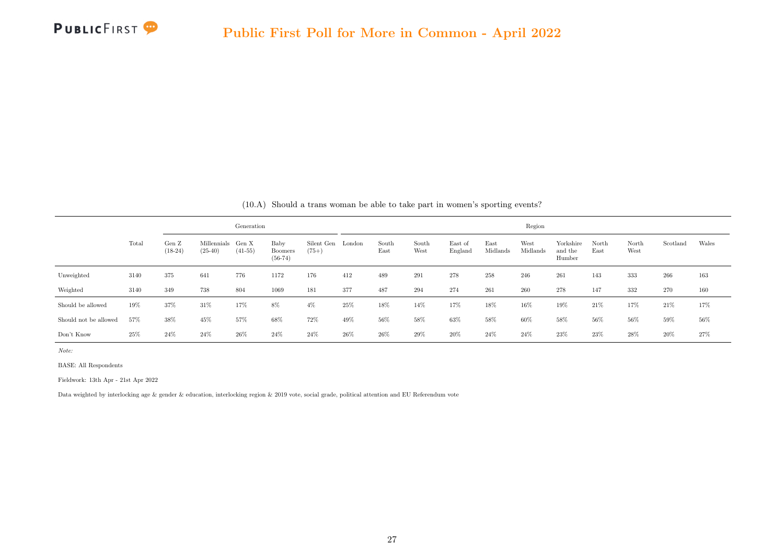

<span id="page-35-0"></span>

|                       |       |                    |                                | Generation |                                     |                              |     |               |               |                    |                  | Region           |                                |               |               |          |       |
|-----------------------|-------|--------------------|--------------------------------|------------|-------------------------------------|------------------------------|-----|---------------|---------------|--------------------|------------------|------------------|--------------------------------|---------------|---------------|----------|-------|
|                       | Total | Gen Z<br>$(18-24)$ | Millennials Gen X<br>$(25-40)$ | $(41-55)$  | Baby<br><b>Boomers</b><br>$(56-74)$ | Silent Gen London<br>$(75+)$ |     | South<br>East | South<br>West | East of<br>England | East<br>Midlands | West<br>Midlands | Yorkshire<br>and the<br>Humber | North<br>East | North<br>West | Scotland | Wales |
| Unweighted            | 3140  | 375                | 641                            | 776        | 1172                                | 176                          | 412 | 489           | 291           | 278                | 258              | 246              | 261                            | 143           | 333           | 266      | 163   |
| Weighted              | 3140  | 349                | 738                            | 804        | 1069                                | 181                          | 377 | 487           | 294           | 274                | 261              | 260              | 278                            | 147           | 332           | 270      | 160   |
| Should be allowed     | 19%   | 37%                | 31\%                           | 17%        | 8%                                  | $4\%$                        | 25% | 18%           | 14%           | 17%                | 18%              | 16%              | 19%                            | 21%           | 17%           | 21\%     | 17%   |
| Should not be allowed | 57%   | 38%                | 45%                            | 57%        | 68%                                 | $72\%$                       | 49% | 56%           | 58%           | 63%                | 58%              | 60%              | 58%                            | $56\%$        | 56%           | 59%      | 56%   |
| Don't Know            | 25\%  | 24%                | 24%                            | 26%        | 24%                                 | 24%                          | 26% | 26%           | 29%           | 20%                | 24%              | 24%              | $23\%$                         | $23\%$        | 28%           | 20%      | 27%   |

(10.A) Should a trans woman be able to take part in women's sporting events?

Note:

BASE: All Respondents

Fieldwork: 13th Apr - 21st Apr 2022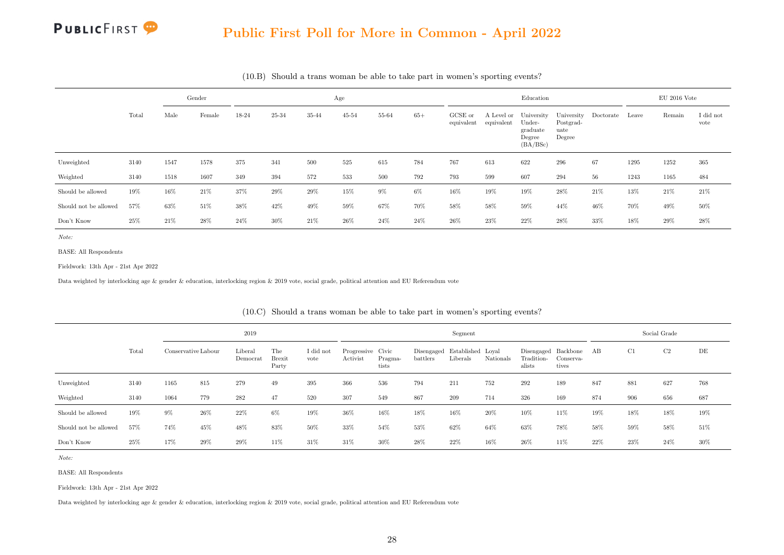#### Public First Poll for More in Common - April 2022

|                       |       |      | Gender |       |        |       | Age       |       |       |                       |                          | Education                                              |                                           |           |        | $EU$ 2016 Vote |                   |
|-----------------------|-------|------|--------|-------|--------|-------|-----------|-------|-------|-----------------------|--------------------------|--------------------------------------------------------|-------------------------------------------|-----------|--------|----------------|-------------------|
|                       | Total | Male | Female | 18-24 | 25-34  | 35-44 | $45 - 54$ | 55-64 | $65+$ | GCSE or<br>equivalent | A Level or<br>equivalent | University<br>Under-<br>graduate<br>Degree<br>(BA/BSc) | University<br>Postgrad-<br>uate<br>Degree | Doctorate | Leave  | Remain         | I did not<br>vote |
| Unweighted            | 3140  | 1547 | 1578   | 375   | 341    | 500   | $525\,$   | 615   | 784   | 767                   | 613                      | 622                                                    | 296                                       | 67        | 1295   | 1252           | 365               |
| Weighted              | 3140  | 1518 | 1607   | 349   | 394    | 572   | 533       | 500   | 792   | 793                   | 599                      | 607                                                    | 294                                       | 56        | 1243   | 1165           | 484               |
| Should be allowed     | 19%   | 16%  | 21\%   | 37%   | 29%    | 29%   | 15%       | $9\%$ | $6\%$ | $16\%$                | 19%                      | 19%                                                    | $28\%$                                    | 21\%      | 13%    | $21\%$         | 21\%              |
| Should not be allowed | 57%   | 63%  | 51%    | 38%   | 42%    | 49%   | $59\%$    | 67%   | 70%   | 58%                   | 58%                      | $59\%$                                                 | 44%                                       | 46%       | 70%    | 49%            | 50%               |
| Don't Know            | 25%   | 21\% | 28%    | 24%   | $30\%$ | 21%   | 26%       | 24\%  | 24\%  | $26\%$                | 23%                      | 22%                                                    | $28\%$                                    | 33%       | $18\%$ | $29\%$         | 28%               |

(10.B) Should a trans woman be able to take part in women's sporting events?

Note:

BASE: All Respondents

Fieldwork: 13th Apr - 21st Apr 2022

Data weighted by interlocking age & gender & education, interlocking region & 2019 vote, social grade, political attention and EU Referendum vote

|                       |       |                     |     | 2019                |                               |                   |                               |                  |                                          | Segment  |           |                                             |                    |     | Social Grade |      |     |
|-----------------------|-------|---------------------|-----|---------------------|-------------------------------|-------------------|-------------------------------|------------------|------------------------------------------|----------|-----------|---------------------------------------------|--------------------|-----|--------------|------|-----|
|                       | Total | Conservative Labour |     | Liberal<br>Democrat | The<br><b>Brexit</b><br>Party | I did not<br>vote | Progressive Civic<br>Activist | Pragma-<br>tists | Disengaged Established Loyal<br>battlers | Liberals | Nationals | Disengaged Backbone<br>Tradition-<br>alists | Conserva-<br>tives | AB  | C1           | C2   | DE  |
| Unweighted            | 3140  | 1165                | 815 | 279                 | 49                            | 395               | 366                           | 536              | 794                                      | 211      | 752       | 292                                         | 189                | 847 | 881          | 627  | 768 |
| Weighted              | 3140  | 1064                | 779 | 282                 | 47                            | 520               | 307                           | 549              | 867                                      | 209      | 714       | 326                                         | 169                | 874 | 906          | 656  | 687 |
| Should be allowed     | 19%   | 9%                  | 26% | 22%                 | 6%                            | 19%               | 36%                           | 16%              | 18%                                      | 16%      | 20%       | 10%                                         | 11%                | 19% | 18%          | 18%  | 19% |
| Should not be allowed | 57%   | 74%                 | 45% | 48%                 | 83%                           | 50%               | 33%                           | 54%              | 53%                                      | 62%      | 64%       | 63%                                         | 78%                | 58% | 59%          | 58%  | 51% |
| Don't Know            | 25%   | 17%                 | 29% | 29%                 | 11\%                          | 31%               | $31\%$                        | 30%              | 28%                                      | 22%      | 16%       | 26\%                                        | 11\%               | 22% | 23%          | 24\% | 30% |

(10.C) Should a trans woman be able to take part in women's sporting events?

Note:

BASE: All Respondents

Fieldwork: 13th Apr - 21st Apr 2022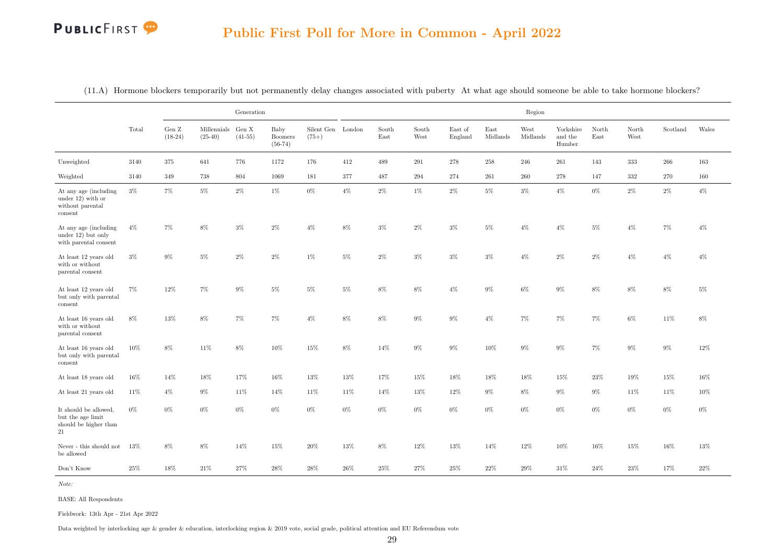|                                                                            |        |                    |                                | Generation |                                     |                              |        |               |               |                    |                  | Region           |                                |               |               |          |        |
|----------------------------------------------------------------------------|--------|--------------------|--------------------------------|------------|-------------------------------------|------------------------------|--------|---------------|---------------|--------------------|------------------|------------------|--------------------------------|---------------|---------------|----------|--------|
|                                                                            | Total  | Gen Z<br>$(18-24)$ | Millennials Gen X<br>$(25-40)$ | $(41-55)$  | Baby<br><b>Boomers</b><br>$(56-74)$ | Silent Gen London<br>$(75+)$ |        | South<br>East | South<br>West | East of<br>England | East<br>Midlands | West<br>Midlands | Yorkshire<br>and the<br>Humber | North<br>East | North<br>West | Scotland | Wales  |
| Unweighted                                                                 | 3140   | 375                | 641                            | 776        | 1172                                | 176                          | 412    | 489           | 291           | 278                | 258              | 246              | 261                            | 143           | 333           | 266      | 163    |
| Weighted                                                                   | 3140   | 349                | 738                            | 804        | 1069                                | 181                          | 377    | 487           | 294           | 274                | 261              | 260              | 278                            | 147           | $332\,$       | 270      | 160    |
| At any age (including)<br>under 12) with or<br>without parental<br>consent | $3\%$  | 7%                 | $5\%$                          | $2\%$      | $1\%$                               | $0\%$                        | $4\%$  | $2\%$         | 1%            | $2\%$              | $5\%$            | $3\%$            | $4\%$                          | 0%            | 2%            | 2%       | $4\%$  |
| At any age (including<br>under $12$ ) but only<br>with parental consent    | $4\%$  | 7%                 | $8\%$                          | $3\%$      | $2\%$                               | $4\%$                        | $8\%$  | $3\%$         | $2\%$         | $3\%$              | $5\%$            | $4\%$            | $4\%$                          | $5\%$         | $4\%$         | 7%       | $4\%$  |
| At least 12 years old<br>with or without<br>parental consent               | $3\%$  | $9\%$              | $5\%$                          | $2\%$      | $2\%$                               | $1\%$                        | $5\%$  | $2\%$         | $3\%$         | $3\%$              | $3\%$            | $4\%$            | $2\%$                          | $2\%$         | $4\%$         | $4\%$    | $4\%$  |
| At least 12 years old<br>but only with parental<br>consent                 | 7%     | 12%                | 7%                             | $9\%$      | $5\%$                               | $5\%$                        | $5\%$  | $8\%$         | $8\%$         | $4\%$              | $9\%$            | $6\%$            | $9\%$                          | $8\%$         | $8\%$         | $8\%$    | $5\%$  |
| At least 16 years old<br>with or without<br>parental consent               | $8\%$  | $13\%$             | $8\%$                          | $7\%$      | $7\%$                               | $4\%$                        | $8\%$  | $8\%$         | $9\%$         | $9\%$              | $4\%$            | $7\%$            | $7\%$                          | $7\%$         | $6\%$         | $11\%$   | $8\%$  |
| At least 16 years old<br>but only with parental<br>consent                 | $10\%$ | $8\%$              | 11\%                           | $8\%$      | 10%                                 | 15%                          | 8%     | 14%           | $9\%$         | $9\%$              | 10%              | $9\%$            | $9\%$                          | 7%            | 9%            | $9\%$    | 12%    |
| At least 18 years old                                                      | 16%    | 14%                | 18%                            | 17%        | 16%                                 | 13%                          | 13%    | 17%           | 15%           | 18%                | 18%              | 18%              | 15%                            | 23%           | 19%           | 15%      | 16%    |
| At least 21 years old                                                      | $11\%$ | $4\%$              | $9\%$                          | $11\%$     | 14%                                 | 11%                          | $11\%$ | 14%           | 13%           | $12\%$             | $9\%$            | $8\%$            | $9\%$                          | $9\%$         | $11\%$        | $11\%$   | 10%    |
| It should be allowed,<br>but the age limit<br>should be higher than<br>21  | 0%     | $0\%$              | $0\%$                          | $0\%$      | $0\%$                               | $0\%$                        | $0\%$  | $0\%$         | $0\%$         | $0\%$              | $0\%$            | $0\%$            | $0\%$                          | 0%            | $0\%$         | $0\%$    | $0\%$  |
| ${\hbox{Never}}$ - this should not<br>be allowed                           | 13%    | $8\%$              | $8\%$                          | 14%        | $15\%$                              | $20\%$                       | $13\%$ | $8\%$         | 12%           | $13\%$             | 14%              | 12%              | $10\%$                         | $16\%$        | $15\%$        | $16\%$   | 13%    |
| Don't Know                                                                 | $25\%$ | 18%                | $21\%$                         | $27\%$     | $28\%$                              | $28\%$                       | $26\%$ | $25\%$        | $27\%$        | $25\%$             | $22\%$           | $29\%$           | $31\%$                         | $24\%$        | $23\%$        | 17%      | $22\%$ |

<span id="page-37-0"></span>(11.A) Hormone blockers temporarily but not permanently delay changes associated with puberty At what age should someone be able to take hormone blockers?

Note:

BASE: All Respondents

Fieldwork: 13th Apr - 21st Apr 2022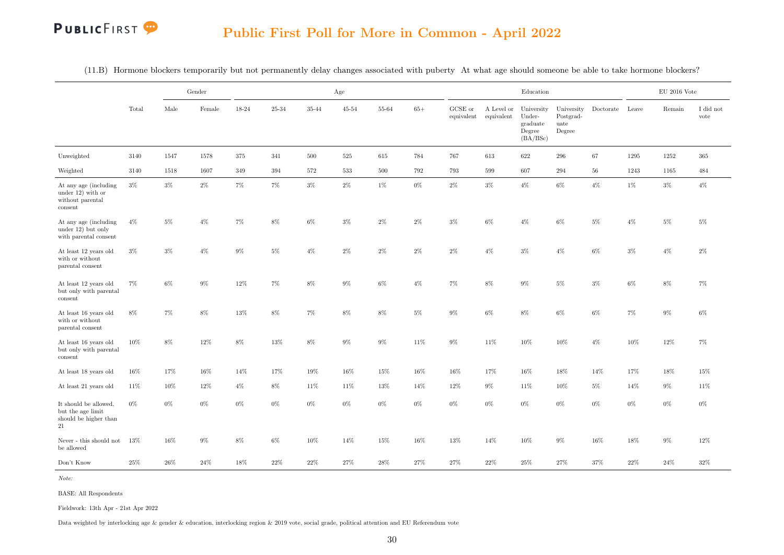(11.B) Hormone blockers temporarily but not permanently delay changes associated with puberty At what age should someone be able to take hormone blockers?

|                                                                                     |        |        | Gender          |           |        |           | Age       |           |        |                               |                          | Education                                              |                                           |                 |        | $\rm EU$ 2016 Vote |                   |
|-------------------------------------------------------------------------------------|--------|--------|-----------------|-----------|--------|-----------|-----------|-----------|--------|-------------------------------|--------------------------|--------------------------------------------------------|-------------------------------------------|-----------------|--------|--------------------|-------------------|
|                                                                                     | Total  | Male   | $\mbox{Female}$ | $18 - 24$ | 25-34  | $35 - 44$ | $45 - 54$ | $55 - 64$ | $65+$  | ${\rm GCSE}$ or<br>equivalent | A Level or<br>equivalent | University<br>Under-<br>graduate<br>Degree<br>(BA/BSc) | University<br>Postgrad-<br>uate<br>Degree | Doctorate Leave |        | Remain             | I did not<br>vote |
| Unweighted                                                                          | 3140   | 1547   | 1578            | 375       | 341    | 500       | $525\,$   | $615\,$   | 784    | 767                           | 613                      | 622                                                    | 296                                       | 67              | 1295   | 1252               | 365               |
| Weighted                                                                            | 3140   | 1518   | 1607            | 349       | 394    | 572       | 533       | 500       | 792    | 793                           | 599                      | 607                                                    | 294                                       | $56\,$          | 1243   | 1165               | 484               |
| At any age (including<br>under 12) with or<br>without parental<br>$_{\rm{consent}}$ | $3\%$  | $3\%$  | $2\%$           | $7\%$     | $7\%$  | $3\%$     | $2\%$     | $1\%$     | $0\%$  | $2\%$                         | $3\%$                    | $4\%$                                                  | $6\%$                                     | $4\%$           | 1%     | $3\%$              | $4\%$             |
| At any age (including)<br>under 12) but only<br>with parental consent               | $4\%$  | $5\%$  | $4\%$           | $7\%$     | $8\%$  | $6\%$     | $3\%$     | $2\%$     | $2\%$  | $3\%$                         | $6\%$                    | $4\%$                                                  | $6\%$                                     | $5\%$           | $4\%$  | $5\%$              | $5\%$             |
| At least 12 years old<br>with or without<br>parental consent                        | $3\%$  | $3\%$  | $4\%$           | $9\%$     | $5\%$  | $4\%$     | $2\%$     | $2\%$     | $2\%$  | $2\%$                         | $4\%$                    | $3\%$                                                  | $4\%$                                     | $6\%$           | $3\%$  | $4\%$              | $2\%$             |
| At least 12 years old<br>but only with parental<br>consent                          | 7%     | $6\%$  | $9\%$           | 12%       | 7%     | $8\%$     | $9\%$     | $6\%$     | $4\%$  | 7%                            | $8\%$                    | $9\%$                                                  | $5\%$                                     | $3\%$           | $6\%$  | $8\%$              | 7%                |
| At least 16 years old<br>with or without<br>parental consent                        | 8%     | $7\%$  | $8\%$           | 13%       | $8\%$  | 7%        | $8\%$     | $8\%$     | $5\%$  | $9\%$                         | $6\%$                    | $8\%$                                                  | $6\%$                                     | $6\%$           | 7%     | $9\%$              | $6\%$             |
| At least 16 years old<br>but only with parental<br>consent                          | $10\%$ | $8\%$  | 12%             | $8\%$     | 13%    | $8\%$     | $9\%$     | $9\%$     | $11\%$ | $9\%$                         | 11%                      | $10\%$                                                 | $10\%$                                    | $4\%$           | $10\%$ | $12\%$             | 7%                |
| At least 18 years old                                                               | $16\%$ | 17%    | $16\%$          | 14%       | 17%    | $19\%$    | $16\%$    | 15%       | $16\%$ | 16%                           | 17%                      | 16%                                                    | 18%                                       | 14%             | 17%    | $18\%$             | 15%               |
| At least 21 years old                                                               | 11%    | $10\%$ | $12\%$          | $4\%$     | $8\%$  | 11%       | 11%       | $13\%$    | 14%    | 12%                           | $9\%$                    | 11%                                                    | $10\%$                                    | $5\%$           | $14\%$ | $9\%$              | 11%               |
| It should be allowed,<br>but the age limit<br>should be higher than<br>21           | $0\%$  | $0\%$  | $0\%$           | $0\%$     | $0\%$  | $0\%$     | $0\%$     | $0\%$     | $0\%$  | $0\%$                         | $0\%$                    | $0\%$                                                  | $0\%$                                     | $0\%$           | $0\%$  | $0\%$              | $0\%$             |
| Never - this should not $13\%$<br>be allowed                                        |        | 16%    | $9\%$           | $8\%$     | $6\%$  | $10\%$    | 14%       | $15\%$    | $16\%$ | 13%                           | 14%                      | $10\%$                                                 | $9\%$                                     | 16%             | $18\%$ | $9\%$              | $12\%$            |
| Don't Know                                                                          | $25\%$ | $26\%$ | $24\%$          | 18%       | $22\%$ | $22\%$    | $27\%$    | $28\%$    | $27\%$ | $27\%$                        | 22%                      | $25\%$                                                 | $27\%$                                    | $37\%$          | $22\%$ | $24\%$             | $32\%$            |

Note:

BASE: All Respondents

Fieldwork: 13th Apr - 21st Apr 2022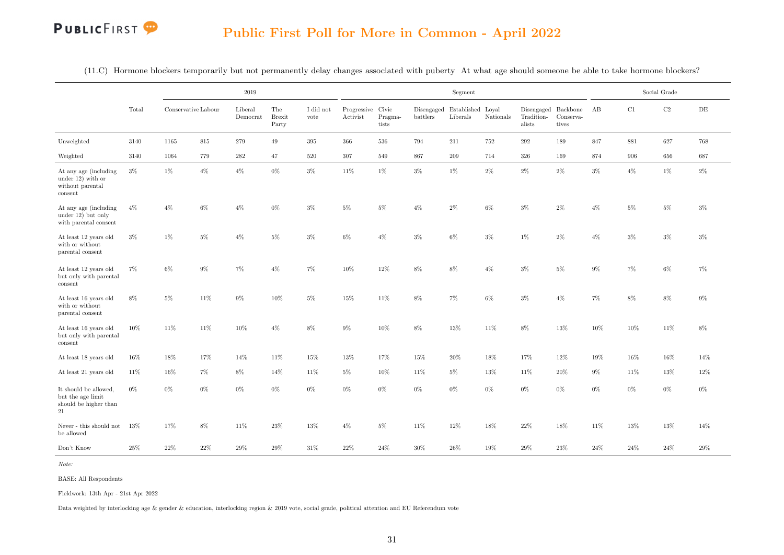#### Public First Poll for More in Common - April 2022

|  |  |  |  |  |  |  | $(11.C)$ Hormone blockers temporarily but not permanently delay changes associated with puberty At what age should someone be able to take hormone blockers? |
|--|--|--|--|--|--|--|--------------------------------------------------------------------------------------------------------------------------------------------------------------|
|--|--|--|--|--|--|--|--------------------------------------------------------------------------------------------------------------------------------------------------------------|

|                                                                              |        |                     |        | 2019                |                               |                   |                               |                  |          | Segment                                  |           |                                             |                    |        |        | Social Grade |           |
|------------------------------------------------------------------------------|--------|---------------------|--------|---------------------|-------------------------------|-------------------|-------------------------------|------------------|----------|------------------------------------------|-----------|---------------------------------------------|--------------------|--------|--------|--------------|-----------|
|                                                                              | Total  | Conservative Labour |        | Liberal<br>Democrat | The<br><b>Brexit</b><br>Party | I did not<br>vote | Progressive Civic<br>Activist | Pragma-<br>tists | battlers | Disengaged Established Loyal<br>Liberals | Nationals | Disengaged Backbone<br>Tradition-<br>alists | Conserva-<br>tives | AB     | C1     | C2           | $\rm{DE}$ |
| Unweighted                                                                   | 3140   | 1165                | 815    | 279                 | 49                            | 395               | 366                           | 536              | 794      | 211                                      | 752       | 292                                         | 189                | 847    | 881    | 627          | 768       |
| Weighted                                                                     | 3140   | 1064                | 779    | $\bf 282$           | 47                            | 520               | 307                           | 549              | 867      | 209                                      | 714       | 326                                         | 169                | 874    | 906    | 656          | 687       |
| At any age (including)<br>under $12)$ with or<br>without parental<br>consent | $3\%$  | $1\%$               | $4\%$  | $4\%$               | $0\%$                         | $3\%$             | 11%                           | $1\%$            | $3\%$    | $1\%$                                    | $2\%$     | $2\%$                                       | $2\%$              | $3\%$  | $4\%$  | $1\%$        | $2\%$     |
| At any age (including<br>under 12) but only<br>with parental consent         | $4\%$  | $4\%$               | 6%     | $4\%$               | 0%                            | 3%                | 5%                            | $5\%$            | $4\%$    | $2\%$                                    | $6\%$     | $3\%$                                       | 2%                 | $4\%$  | $5\%$  | $5\%$        | $3\%$     |
| At least 12 years old<br>with or without<br>parental consent                 | $3\%$  | $1\%$               | $5\%$  | $4\%$               | $5\%$                         | $3\%$             | $6\%$                         | $4\%$            | $3\%$    | $6\%$                                    | $3\%$     | $1\%$                                       | $2\%$              | $4\%$  | $3\%$  | $3\%$        | $3\%$     |
| At least 12 years old<br>but only with parental<br>consent                   | $7\%$  | $6\%$               | $9\%$  | $7\%$               | $4\%$                         | 7%                | $10\%$                        | $12\%$           | $8\%$    | $8\%$                                    | $4\%$     | $3\%$                                       | $5\%$              | $9\%$  | $7\%$  | $6\%$        | $7\%$     |
| At least 16 years old<br>with or without<br>parental consent                 | 8%     | $5\%$               | 11%    | $9\%$               | 10%                           | $5\%$             | 15%                           | 11%              | $8\%$    | $7\%$                                    | $6\%$     | $3\%$                                       | $4\%$              | $7\%$  | $8\%$  | $8\%$        | $9\%$     |
| At least 16 years old<br>but only with parental<br>consent                   | $10\%$ | 11%                 | 11%    | 10%                 | $4\%$                         | 8%                | $9\%$                         | 10%              | $8\%$    | $13\%$                                   | 11%       | 8%                                          | 13%                | 10%    | 10%    | 11\%         | 8%        |
| At least 18 years old                                                        | $16\%$ | 18%                 | 17%    | 14%                 | 11%                           | $15\%$            | $13\%$                        | 17%              | 15%      | $20\%$                                   | 18%       | $17\%$                                      | 12%                | 19%    | 16%    | $16\%$       | 14%       |
| At least 21 years old                                                        | 11%    | $16\%$              | 7%     | $8\%$               | 14%                           | 11%               | $5\%$                         | $10\%$           | 11%      | $5\%$                                    | 13%       | 11%                                         | $20\%$             | $9\%$  | 11%    | $13\%$       | $12\%$    |
| It should be allowed,<br>but the age limit<br>should be higher than<br>21    | $0\%$  | $0\%$               | $0\%$  | $0\%$               | $0\%$                         | $0\%$             | $0\%$                         | $0\%$            | $0\%$    | $0\%$                                    | $0\%$     | $0\%$                                       | $0\%$              | $0\%$  | $0\%$  | $0\%$        | $0\%$     |
| Never - this should not<br>be allowed                                        | $13\%$ | $17\%$              | $8\%$  | 11%                 | 23%                           | 13%               | $4\%$                         | $5\%$            | $11\%$   | 12%                                      | 18%       | 22%                                         | 18%                | $11\%$ | $13\%$ | 13%          | 14%       |
| Don't Know                                                                   | $25\%$ | $22\%$              | $22\%$ | $29\%$              | $29\%$                        | $31\%$            | $22\%$                        | $24\%$           | $30\%$   | $26\%$                                   | 19%       | $29\%$                                      | $23\%$             | $24\%$ | $24\%$ | $24\%$       | 29%       |

Note:

BASE: All Respondents

Fieldwork: 13th Apr - 21st Apr 2022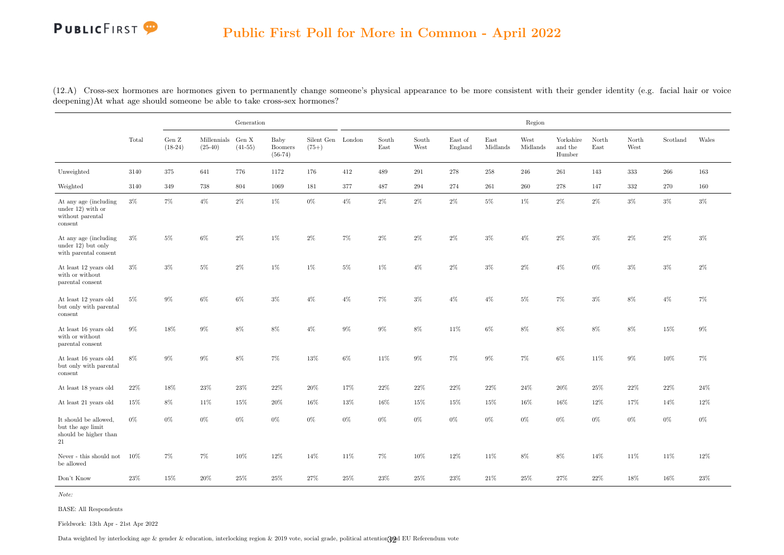<span id="page-40-0"></span>(12.A) Cross-sex hormones are hormones given to permanently change someone's physical appearance to be more consistent with their gender identity (e.g. facial hair or voice deepening)At what age should someone be able to take cross-sex hormones?

|                                                                              |        |                    |                                | Generation |                                     |                              |       |               |               |                    |                  | Region           |                                                        |               |               |          |       |
|------------------------------------------------------------------------------|--------|--------------------|--------------------------------|------------|-------------------------------------|------------------------------|-------|---------------|---------------|--------------------|------------------|------------------|--------------------------------------------------------|---------------|---------------|----------|-------|
|                                                                              | Total  | Gen Z<br>$(18-24)$ | Millennials Gen X<br>$(25-40)$ | $(41-55)$  | Baby<br><b>Boomers</b><br>$(56-74)$ | Silent Gen London<br>$(75+)$ |       | South<br>East | South<br>West | East of<br>England | East<br>Midlands | West<br>Midlands | Yorkshire<br>and the<br>$\ensuremath{\textsc{Humber}}$ | North<br>East | North<br>West | Scotland | Wales |
| Unweighted                                                                   | 3140   | 375                | 641                            | 776        | 1172                                | 176                          | 412   | 489           | 291           | 278                | 258              | 246              | 261                                                    | 143           | 333           | 266      | 163   |
| Weighted                                                                     | 3140   | 349                | 738                            | 804        | 1069                                | 181                          | 377   | 487           | 294           | 274                | $261\,$          | 260              | 278                                                    | 147           | 332           | 270      | 160   |
| At any age (including)<br>under $12)$ with or<br>without parental<br>consent | $3\%$  | 7%                 | $4\%$                          | $2\%$      | $1\%$                               | $0\%$                        | $4\%$ | $2\%$         | $2\%$         | $2\%$              | $5\%$            | $1\%$            | $2\%$                                                  | $2\%$         | $3\%$         | $3\%$    | $3\%$ |
| At any age (including<br>under 12) but only<br>with parental consent         | $3\%$  | $5\%$              | $6\%$                          | $2\%$      | 1%                                  | $2\%$                        | $7\%$ | $2\%$         | $2\%$         | $2\%$              | $3\%$            | $4\%$            | $2\%$                                                  | $3\%$         | $2\%$         | $2\%$    | $3\%$ |
| At least 12 years old<br>with or without<br>parental consent                 | $3\%$  | $3\%$              | $5\%$                          | $2\%$      | 1%                                  | $1\%$                        | $5\%$ | $1\%$         | $4\%$         | $2\%$              | $3\%$            | $2\%$            | $4\%$                                                  | $0\%$         | $3\%$         | $3\%$    | $2\%$ |
| At least 12 years old<br>but only with parental<br>consent                   | $5\%$  | 9%                 | $6\%$                          | $6\%$      | $3\%$                               | $4\%$                        | $4\%$ | $7\%$         | $3\%$         | $4\%$              | $4\%$            | $5\%$            | $7\%$                                                  | $3\%$         | 8%            | $4\%$    | $7\%$ |
| At least 16 years old<br>with or without<br>parental consent                 | $9\%$  | 18%                | $9\%$                          | $8\%$      | $8\%$                               | $4\%$                        | $9\%$ | $9\%$         | $8\%$         | 11%                | $6\%$            | $8\%$            | $8\%$                                                  | $8\%$         | $8\%$         | 15%      | $9\%$ |
| At least 16 years old<br>but only with parental<br>consent                   | $8\%$  | $9\%$              | $9\%$                          | $8\%$      | 7%                                  | 13%                          | $6\%$ | 11%           | $9\%$         | $7\%$              | $9\%$            | $7\%$            | $6\%$                                                  | 11%           | $9\%$         | $10\%$   | 7%    |
| At least 18 years old                                                        | 22\%   | 18%                | 23%                            | 23%        | 22%                                 | 20%                          | 17%   | 22%           | 22%           | 22\%               | 22%              | 24%              | 20%                                                    | 25%           | 22%           | 22%      | 24\%  |
| At least 21 years old                                                        | $15\%$ | $8\%$              | $11\%$                         | 15%        | $20\%$                              | $16\%$                       | 13%   | $16\%$        | $15\%$        | 15%                | 15%              | $16\%$           | 16%                                                    | 12%           | 17%           | 14%      | 12%   |
| It should be allowed,<br>but the age limit<br>should be higher than<br>21    | $0\%$  | $0\%$              | $0\%$                          | $0\%$      | $0\%$                               | $0\%$                        | $0\%$ | $0\%$         | $0\%$         | $0\%$              | $0\%$            | $0\%$            | $0\%$                                                  | $0\%$         | $0\%$         | $0\%$    | $0\%$ |
| Never - this should not<br>be allowed                                        | $10\%$ | $7\%$              | 7%                             | $10\%$     | 12%                                 | 14%                          | 11%   | $7\%$         | $10\%$        | $12\%$             | 11%              | $8\%$            | $8\%$                                                  | 14%           | 11%           | 11%      | 12%   |
| Don't Know                                                                   | 23%    | 15%                | 20%                            | 25%        | 25%                                 | 27%                          | 25%   | 23%           | 25%           | 23%                | 21\%             | 25%              | 27%                                                    | 22%           | 18%           | 16%      | 23%   |

Note:

BASE: All Respondents

Fieldwork: 13th Apr - 21st Apr 2022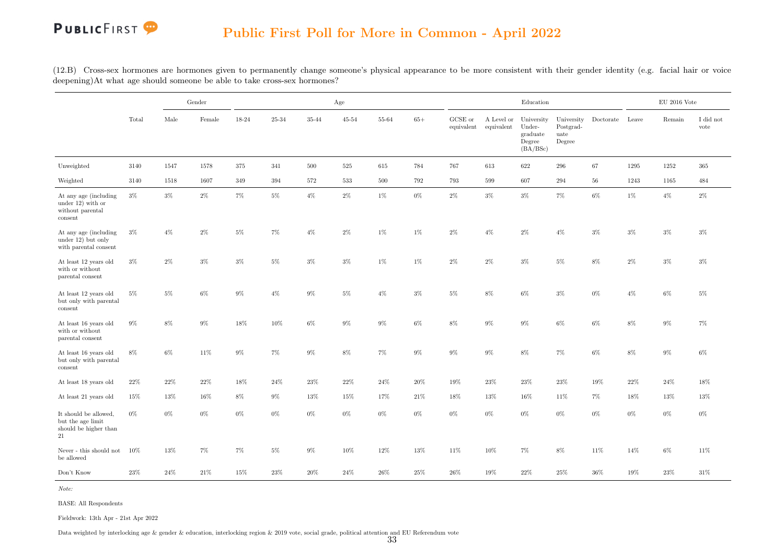(12.B) Cross-sex hormones are hormones given to permanently change someone's physical appearance to be more consistent with their gender identity (e.g. facial hair or voice deepening)At what age should someone be able to take cross-sex hormones?

|                                                                             |        |        | Gender |         |           |        | Age       |         |        |                       |                          | Education                                              |                                           |                 |        | $\mathrm{EU}$ 2016 Vote |                               |
|-----------------------------------------------------------------------------|--------|--------|--------|---------|-----------|--------|-----------|---------|--------|-----------------------|--------------------------|--------------------------------------------------------|-------------------------------------------|-----------------|--------|-------------------------|-------------------------------|
|                                                                             | Total  | Male   | Female | 18-24   | $25 - 34$ | 35-44  | $45 - 54$ | 55-64   | $65+$  | GCSE or<br>equivalent | A Level or<br>equivalent | University<br>Under-<br>graduate<br>Degree<br>(BA/BSc) | University<br>Postgrad-<br>uate<br>Degree | Doctorate Leave |        | Remain                  | $\rm I$ did $\rm not$<br>vote |
| Unweighted                                                                  | 3140   | 1547   | 1578   | 375     | 341       | 500    | 525       | 615     | 784    | 767                   | 613                      | 622                                                    | 296                                       | 67              | 1295   | 1252                    | 365                           |
| Weighted                                                                    | 3140   | 1518   | 1607   | $349\,$ | 394       | 572    | 533       | $500\,$ | 792    | 793                   | 599                      | 607                                                    | $\, 294$                                  | 56              | 1243   | 1165                    | 484                           |
| At any age (including<br>under $12)$ with or<br>without parental<br>consent | $3\%$  | $3\%$  | $2\%$  | 7%      | $5\%$     | $4\%$  | $2\%$     | 1%      | $0\%$  | $2\%$                 | $3\%$                    | $3\%$                                                  | $7\%$                                     | $6\%$           | $1\%$  | $4\%$                   | $2\%$                         |
| At any age (including<br>under 12) but only<br>with parental consent        | $3\%$  | $4\%$  | $2\%$  | $5\%$   | $7\%$     | $4\%$  | $2\%$     | 1%      | 1%     | $2\%$                 | $4\%$                    | $2\%$                                                  | $4\%$                                     | $3\%$           | $3\%$  | $3\%$                   | $3\%$                         |
| At least 12 years old<br>with or without<br>parental consent                | $3\%$  | $2\%$  | $3\%$  | $3\%$   | $5\%$     | $3\%$  | $3\%$     | 1%      | $1\%$  | $2\%$                 | $2\%$                    | $3\%$                                                  | $5\%$                                     | $8\%$           | $2\%$  | $3\%$                   | $3\%$                         |
| At least 12 years old<br>but only with parental<br>consent                  | $5\%$  | $5\%$  | $6\%$  | $9\%$   | $4\%$     | $9\%$  | $5\%$     | $4\%$   | $3\%$  | $5\%$                 | $8\%$                    | $6\%$                                                  | $3\%$                                     | $0\%$           | $4\%$  | $6\%$                   | $5\%$                         |
| At least 16 years old<br>with or without<br>parental consent                | $9\%$  | $8\%$  | $9\%$  | 18%     | 10%       | $6\%$  | $9\%$     | $9\%$   | $6\%$  | $8\%$                 | $9\%$                    | $9\%$                                                  | $6\%$                                     | $6\%$           | $8\%$  | $9\%$                   | 7%                            |
| At least 16 years old<br>but only with parental<br>consent                  | $8\%$  | $6\%$  | 11%    | $9\%$   | $7\%$     | 9%     | 8%        | 7%      | $9\%$  | $9\%$                 | $9\%$                    | $8\%$                                                  | $7\%$                                     | $6\%$           | $8\%$  | $9\%$                   | $6\%$                         |
| At least 18 years old                                                       | 22%    | $22\%$ | $22\%$ | 18%     | 24%       | $23\%$ | $22\%$    | $24\%$  | $20\%$ | 19%                   | $23\%$                   | $23\%$                                                 | $23\%$                                    | $19\%$          | $22\%$ | $24\%$                  | $18\%$                        |
| At least 21 years old                                                       | 15%    | 13%    | $16\%$ | 8%      | 9%        | 13%    | 15%       | 17%     | 21\%   | 18%                   | 13%                      | 16%                                                    | 11\%                                      | $7\%$           | 18%    | 13%                     | 13%                           |
| It should be allowed,<br>but the age limit<br>should be higher than<br>21   | $0\%$  | $0\%$  | $0\%$  | $0\%$   | $0\%$     | $0\%$  | $0\%$     | $0\%$   | $0\%$  | $0\%$                 | $0\%$                    | $0\%$                                                  | $0\%$                                     | $0\%$           | $0\%$  | $0\%$                   | $0\%$                         |
| Never - this should not $10\%$<br>be allowed                                |        | $13\%$ | 7%     | 7%      | $5\%$     | $9\%$  | 10%       | 12%     | 13%    | 11%                   | $10\%$                   | $7\%$                                                  | $8\%$                                     | 11%             | $14\%$ | $6\%$                   | 11%                           |
| Don't Know                                                                  | $23\%$ | $24\%$ | $21\%$ | 15%     | $23\%$    | $20\%$ | $24\%$    | $26\%$  | $25\%$ | $26\%$                | $19\%$                   | 22%                                                    | $25\%$                                    | $36\%$          | $19\%$ | $23\%$                  | $31\%$                        |

Note:

BASE: All Respondents

Fieldwork: 13th Apr - 21st Apr 2022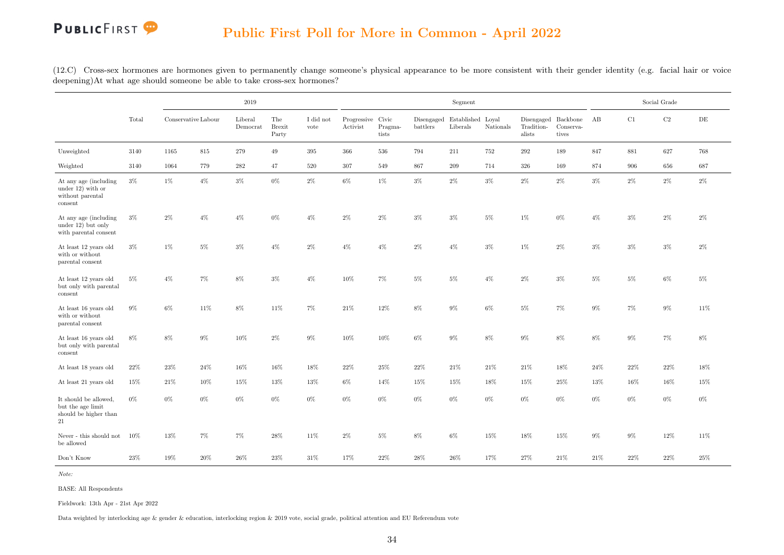(12.C) Cross-sex hormones are hormones given to permanently change someone's physical appearance to be more consistent with their gender identity (e.g. facial hair or voice deepening)At what age should someone be able to take cross-sex hormones?

|                                                                             |        |                     |        | $2019\,$            |                               |                   |                               |                  |          | Segment                                  |           |                      |                                              |        |        | Social Grade |           |
|-----------------------------------------------------------------------------|--------|---------------------|--------|---------------------|-------------------------------|-------------------|-------------------------------|------------------|----------|------------------------------------------|-----------|----------------------|----------------------------------------------|--------|--------|--------------|-----------|
|                                                                             | Total  | Conservative Labour |        | Liberal<br>Democrat | The<br><b>Brexit</b><br>Party | I did not<br>vote | Progressive Civic<br>Activist | Pragma-<br>tists | battlers | Disengaged Established Loyal<br>Liberals | Nationals | Tradition-<br>alists | Disengaged Backbone AB<br>Conserva-<br>tives |        | C1     | $\rm C2$     | $\rm{DE}$ |
| Unweighted                                                                  | 3140   | 1165                | 815    | 279                 | 49                            | 395               | 366                           | 536              | 794      | 211                                      | 752       | $\,292$              | 189                                          | 847    | 881    | 627          | 768       |
| Weighted                                                                    | 3140   | 1064                | 779    | 282                 | 47                            | 520               | $307\,$                       | 549              | 867      | 209                                      | 714       | 326                  | 169                                          | 874    | 906    | 656          | 687       |
| At any age (including<br>under $12)$ with or<br>without parental<br>consent | $3\%$  | 1%                  | $4\%$  | $3\%$               | $0\%$                         | $2\%$             | $6\%$                         | $1\%$            | $3\%$    | $2\%$                                    | $3\%$     | $2\%$                | $2\%$                                        | $3\%$  | $2\%$  | $2\%$        | $2\%$     |
| At any age (including)<br>under $12$ ) but only<br>with parental consent    | $3\%$  | $2\%$               | $4\%$  | $4\%$               | $0\%$                         | $4\%$             | $2\%$                         | $2\%$            | $3\%$    | $3\%$                                    | $5\%$     | $1\%$                | $0\%$                                        | $4\%$  | $3\%$  | 2%           | $2\%$     |
| At least 12 years old<br>with or without<br>parental consent                | $3\%$  | 1%                  | $5\%$  | $3\%$               | $4\%$                         | $2\%$             | $4\%$                         | $4\%$            | $2\%$    | $4\%$                                    | $3\%$     | $1\%$                | $2\%$                                        | $3\%$  | $3\%$  | $3\%$        | $2\%$     |
| At least 12 years old<br>but only with parental<br>consent                  | $5\%$  | $4\%$               | $7\%$  | $8\%$               | $3\%$                         | $4\%$             | 10%                           | $7\%$            | $5\%$    | $5\%$                                    | $4\%$     | $2\%$                | $3\%$                                        | $5\%$  | $5\%$  | $6\%$        | $5\%$     |
| At least 16 years old<br>with or without<br>parental consent                | $9\%$  | $6\%$               | 11%    | $8\%$               | 11%                           | $7\%$             | $21\%$                        | $12\%$           | $8\%$    | $9\%$                                    | $6\%$     | $5\%$                | $7\%$                                        | $9\%$  | $7\%$  | $9\%$        | 11\%      |
| At least 16 years old<br>but only with parental<br>consent                  | $8\%$  | $8\%$               | $9\%$  | 10%                 | $2\%$                         | $9\%$             | $10\%$                        | $10\%$           | $6\%$    | $9\%$                                    | $8\%$     | $9\%$                | 8%                                           | 8%     | $9\%$  | $7\%$        | $8\%$     |
| At least 18 years old                                                       | 22%    | 23%                 | $24\%$ | $16\%$              | 16%                           | 18%               | $22\%$                        | $25\%$           | $22\%$   | $21\%$                                   | $21\%$    | $21\%$               | 18%                                          | $24\%$ | $22\%$ | $22\%$       | 18%       |
| At least 21 years old                                                       | 15%    | 21%                 | 10%    | 15%                 | 13%                           | 13%               | 6%                            | 14%              | 15%      | 15%                                      | 18%       | 15%                  | 25%                                          | 13%    | 16%    | 16%          | 15%       |
| It should be allowed,<br>but the age limit<br>should be higher than<br>21   | $0\%$  | $0\%$               | $0\%$  | $0\%$               | $0\%$                         | $0\%$             | $0\%$                         | $0\%$            | $0\%$    | $0\%$                                    | $0\%$     | $0\%$                | $0\%$                                        | 0%     | $0\%$  | $0\%$        | $0\%$     |
| Never - this should not<br>be allowed                                       | $10\%$ | $13\%$              | $7\%$  | 7%                  | $28\%$                        | 11%               | $2\%$                         | $5\%$            | $8\%$    | $6\%$                                    | 15%       | $18\%$               | 15%                                          | $9\%$  | $9\%$  | 12%          | 11%       |
| Don't Know                                                                  | $23\%$ | $19\%$              | $20\%$ | $26\%$              | $23\%$                        | $31\%$            | 17%                           | $22\%$           | $28\%$   | $26\%$                                   | 17%       | $27\%$               | $21\%$                                       | $21\%$ | $22\%$ | $22\%$       | $25\%$    |

Note:

BASE: All Respondents

Fieldwork: 13th Apr - 21st Apr 2022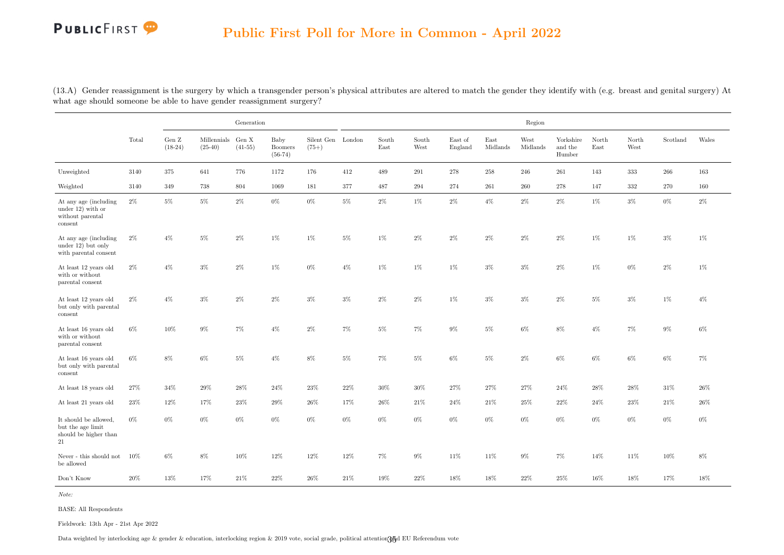<span id="page-43-0"></span>(13.A) Gender reassignment is the surgery by which a transgender person's physical attributes are altered to match the gender they identify with (e.g. breast and genital surgery) At what age should someone be able to have gender reassignment surgery?

|                                                                              |        |                              |                                | Generation |                                     |                              |        |               |               |                    |                  | Region           |                                |               |               |          |        |
|------------------------------------------------------------------------------|--------|------------------------------|--------------------------------|------------|-------------------------------------|------------------------------|--------|---------------|---------------|--------------------|------------------|------------------|--------------------------------|---------------|---------------|----------|--------|
|                                                                              | Total  | Gen $\mathbf Z$<br>$(18-24)$ | Millennials Gen X<br>$(25-40)$ | $(41-55)$  | Baby<br><b>Boomers</b><br>$(56-74)$ | Silent Gen London<br>$(75+)$ |        | South<br>East | South<br>West | East of<br>England | East<br>Midlands | West<br>Midlands | Yorkshire<br>and the<br>Humber | North<br>East | North<br>West | Scotland | Wales  |
| Unweighted                                                                   | 3140   | 375                          | 641                            | 776        | 1172                                | 176                          | 412    | 489           | 291           | 278                | 258              | 246              | 261                            | 143           | 333           | 266      | 163    |
| Weighted                                                                     | 3140   | 349                          | 738                            | 804        | 1069                                | 181                          | 377    | 487           | $\,294$       | 274                | $261\,$          | $260\,$          | 278                            | 147           | $332\,$       | 270      | 160    |
| At any age (including)<br>under $12)$ with or<br>without parental<br>consent | $2\%$  | $5\%$                        | $5\%$                          | $2\%$      | $0\%$                               | $0\%$                        | $5\%$  | $2\%$         | $1\%$         | $2\%$              | $4\%$            | $2\%$            | $2\%$                          | 1%            | $3\%$         | $0\%$    | $2\%$  |
| At any age (including<br>under 12) but only<br>with parental consent         | $2\%$  | $4\%$                        | $5\%$                          | $2\%$      | 1%                                  | 1%                           | $5\%$  | 1%            | $2\%$         | $2\%$              | $2\%$            | $2\%$            | $2\%$                          | 1%            | $1\%$         | $3\%$    | 1%     |
| At least 12 years old<br>with or without<br>parental consent                 | $2\%$  | $4\%$                        | $3\%$                          | $2\%$      | 1%                                  | $0\%$                        | $4\%$  | $1\%$         | $1\%$         | $1\%$              | $3\%$            | $3\%$            | $2\%$                          | $1\%$         | $0\%$         | $2\%$    | $1\%$  |
| At least 12 years old<br>but only with parental<br>consent                   | $2\%$  | $4\%$                        | $3\%$                          | $2\%$      | $2\%$                               | $3\%$                        | $3\%$  | $2\%$         | $2\%$         | $1\%$              | $3\%$            | $3\%$            | $2\%$                          | 5%            | $3\%$         | 1%       | $4\%$  |
| At least 16 years old<br>with or without<br>parental consent                 | $6\%$  | 10%                          | $9\%$                          | 7%         | $4\%$                               | $2\%$                        | $7\%$  | $5\%$         | $7\%$         | $9\%$              | $5\%$            | $6\%$            | $8\%$                          | $4\%$         | $7\%$         | $9\%$    | $6\%$  |
| At least 16 years old<br>but only with parental<br>consent                   | $6\%$  | $8\%$                        | $6\%$                          | $5\%$      | $4\%$                               | $8\%$                        | $5\%$  | $7\%$         | $5\%$         | $6\%$              | $5\%$            | $2\%$            | $6\%$                          | $6\%$         | $6\%$         | $6\%$    | $7\%$  |
| At least 18 years old                                                        | 27%    | 34%                          | 29%                            | 28\%       | 24%                                 | 23%                          | 22%    | 30%           | 30%           | 27%                | 27%              | 27%              | 24%                            | 28%           | 28%           | 31%      | 26\%   |
| At least 21 years old                                                        | $23\%$ | $12\%$                       | 17%                            | $23\%$     | $29\%$                              | $26\%$                       | 17%    | $26\%$        | $21\%$        | $24\%$             | $21\%$           | $25\%$           | $22\%$                         | 24%           | $23\%$        | $21\%$   | $26\%$ |
| It should be allowed,<br>but the age limit<br>should be higher than<br>21    | $0\%$  | $0\%$                        | $0\%$                          | $0\%$      | $0\%$                               | $0\%$                        | $0\%$  | $0\%$         | $0\%$         | $0\%$              | $0\%$            | $0\%$            | $0\%$                          | $0\%$         | $0\%$         | $0\%$    | $0\%$  |
| Never - this should not<br>be allowed                                        | $10\%$ | $6\%$                        | $8\%$                          | $10\%$     | 12%                                 | 12%                          | $12\%$ | 7%            | $9\%$         | 11%                | $11\%$           | $9\%$            | $7\%$                          | 14%           | 11%           | $10\%$   | $8\%$  |
| Don't Know                                                                   | 20%    | 13%                          | 17%                            | 21\%       | 22%                                 | 26%                          | 21\%   | 19%           | 22%           | 18%                | 18%              | 22%              | $25\%$                         | 16%           | 18%           | 17%      | 18%    |

Note:

BASE: All Respondents

Fieldwork: 13th Apr - 21st Apr 2022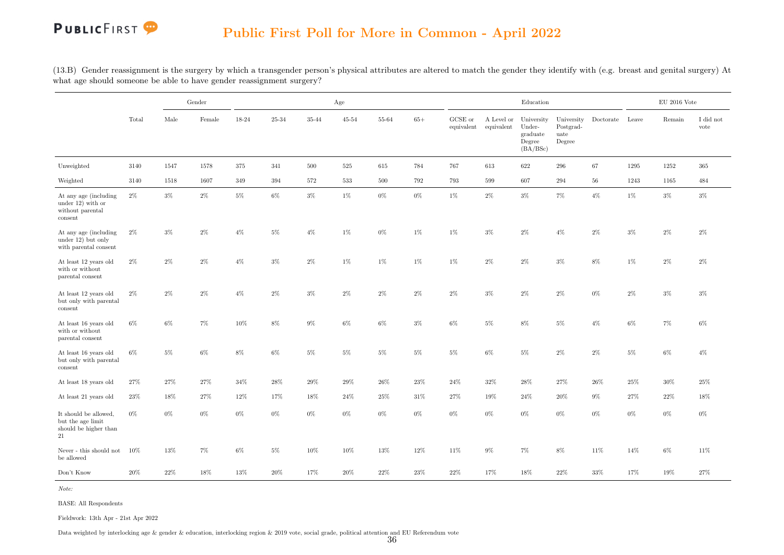(13.B) Gender reassignment is the surgery by which a transgender person's physical attributes are altered to match the gender they identify with (e.g. breast and genital surgery) At what age should someone be able to have gender reassignment surgery?

|                                                                              |        |        | Gender |         |        |        | Age       |        |        |                       |                          | Education                                              |                                           |                 |        | $\mathop{\rm EU}$ 2016 Vote |                               |
|------------------------------------------------------------------------------|--------|--------|--------|---------|--------|--------|-----------|--------|--------|-----------------------|--------------------------|--------------------------------------------------------|-------------------------------------------|-----------------|--------|-----------------------------|-------------------------------|
|                                                                              | Total  | Male   | Female | 18-24   | 25-34  | 35-44  | $45 - 54$ | 55-64  | $65+$  | GCSE or<br>equivalent | A Level or<br>equivalent | University<br>Under-<br>graduate<br>Degree<br>(BA/BSc) | University<br>Postgrad-<br>uate<br>Degree | Doctorate Leave |        | Remain                      | $\rm I$ did $\rm not$<br>vote |
| Unweighted                                                                   | 3140   | 1547   | 1578   | 375     | 341    | 500    | 525       | 615    | 784    | 767                   | 613                      | 622                                                    | 296                                       | 67              | 1295   | 1252                        | 365                           |
| Weighted                                                                     | 3140   | 1518   | 1607   | $349\,$ | 394    | 572    | $533\,$   | 500    | 792    | 793                   | 599                      | 607                                                    | 294                                       | $56\,$          | 1243   | 1165                        | 484                           |
| At any age (including)<br>under $12)$ with or<br>without parental<br>consent | $2\%$  | $3\%$  | $2\%$  | $5\%$   | $6\%$  | $3\%$  | 1%        | $0\%$  | $0\%$  | $1\%$                 | $2\%$                    | $3\%$                                                  | $7\%$                                     | $4\%$           | 1%     | $3\%$                       | $3\%$                         |
| At any age (including<br>under 12) but only<br>with parental consent         | $2\%$  | $3\%$  | $2\%$  | $4\%$   | $5\%$  | $4\%$  | 1%        | $0\%$  | $1\%$  | $1\%$                 | $3\%$                    | $2\%$                                                  | $4\%$                                     | $2\%$           | $3\%$  | $2\%$                       | $2\%$                         |
| At least 12 years old<br>with or without<br>parental consent                 | $2\%$  | $2\%$  | $2\%$  | $4\%$   | $3\%$  | $2\%$  | 1%        | $1\%$  | $1\%$  | $1\%$                 | $2\%$                    | $2\%$                                                  | $3\%$                                     | $8\%$           | $1\%$  | $2\%$                       | $2\%$                         |
| At least 12 years old<br>but only with parental<br>consent                   | $2\%$  | $2\%$  | $2\%$  | $4\%$   | $2\%$  | $3\%$  | $2\%$     | $2\%$  | $2\%$  | $2\%$                 | $3\%$                    | $2\%$                                                  | $2\%$                                     | $0\%$           | $2\%$  | $3\%$                       | $3\%$                         |
| At least 16 years old<br>with or without<br>parental consent                 | $6\%$  | $6\%$  | 7%     | 10%     | $8\%$  | $9\%$  | $6\%$     | $6\%$  | $3\%$  | $6\%$                 | $5\%$                    | $8\%$                                                  | $5\%$                                     | $4\%$           | $6\%$  | $7\%$                       | $6\%$                         |
| At least 16 years old<br>but only with parental<br>consent                   | $6\%$  | 5%     | $6\%$  | $8\%$   | 6%     | $5\%$  | $5\%$     | $5\%$  | $5\%$  | $5\%$                 | $6\%$                    | $5\%$                                                  | $2\%$                                     | $2\%$           | $5\%$  | $6\%$                       | $4\%$                         |
| At least 18 years old                                                        | 27%    | 27%    | 27%    | 34%     | 28%    | $29\%$ | $29\%$    | $26\%$ | $23\%$ | $24\%$                | $32\%$                   | $28\%$                                                 | $27\%$                                    | $26\%$          | $25\%$ | $30\%$                      | $25\%$                        |
| At least 21 years old                                                        | 23%    | 18%    | 27%    | 12%     | 17%    | $18\%$ | 24\%      | 25%    | 31\%   | 27%                   | 19%                      | 24%                                                    | 20%                                       | 9%              | 27%    | 22\%                        | 18%                           |
| It should be allowed,<br>but the age limit<br>should be higher than<br>21    | $0\%$  | $0\%$  | $0\%$  | $0\%$   | $0\%$  | $0\%$  | $0\%$     | $0\%$  | $0\%$  | $0\%$                 | $0\%$                    | $0\%$                                                  | $0\%$                                     | $0\%$           | $0\%$  | $0\%$                       | $0\%$                         |
| Never - this should not<br>be allowed                                        | $10\%$ | 13%    | $7\%$  | $6\%$   | $5\%$  | 10%    | $10\%$    | 13%    | $12\%$ | 11%                   | $9\%$                    | $7\%$                                                  | $8\%$                                     | 11%             | 14%    | $6\%$                       | 11%                           |
| Don't Know                                                                   | $20\%$ | $22\%$ | 18%    | 13%     | $20\%$ | 17%    | $20\%$    | $22\%$ | $23\%$ | $22\%$                | $17\%$                   | 18%                                                    | $22\%$                                    | $33\%$          | 17%    | $19\%$                      | $27\%$                        |

Note:

BASE: All Respondents

Fieldwork: 13th Apr - 21st Apr 2022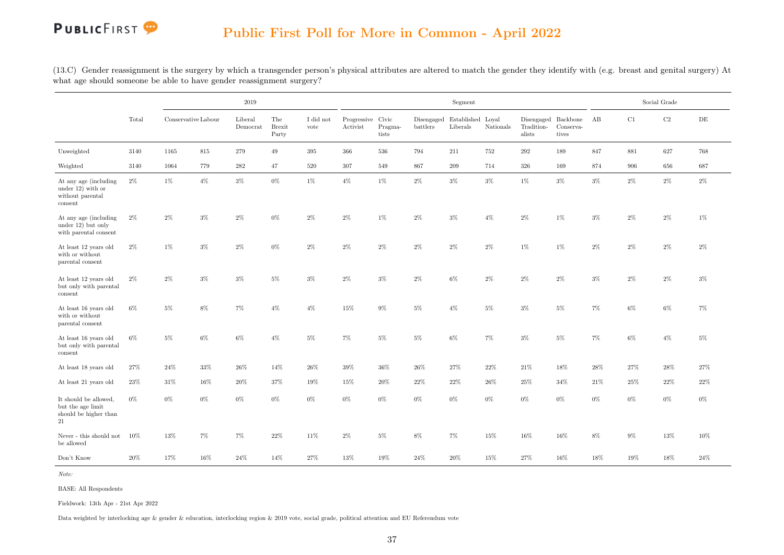(13.C) Gender reassignment is the surgery by which a transgender person's physical attributes are altered to match the gender they identify with (e.g. breast and genital surgery) At what age should someone be able to have gender reassignment surgery?

|                                                                              |        |                     |       | 2019                |                               |                               |                               |                  |          | Segment                                  |           |                      |                                                                                         |        |       | Social Grade |           |
|------------------------------------------------------------------------------|--------|---------------------|-------|---------------------|-------------------------------|-------------------------------|-------------------------------|------------------|----------|------------------------------------------|-----------|----------------------|-----------------------------------------------------------------------------------------|--------|-------|--------------|-----------|
|                                                                              | Total  | Conservative Labour |       | Liberal<br>Democrat | The<br><b>Brexit</b><br>Party | $\rm I$ did $\rm not$<br>vote | Progressive Civic<br>Activist | Pragma-<br>tists | battlers | Disengaged Established Loyal<br>Liberals | Nationals | Tradition-<br>alists | $\begin{tabular}{lllll} Disengaged & Backbone & AB \end{tabular}$<br>Conserva-<br>tives |        | C1    | $\rm{C2}$    | $\rm{DE}$ |
| Unweighted                                                                   | 3140   | 1165                | 815   | 279                 | 49                            | $395\,$                       | 366                           | 536              | 794      | 211                                      | 752       | 292                  | 189                                                                                     | 847    | 881   | 627          | 768       |
| Weighted                                                                     | 3140   | 1064                | 779   | 282                 | 47                            | 520                           | 307                           | 549              | 867      | 209                                      | 714       | 326                  | 169                                                                                     | 874    | 906   | 656          | 687       |
| At any age (including)<br>under $12)$ with or<br>without parental<br>consent | $2\%$  | 1%                  | $4\%$ | $3\%$               | $0\%$                         | 1%                            | $4\%$                         | $1\%$            | $2\%$    | $3\%$                                    | $3\%$     | 1%                   | $3\%$                                                                                   | $3\%$  | $2\%$ | $2\%$        | $2\%$     |
| At any age (including<br>under 12) but only<br>with parental consent         | $2\%$  | 2%                  | 3%    | 2%                  | 0%                            | 2%                            | $2\%$                         | $1\%$            | $2\%$    | $3\%$                                    | $4\%$     | $2\%$                | 1%                                                                                      | $3\%$  | $2\%$ | $2\%$        | 1%        |
| At least 12 years old<br>with or without<br>parental consent                 | $2\%$  | 1%                  | $3\%$ | $2\%$               | 0%                            | $2\%$                         | $2\%$                         | $2\%$            | $2\%$    | $2\%$                                    | $2\%$     | 1%                   | 1%                                                                                      | $2\%$  | $2\%$ | $2\%$        | $2\%$     |
| At least 12 years old<br>but only with parental<br>consent                   | $2\%$  | $2\%$               | $3\%$ | $3\%$               | $5\%$                         | $3\%$                         | $2\%$                         | $3\%$            | $2\%$    | $6\%$                                    | $2\%$     | $2\%$                | $2\%$                                                                                   | $3\%$  | $2\%$ | $2\%$        | $3\%$     |
| At least 16 years old<br>with or without<br>parental consent                 | $6\%$  | $5\%$               | $8\%$ | $7\%$               | $4\%$                         | $4\%$                         | 15%                           | $9\%$            | $5\%$    | $4\%$                                    | $5\%$     | $3\%$                | $5\%$                                                                                   | $7\%$  | $6\%$ | $6\%$        | $7\%$     |
| At least 16 years old<br>but only with parental<br>consent                   | $6\%$  | $5\%$               | $6\%$ | $6\%$               | $4\%$                         | $5\%$                         | $7\%$                         | $5\%$            | $5\%$    | $6\%$                                    | $7\%$     | $3\%$                | $5\%$                                                                                   | $7\%$  | $6\%$ | $4\%$        | $5\%$     |
| At least 18 years old                                                        | 27%    | 24%                 | 33%   | 26\%                | 14%                           | 26%                           | 39%                           | 36%              | 26%      | 27%                                      | 22%       | 21\%                 | 18%                                                                                     | 28%    | 27%   | 28%          | 27%       |
| At least 21 years old                                                        | $23\%$ | 31%                 | 16%   | $20\%$              | 37%                           | $19\%$                        | 15%                           | $20\%$           | $22\%$   | 22%                                      | 26%       | $25\%$               | 34%                                                                                     | 21\%   | 25%   | $22\%$       | $22\%$    |
| It should be allowed,<br>but the age limit<br>should be higher than<br>21    | $0\%$  | $0\%$               | $0\%$ | $0\%$               | $0\%$                         | $0\%$                         | $0\%$                         | $0\%$            | $0\%$    | $0\%$                                    | $0\%$     | $0\%$                | $0\%$                                                                                   | $0\%$  | $0\%$ | $0\%$        | $0\%$     |
| ${\hbox{Never}}$ - this should not<br>be allowed                             | $10\%$ | 13%                 | 7%    | $7\%$               | $22\%$                        | $11\%$                        | $2\%$                         | $5\%$            | $8\%$    | 7%                                       | 15%       | 16%                  | 16%                                                                                     | $8\%$  | $9\%$ | $13\%$       | 10%       |
| Don't Know                                                                   | $20\%$ | $17\%$              | 16%   | $24\%$              | 14%                           | 27%                           | $13\%$                        | $19\%$           | $24\%$   | $20\%$                                   | 15%       | $27\%$               | $16\%$                                                                                  | $18\%$ | 19%   | $18\%$       | $24\%$    |

Note:

BASE: All Respondents

Fieldwork: 13th Apr - 21st Apr 2022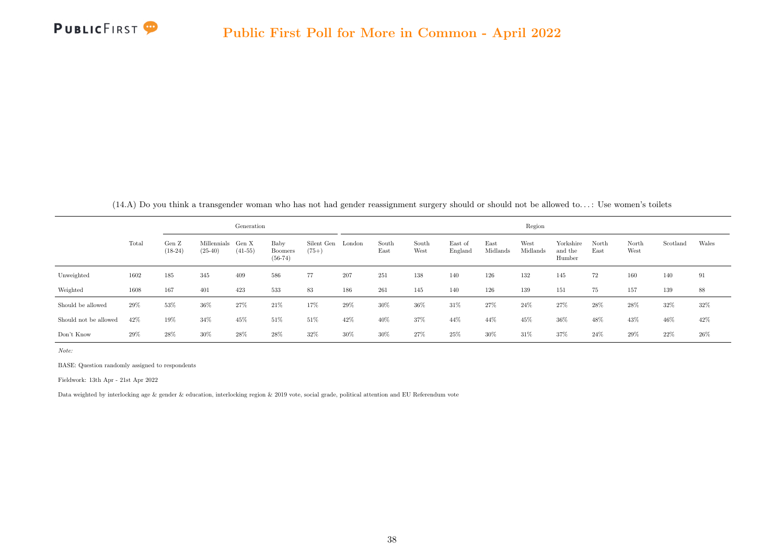<span id="page-46-0"></span>

|                       |       |                    |                          | Generation         |                                     |                       |        |               |               |                    |                  | Region           |                                |               |               |          |        |
|-----------------------|-------|--------------------|--------------------------|--------------------|-------------------------------------|-----------------------|--------|---------------|---------------|--------------------|------------------|------------------|--------------------------------|---------------|---------------|----------|--------|
|                       | Total | Gen Z<br>$(18-24)$ | Millennials<br>$(25-40)$ | Gen X<br>$(41-55)$ | Baby<br><b>Boomers</b><br>$(56-74)$ | Silent Gen<br>$(75+)$ | London | South<br>East | South<br>West | East of<br>England | East<br>Midlands | West<br>Midlands | Yorkshire<br>and the<br>Humber | North<br>East | North<br>West | Scotland | Wales  |
| Unweighted            | 1602  | 185                | 345                      | 409                | 586                                 | 77                    | 207    | 251           | 138           | 140                | 126              | 132              | 145                            | 72            | 160           | 140      | 91     |
| Weighted              | 1608  | 167                | 401                      | 423                | 533                                 | 83                    | 186    | 261           | 145           | 140                | 126              | 139              | 151                            | 75            | 157           | 139      | 88     |
| Should be allowed     | 29%   | 53%                | 36%                      | 27%                | 21%                                 | 17%                   | 29%    | 30%           | 36%           | 31\%               | 27%              | 24%              | 27%                            | 28\%          | 28\%          | 32%      | 32%    |
| Should not be allowed | 42%   | 19%                | 34%                      | 45%                | 51%                                 | 51%                   | 42%    | 40%           | 37%           | 44%                | 44%              | 45%              | 36%                            | 48%           | 43%           | 46%      | 42\%   |
| Don't Know            | 29%   | 28%                | 30%                      | 28%                | 28%                                 | 32%                   | 30%    | 30%           | 27\%          | 25%                | 30%              | 31%              | 37%                            | 24\%          | 29%           | $22\%$   | $26\%$ |

(14.A) Do you think a transgender woman who has not had gender reassignment surgery should or should not be allowed to. . . : Use women's toilets

Note:

BASE: Question randomly assigned to respondents

Fieldwork: 13th Apr - 21st Apr 2022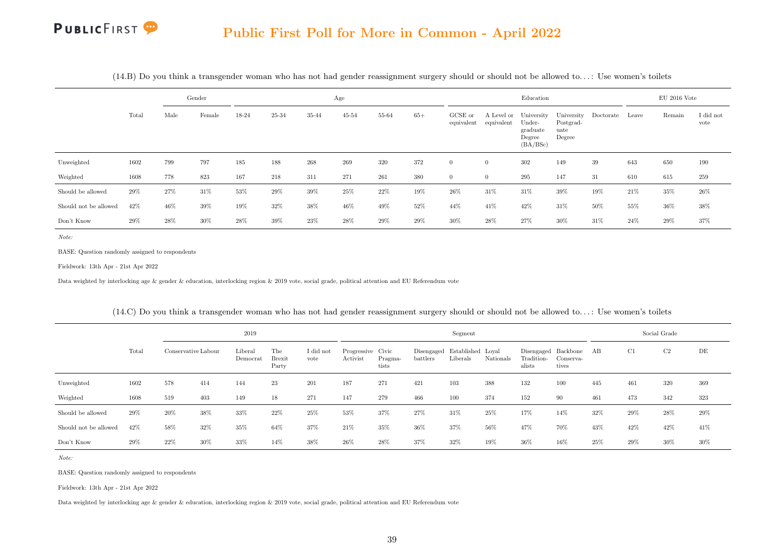|                       |       |      | Gender |       |       |       | Age       |        |       |                       |                          | Education                                              |                                           |           |       | $EU$ 2016 Vote |                   |
|-----------------------|-------|------|--------|-------|-------|-------|-----------|--------|-------|-----------------------|--------------------------|--------------------------------------------------------|-------------------------------------------|-----------|-------|----------------|-------------------|
|                       | Total | Male | Female | 18-24 | 25-34 | 35-44 | $45 - 54$ | 55-64  | $65+$ | GCSE or<br>equivalent | A Level or<br>equivalent | University<br>Under-<br>graduate<br>Degree<br>(BA/BSc) | University<br>Postgrad-<br>uate<br>Degree | Doctorate | Leave | Remain         | I did not<br>vote |
| Unweighted            | 1602  | 799  | 797    | 185   | 188   | 268   | 269       | 320    | 372   | $\overline{0}$        | $\overline{0}$           | 302                                                    | 149                                       | 39        | 643   | 650            | 190               |
| Weighted              | 1608  | 778  | 823    | 167   | 218   | 311   | 271       | 261    | 380   | $\overline{0}$        | $\overline{0}$           | 295                                                    | 147                                       | 31        | 610   | 615            | 259               |
| Should be allowed     | 29%   | 27%  | 31%    | 53%   | 29%   | 39%   | 25%       | $22\%$ | 19%   | 26%                   | 31%                      | 31%                                                    | 39%                                       | 19%       | 21\%  | 35%            | 26%               |
| Should not be allowed | 42%   | 46%  | 39%    | 19%   | 32%   | 38%   | 46%       | 49%    | 52%   | 44%                   | 41%                      | 42%                                                    | 31%                                       | 50%       | 55%   | 36%            | 38%               |
| Don't Know            | 29%   | 28\% | 30%    | 28%   | 39%   | 23%   | 28\%      | $29\%$ | 29%   | 30%                   | 28%                      | 27%                                                    | 30%                                       | 31\%      | 24%   | 29%            | 37%               |

(14.B) Do you think a transgender woman who has not had gender reassignment surgery should or should not be allowed to. . . : Use women's toilets

Note:

BASE: Question randomly assigned to respondents

Fieldwork: 13th Apr - 21st Apr 2022

Data weighted by interlocking age & gender & education, interlocking region & 2019 vote, social grade, political attention and EU Referendum vote

|                       |        |                     |        | 2019                |                               |                   |                               |                  |                                          | Segment  |           |                      |                                              |     | Social Grade |      |        |
|-----------------------|--------|---------------------|--------|---------------------|-------------------------------|-------------------|-------------------------------|------------------|------------------------------------------|----------|-----------|----------------------|----------------------------------------------|-----|--------------|------|--------|
|                       | Total  | Conservative Labour |        | Liberal<br>Democrat | The<br><b>Brexit</b><br>Party | I did not<br>vote | Progressive Civic<br>Activist | Pragma-<br>tists | Disengaged Established Loyal<br>battlers | Liberals | Nationals | Tradition-<br>alists | Disengaged Backbone AB<br>Conserva-<br>tives |     | C1           | C2   | DE     |
| Unweighted            | 1602   | 578                 | 414    | 144                 | 23                            | 201               | 187                           | 271              | 421                                      | 103      | 388       | 132                  | 100                                          | 445 | 461          | 320  | 369    |
| Weighted              | 1608   | 519                 | 403    | 149                 | 18                            | 271               | 147                           | 279              | 466                                      | 100      | 374       | 152                  | 90                                           | 461 | 473          | 342  | 323    |
| Should be allowed     | 29%    | 20%                 | 38%    | 33%                 | 22%                           | 25%               | 53%                           | 37%              | 27%                                      | 31%      | 25%       | 17%                  | 14%                                          | 32% | 29%          | 28\% | 29%    |
| Should not be allowed | 42%    | 58%                 | 32%    | 35%                 | 64%                           | 37%               | 21%                           | 35%              | 36%                                      | 37%      | 56%       | 47%                  | 70%                                          | 43% | 42%          | 42%  | 41\%   |
| Don't Know            | $29\%$ | 22%                 | $30\%$ | 33%                 | 14%                           | 38%               | 26%                           | 28%              | 37%                                      | 32%      | 19%       | 36%                  | 16%                                          | 25% | 29%          | 30%  | $30\%$ |

(14.C) Do you think a transgender woman who has not had gender reassignment surgery should or should not be allowed to. . . : Use women's toilets

Note:

BASE: Question randomly assigned to respondents

Fieldwork: 13th Apr - 21st Apr 2022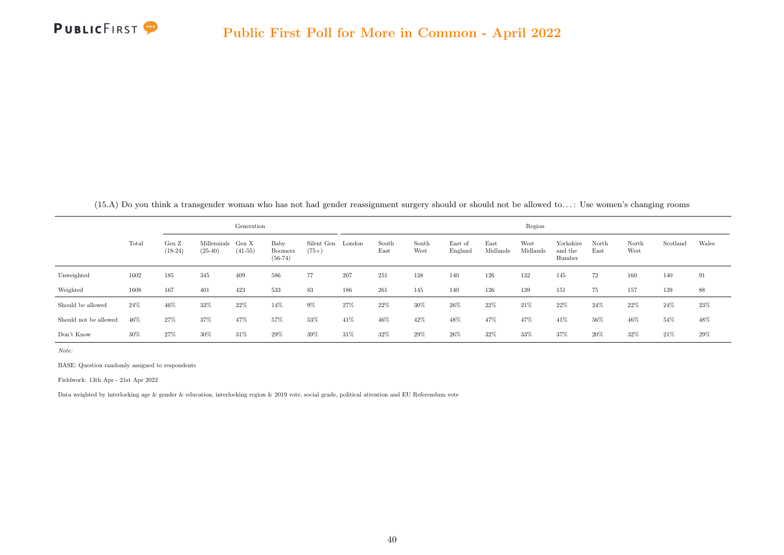

|  |  |  | $(15.A)$ Do you think a transgender woman who has not had gender reassignment surgery should or should not be allowed to: Use women's changing rooms |  |  |  |  |  |  |  |  |  |  |  |  |  |  |  |  |
|--|--|--|------------------------------------------------------------------------------------------------------------------------------------------------------|--|--|--|--|--|--|--|--|--|--|--|--|--|--|--|--|
|--|--|--|------------------------------------------------------------------------------------------------------------------------------------------------------|--|--|--|--|--|--|--|--|--|--|--|--|--|--|--|--|

<span id="page-48-0"></span>

|                       |       |                    |                          | Generation         |                                     |                       |        |               |               |                    |                  | Region           |                                |               |               |          |       |
|-----------------------|-------|--------------------|--------------------------|--------------------|-------------------------------------|-----------------------|--------|---------------|---------------|--------------------|------------------|------------------|--------------------------------|---------------|---------------|----------|-------|
|                       | Total | Gen Z<br>$(18-24)$ | Millennials<br>$(25-40)$ | Gen X<br>$(41-55)$ | Baby<br><b>Boomers</b><br>$(56-74)$ | Silent Gen<br>$(75+)$ | London | South<br>East | South<br>West | East of<br>England | East<br>Midlands | West<br>Midlands | Yorkshire<br>and the<br>Humber | North<br>East | North<br>West | Scotland | Wales |
| Unweighted            | 1602  | 185                | 345                      | 409                | 586                                 | 77                    | 207    | 251           | 138           | 140                | 126              | 132              | 145                            | 72            | 160           | 140      | 91    |
| Weighted              | 1608  | 167                | 401                      | 423                | 533                                 | 83                    | 186    | 261           | 145           | 140                | 126              | 139              | 151                            | 75            | 157           | 139      | 88    |
| Should be allowed     | 24%   | 46%                | 33%                      | 22%                | 14%                                 | $9\%$                 | 27%    | 22%           | 30%           | 26%                | 22\%             | 21\%             | 22%                            | 24\%          | $22\%$        | 24\%     | 23%   |
| Should not be allowed | 46%   | $27\%$             | 37%                      | 47%                | 57%                                 | 53%                   | 41%    | 46%           | 42%           | 48%                | 47%              | 47%              | 41\%                           | 56%           | 46%           | 54%      | 48%   |
| Don't Know            | 30%   | 27\%               | 30%                      | 31%                | 29%                                 | 39%                   | 31\%   | 32%           | 29%           | 26%                | 32%              | 33%              | 37%                            | 20%           | 32%           | 21\%     | 29%   |

BASE: Question randomly assigned to respondents

Fieldwork: 13th Apr - 21st Apr 2022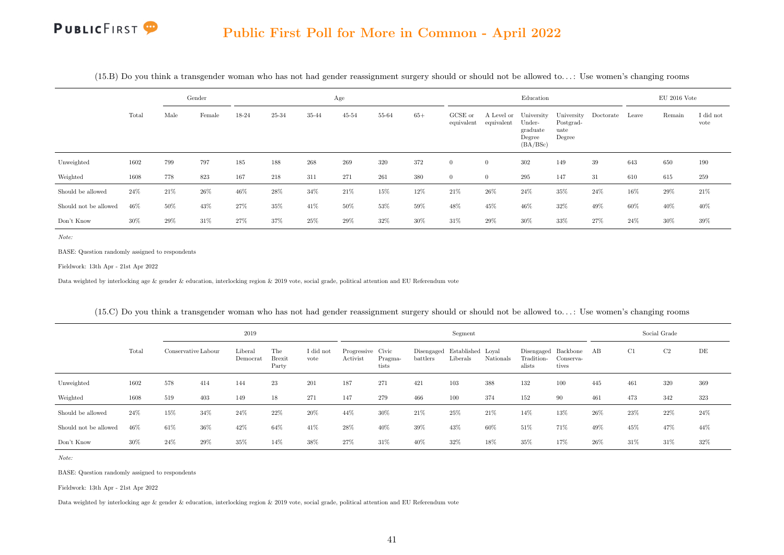|                       |       |      | Gender |       |       |         | Age       |       |       |                         |            | Education                                                         |                                           |           |       | $EU$ 2016 Vote |                   |
|-----------------------|-------|------|--------|-------|-------|---------|-----------|-------|-------|-------------------------|------------|-------------------------------------------------------------------|-------------------------------------------|-----------|-------|----------------|-------------------|
|                       | Total | Male | Female | 18-24 | 25-34 | 35-44   | $45 - 54$ | 55-64 | $65+$ | $GCSE$ or<br>equivalent | equivalent | A Level or University<br>Under-<br>graduate<br>Degree<br>(BA/BSc) | University<br>Postgrad-<br>uate<br>Degree | Doctorate | Leave | Remain         | I did not<br>vote |
| Unweighted            | 1602  | 799  | 797    | 185   | 188   | $268\,$ | 269       | 320   | 372   | $\overline{0}$          | $\theta$   | 302                                                               | 149                                       | 39        | 643   | 650            | 190               |
| Weighted              | 1608  | 778  | 823    | 167   | 218   | 311     | 271       | 261   | 380   | $\overline{0}$          | $\theta$   | $\,295$                                                           | 147                                       | 31        | 610   | 615            | 259               |
| Should be allowed     | 24%   | 21%  | 26%    | 46%   | 28%   | $34\%$  | 21%       | 15%   | 12%   | 21%                     | 26%        | 24%                                                               | 35%                                       | $24\%$    | 16%   | 29%            | $21\%$            |
| Should not be allowed | 46%   | 50%  | 43%    | 27%   | 35%   | 41\%    | 50%       | 53%   | 59%   | 48%                     | 45%        | 46%                                                               | 32%                                       | 49%       | 60%   | 40\%           | 40%               |
| Don't Know            | 30%   | 29%  | 31\%   | 27%   | 37%   | 25%     | 29%       | 32%   | 30%   | 31%                     | 29%        | 30%                                                               | 33%                                       | 27%       | 24%   | 30%            | 39%               |

(15.B) Do you think a transgender woman who has not had gender reassignment surgery should or should not be allowed to. . . : Use women's changing rooms

Note:

BASE: Question randomly assigned to respondents

Fieldwork: 13th Apr - 21st Apr 2022

Data weighted by interlocking age & gender & education, interlocking region & 2019 vote, social grade, political attention and EU Referendum vote

|                       |       |                     |        | 2019                |                               |                   |                               |                  |                                          | Segment  |           |                      |                                              |      | Social Grade |                |      |
|-----------------------|-------|---------------------|--------|---------------------|-------------------------------|-------------------|-------------------------------|------------------|------------------------------------------|----------|-----------|----------------------|----------------------------------------------|------|--------------|----------------|------|
|                       | Total | Conservative Labour |        | Liberal<br>Democrat | The<br><b>Brexit</b><br>Party | I did not<br>vote | Progressive Civic<br>Activist | Pragma-<br>tists | Disengaged Established Loyal<br>battlers | Liberals | Nationals | Tradition-<br>alists | Disengaged Backbone AB<br>Conserva-<br>tives |      | C1           | C <sub>2</sub> | DE   |
| Unweighted            | 1602  | 578                 | 414    | 144                 | 23                            | 201               | 187                           | 271              | 421                                      | 103      | 388       | 132                  | 100                                          | 445  | 461          | 320            | 369  |
| Weighted              | 1608  | 519                 | 403    | 149                 | 18                            | 271               | 147                           | 279              | 466                                      | 100      | 374       | 152                  | 90                                           | 461  | 473          | 342            | 323  |
| Should be allowed     | 24%   | 15%                 | 34%    | 24%                 | 22%                           | 20%               | 44%                           | 30%              | 21\%                                     | 25%      | $21\%$    | 14%                  | 13%                                          | 26%  | 23%          | 22%            | 24\% |
| Should not be allowed | 46%   | 61\%                | 36%    | 42%                 | 64%                           | 41\%              | 28%                           | 40\%             | 39%                                      | 43%      | 60%       | 51%                  | 71%                                          | 49%  | 45%          | 47%            | 44%  |
| Don't Know            | 30%   | $24\%$              | $29\%$ | 35%                 | 14%                           | 38%               | 27%                           | 31%              | 40%                                      | 32%      | 18%       | 35%                  | 17%                                          | 26\% | 31%          | 31%            | 32%  |

(15.C) Do you think a transgender woman who has not had gender reassignment surgery should or should not be allowed to. . . : Use women's changing rooms

Note:

BASE: Question randomly assigned to respondents

Fieldwork: 13th Apr - 21st Apr 2022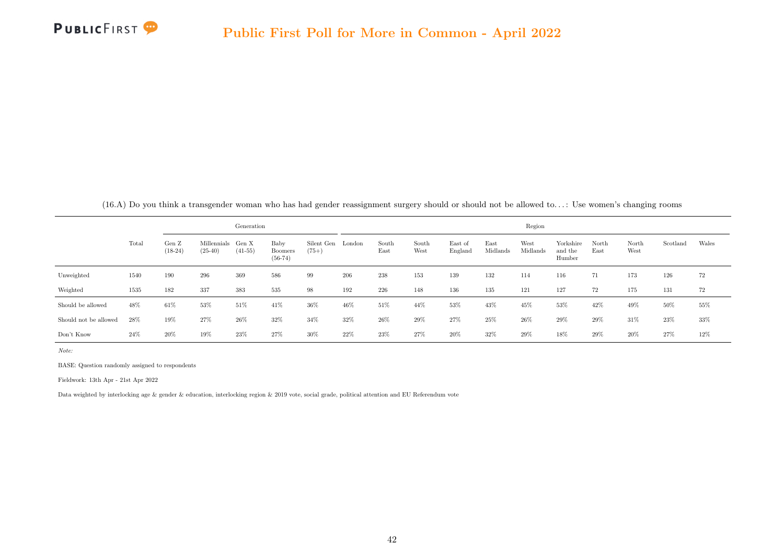

(16.A) Do you think a transgender woman who has had gender reassignment surgery should or should not be allowed to. . . : Use women's changing rooms

<span id="page-50-0"></span>

|                       |        |                    |                          | Generation         |                                     |                       |        |               |               |                    |                  | Region           |                                |               |               |          |        |
|-----------------------|--------|--------------------|--------------------------|--------------------|-------------------------------------|-----------------------|--------|---------------|---------------|--------------------|------------------|------------------|--------------------------------|---------------|---------------|----------|--------|
|                       | Total  | Gen Z<br>$(18-24)$ | Millennials<br>$(25-40)$ | Gen X<br>$(41-55)$ | Baby<br><b>Boomers</b><br>$(56-74)$ | Silent Gen<br>$(75+)$ | London | South<br>East | South<br>West | East of<br>England | East<br>Midlands | West<br>Midlands | Yorkshire<br>and the<br>Humber | North<br>East | North<br>West | Scotland | Wales  |
| Unweighted            | 1540   | 190                | 296                      | 369                | 586                                 | 99                    | 206    | 238           | 153           | 139                | 132              | 114              | 116                            | 71            | 173           | 126      | 72     |
| Weighted              | 1535   | 182                | 337                      | 383                | 535                                 | 98                    | 192    | 226           | 148           | 136                | 135              | 121              | 127                            | 72            | 175           | 131      | 72     |
| Should be allowed     | 48%    | 61%                | 53%                      | 51%                | 41\%                                | 36%                   | 46%    | 51%           | 44%           | 53%                | 43%              | 45%              | 53%                            | 42%           | 49%           | 50%      | $55\%$ |
| Should not be allowed | 28%    | 19%                | 27%                      | 26%                | 32%                                 | 34%                   | 32%    | 26%           | 29%           | 27%                | 25%              | $26\%$           | 29%                            | 29%           | 31%           | 23%      | $33\%$ |
| Don't Know            | $24\%$ | $20\%$             | 19%                      | 23%                | 27%                                 | 30%                   | 22%    | 23%           | 27%           | 20%                | 32%              | 29%              | 18%                            | 29%           | 20%           | 27%      | 12%    |

BASE: Question randomly assigned to respondents

Fieldwork: 13th Apr - 21st Apr 2022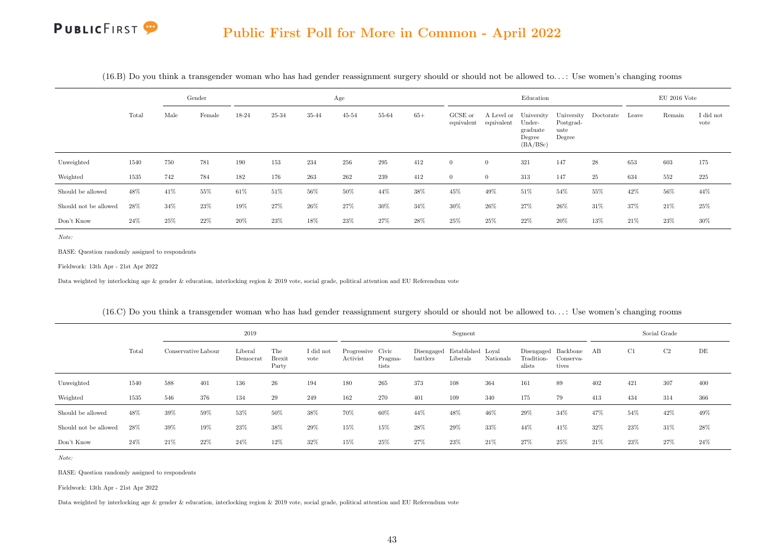|                       |       |      | Gender |        |       |        | Age       |       |       |                       |                                     | Education                                |                             |                      |       | $EU$ 2016 Vote |                   |
|-----------------------|-------|------|--------|--------|-------|--------|-----------|-------|-------|-----------------------|-------------------------------------|------------------------------------------|-----------------------------|----------------------|-------|----------------|-------------------|
|                       | Total | Male | Female | 18-24  | 25-34 | 35-44  | $45 - 54$ | 55-64 | $65+$ | GCSE or<br>equivalent | A Level or University<br>equivalent | Under-<br>graduate<br>Degree<br>(BA/BSc) | Postgrad-<br>uate<br>Degree | University Doctorate | Leave | Remain         | I did not<br>vote |
| Unweighted            | 1540  | 750  | 781    | 190    | 153   | 234    | 256       | 295   | 412   | $\theta$              | $\overline{0}$                      | 321                                      | 147                         | 28                   | 653   | 603            | 175               |
| Weighted              | 1535  | 742  | 784    | 182    | 176   | 263    | 262       | 239   | 412   | $\theta$              | $\overline{0}$                      | 313                                      | 147                         | 25                   | 634   | 552            | 225               |
| Should be allowed     | 48%   | 41%  | 55%    | 61\%   | 51%   | 56%    | 50%       | 44%   | 38%   | 45%                   | 49%                                 | 51%                                      | 54%                         | 55%                  | 42\%  | 56%            | 44%               |
| Should not be allowed | 28%   | 34%  | $23\%$ | 19%    | 27%   | $26\%$ | 27%       | 30%   | 34%   | 30%                   | 26%                                 | 27%                                      | 26%                         | 31\%                 | 37%   | 21\%           | $25\%$            |
| Don't Know            | 24%   | 25%  | 22\%   | $20\%$ | 23%   | 18%    | 23%       | 27%   | 28%   | 25%                   | 25%                                 | 22%                                      | 20%                         | 13%                  | 21\%  | 23%            | 30%               |

 $(16.B)$  Do you think a transgender woman who has had gender reassignment surgery should or should not be allowed to...: Use women's changing rooms

Note:

BASE: Question randomly assigned to respondents

Fieldwork: 13th Apr - 21st Apr 2022

Data weighted by interlocking age & gender & education, interlocking region & 2019 vote, social grade, political attention and EU Referendum vote

|                       |        |                     |     | 2019                |                               |                   |                               |                  |                                          | Segment  |           |                      |                                              |      | Social Grade |      |        |
|-----------------------|--------|---------------------|-----|---------------------|-------------------------------|-------------------|-------------------------------|------------------|------------------------------------------|----------|-----------|----------------------|----------------------------------------------|------|--------------|------|--------|
|                       | Total  | Conservative Labour |     | Liberal<br>Democrat | The<br><b>Brexit</b><br>Party | I did not<br>vote | Progressive Civic<br>Activist | Pragma-<br>tists | Disengaged Established Loyal<br>battlers | Liberals | Nationals | Tradition-<br>alists | Disengaged Backbone AB<br>Conserva-<br>tives |      | C1           | C2   | DE     |
| Unweighted            | 1540   | 588                 | 401 | 136                 | 26                            | 194               | 180                           | 265              | 373                                      | 108      | 364       | 161                  | 89                                           | 402  | 421          | 307  | 400    |
| Weighted              | 1535   | 546                 | 376 | 134                 | 29                            | 249               | 162                           | 270              | 401                                      | 109      | 340       | 175                  | 79                                           | 413  | 434          | 314  | 366    |
| Should be allowed     | 48%    | 39%                 | 59% | 53%                 | 50%                           | 38%               | 70%                           | 60%              | 44%                                      | 48%      | 46%       | 29%                  | 34%                                          | 47%  | 54%          | 42\% | 49%    |
| Should not be allowed | 28%    | 39%                 | 19% | 23%                 | 38%                           | 29%               | 15%                           | 15%              | 28%                                      | 29%      | 33%       | 44%                  | 41\%                                         | 32%  | $23\%$       | 31\% | $28\%$ |
| Don't Know            | $24\%$ | 21%                 | 22% | 24%                 | 12%                           | 32%               | 15%                           | 25%              | 27%                                      | 23%      | $21\%$    | 27%                  | 25%                                          | 21\% | 23%          | 27%  | 24%    |

(16.C) Do you think a transgender woman who has had gender reassignment surgery should or should not be allowed to. . . : Use women's changing rooms

Note:

BASE: Question randomly assigned to respondents

Fieldwork: 13th Apr - 21st Apr 2022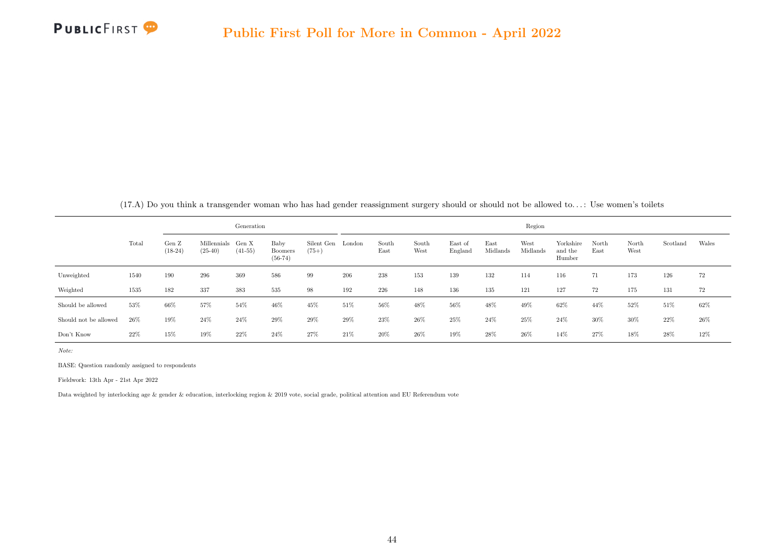<span id="page-52-0"></span>

|                       |        |                    |                          | Generation         |                                     |                       |        |               |               |                    |                  | Region           |                                |               |               |          |        |
|-----------------------|--------|--------------------|--------------------------|--------------------|-------------------------------------|-----------------------|--------|---------------|---------------|--------------------|------------------|------------------|--------------------------------|---------------|---------------|----------|--------|
|                       | Total  | Gen Z<br>$(18-24)$ | Millennials<br>$(25-40)$ | Gen X<br>$(41-55)$ | Baby<br><b>Boomers</b><br>$(56-74)$ | Silent Gen<br>$(75+)$ | London | South<br>East | South<br>West | East of<br>England | East<br>Midlands | West<br>Midlands | Yorkshire<br>and the<br>Humber | North<br>East | North<br>West | Scotland | Wales  |
| Unweighted            | 1540   | 190                | 296                      | 369                | 586                                 | 99                    | 206    | 238           | 153           | 139                | 132              | 114              | 116                            | 71            | 173           | 126      | 72     |
| Weighted              | 1535   | 182                | 337                      | 383                | 535                                 | 98                    | 192    | 226           | 148           | 136                | 135              | 121              | 127                            | 72            | 175           | 131      | 72     |
| Should be allowed     | $53\%$ | 66%                | 57%                      | 54%                | 46%                                 | 45%                   | 51\%   | 56%           | 48%           | 56%                | 48%              | 49%              | 62%                            | 44%           | 52%           | 51%      | $62\%$ |
| Should not be allowed | 26%    | 19%                | 24%                      | 24\%               | 29%                                 | 29%                   | 29%    | 23%           | $26\%$        | 25%                | 24%              | 25%              | 24%                            | $30\%$        | 30%           | 22%      | 26%    |
| Don't Know            | $22\%$ | 15%                | 19%                      | 22%                | 24%                                 | 27%                   | 21\%   | 20%           | 26\%          | 19%                | 28%              | 26%              | 14%                            | 27%           | 18%           | 28%      | 12%    |

(17.A) Do you think a transgender woman who has had gender reassignment surgery should or should not be allowed to. . . : Use women's toilets

BASE: Question randomly assigned to respondents

Fieldwork: 13th Apr - 21st Apr 2022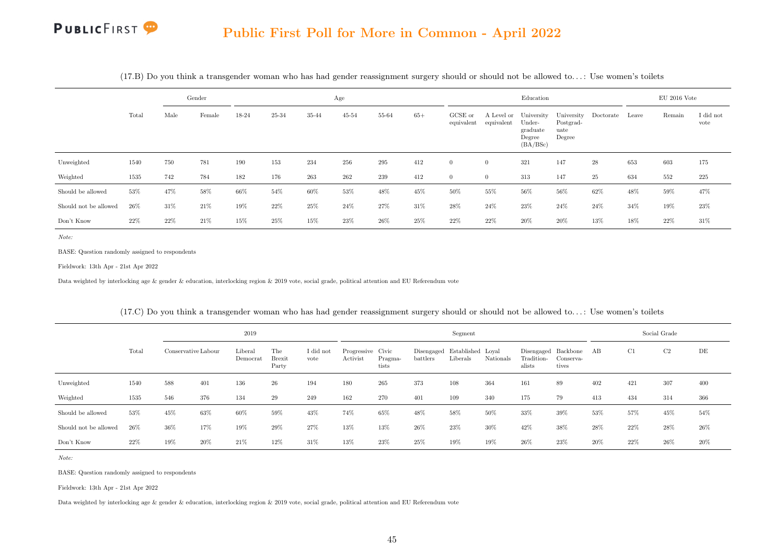|                       | Gender |      |        |        |       |        | Age       |           |       |                       |            | Education                                                         |                             |                      |       | $EU$ 2016 Vote |                   |
|-----------------------|--------|------|--------|--------|-------|--------|-----------|-----------|-------|-----------------------|------------|-------------------------------------------------------------------|-----------------------------|----------------------|-------|----------------|-------------------|
|                       | Total  | Male | Female | 18-24  | 25-34 | 35-44  | $45 - 54$ | $55 - 64$ | $65+$ | GCSE or<br>equivalent | equivalent | A Level or University<br>Under-<br>graduate<br>Degree<br>(BA/BSc) | Postgrad-<br>uate<br>Degree | University Doctorate | Leave | Remain         | I did not<br>vote |
| Unweighted            | 1540   | 750  | 781    | 190    | 153   | 234    | 256       | 295       | 412   | $\Omega$              | $\theta$   | 321                                                               | 147                         | 28                   | 653   | 603            | 175               |
| Weighted              | 1535   | 742  | 784    | 182    | 176   | 263    | 262       | 239       | 412   | $\theta$              | $\theta$   | 313                                                               | 147                         | 25                   | 634   | 552            | 225               |
| Should be allowed     | 53%    | 47%  | 58%    | 66%    | 54%   | 60%    | 53%       | 48%       | 45%   | 50%                   | 55%        | 56%                                                               | 56%                         | 62%                  | 48%   | 59%            | 47%               |
| Should not be allowed | 26%    | 31%  | $21\%$ | $19\%$ | 22%   | $25\%$ | 24%       | 27%       | 31%   | 28%                   | $24\%$     | 23%                                                               | $24\%$                      | $24\%$               | 34%   | 19%            | $23\%$            |
| Don't Know            | 22%    | 22%  | 21\%   | 15%    | 25%   | 15%    | 23%       | 26\%      | 25%   | 22%                   | 22\%       | 20%                                                               | 20%                         | 13%                  | 18%   | 22%            | 31\%              |

(17.B) Do you think a transgender woman who has had gender reassignment surgery should or should not be allowed to. . . : Use women's toilets

Note:

BASE: Question randomly assigned to respondents

Fieldwork: 13th Apr - 21st Apr 2022

Data weighted by interlocking age & gender & education, interlocking region & 2019 vote, social grade, political attention and EU Referendum vote

|                       |        |                     |        | 2019                |                               |                   |                               |                  |                                          | Segment  |           |                                             |                    |     | Social Grade |        |        |
|-----------------------|--------|---------------------|--------|---------------------|-------------------------------|-------------------|-------------------------------|------------------|------------------------------------------|----------|-----------|---------------------------------------------|--------------------|-----|--------------|--------|--------|
|                       | Total  | Conservative Labour |        | Liberal<br>Democrat | The<br><b>Brexit</b><br>Party | I did not<br>vote | Progressive Civic<br>Activist | Pragma-<br>tists | Disengaged Established Loyal<br>battlers | Liberals | Nationals | Disengaged Backbone<br>Tradition-<br>alists | Conserva-<br>tives | AB  | C1           | C2     | DE     |
| Unweighted            | 1540   | 588                 | 401    | 136                 | 26                            | 194               | 180                           | 265              | 373                                      | 108      | 364       | 161                                         | 89                 | 402 | 421          | 307    | 400    |
| Weighted              | 1535   | 546                 | 376    | 134                 | 29                            | 249               | 162                           | 270              | 401                                      | 109      | 340       | 175                                         | 79                 | 413 | 434          | 314    | 366    |
| Should be allowed     | 53%    | 45%                 | 63%    | 60%                 | 59%                           | 43%               | 74%                           | 65%              | 48%                                      | 58%      | 50%       | 33%                                         | 39%                | 53% | 57%          | 45%    | 54%    |
| Should not be allowed | 26%    | $36\%$              | 17%    | 19%                 | 29%                           | $27\%$            | 13%                           | 13%              | 26\%                                     | 23%      | $30\%$    | 42%                                         | 38%                | 28% | 22%          | 28\%   | 26\%   |
| Don't Know            | $22\%$ | 19%                 | $20\%$ | 21\%                | 12%                           | 31%               | 13%                           | 23%              | 25%                                      | $19\%$   | 19%       | 26%                                         | 23%                | 20% | 22%          | $26\%$ | $20\%$ |

(17.C) Do you think a transgender woman who has had gender reassignment surgery should or should not be allowed to. . . : Use women's toilets

Note:

BASE: Question randomly assigned to respondents

Fieldwork: 13th Apr - 21st Apr 2022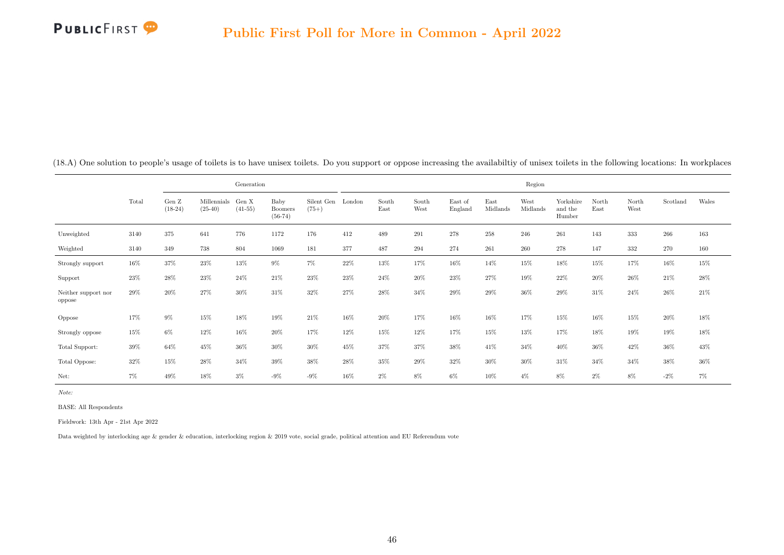

|                               |        |                    |                          | Generation         |                              |                       |        |               |               |                    |                  | Region           |                                |               |               |          |        |
|-------------------------------|--------|--------------------|--------------------------|--------------------|------------------------------|-----------------------|--------|---------------|---------------|--------------------|------------------|------------------|--------------------------------|---------------|---------------|----------|--------|
|                               | Total  | Gen Z<br>$(18-24)$ | Millennials<br>$(25-40)$ | Gen X<br>$(41-55)$ | Baby<br>Boomers<br>$(56-74)$ | Silent Gen<br>$(75+)$ | London | South<br>East | South<br>West | East of<br>England | East<br>Midlands | West<br>Midlands | Yorkshire<br>and the<br>Humber | North<br>East | North<br>West | Scotland | Wales  |
| Unweighted                    | 3140   | 375                | 641                      | 776                | 1172                         | 176                   | 412    | 489           | 291           | 278                | 258              | 246              | 261                            | 143           | 333           | 266      | 163    |
| Weighted                      | 3140   | 349                | 738                      | 804                | 1069                         | 181                   | 377    | 487           | 294           | 274                | 261              | 260              | 278                            | 147           | 332           | 270      | 160    |
| Strongly support              | 16%    | 37%                | $23\%$                   | 13%                | $9\%$                        | $7\%$                 | $22\%$ | 13%           | 17%           | 16%                | 14%              | 15%              | 18%                            | 15%           | 17%           | 16%      | $15\%$ |
| Support                       | 23%    | 28%                | 23%                      | 24%                | 21\%                         | 23%                   | 23%    | 24\%          | 20%           | 23%                | 27%              | 19%              | 22\%                           | $20\%$        | $26\%$        | 21\%     | $28\%$ |
| Neither support nor<br>oppose | 29%    | 20%                | 27%                      | $30\%$             | 31\%                         | 32%                   | 27%    | 28%           | 34%           | 29%                | $29\%$           | $36\%$           | 29%                            | 31%           | 24%           | 26%      | 21\%   |
| Oppose                        | 17%    | $9\%$              | 15%                      | 18%                | 19%                          | 21\%                  | 16%    | 20%           | 17%           | 16%                | 16%              | 17%              | 15%                            | 16%           | 15%           | 20%      | 18%    |
| Strongly oppose               | 15%    | $6\%$              | 12%                      | 16%                | 20%                          | 17%                   | 12%    | 15%           | 12%           | 17%                | 15%              | 13%              | 17%                            | 18%           | 19%           | 19%      | $18\%$ |
| Total Support:                | 39%    | 64%                | 45%                      | 36%                | 30%                          | 30%                   | 45%    | 37%           | 37%           | 38%                | 41\%             | 34%              | 40%                            | $36\%$        | 42%           | 36%      | $43\%$ |
| Total Oppose:                 | $32\%$ | 15%                | 28%                      | $34\%$             | 39%                          | 38%                   | 28%    | 35%           | 29%           | 32%                | 30%              | 30%              | 31\%                           | 34%           | 34%           | $38\%$   | $36\%$ |
| Net:                          | $7\%$  | 49%                | $18\%$                   | $3\%$              | $-9\%$                       | $-9\%$                | $16\%$ | $2\%$         | $8\%$         | $6\%$              | $10\%$           | $4\%$            | $8\%$                          | $2\%$         | $8\%$         | $-2%$    | $7\%$  |

<span id="page-54-0"></span>(18.A) One solution to people's usage of toilets is to have unisex toilets. Do you support or oppose increasing the availabiltiy of unisex toilets in the following locations: In workplaces

Note:

BASE: All Respondents

Fieldwork: 13th Apr - 21st Apr 2022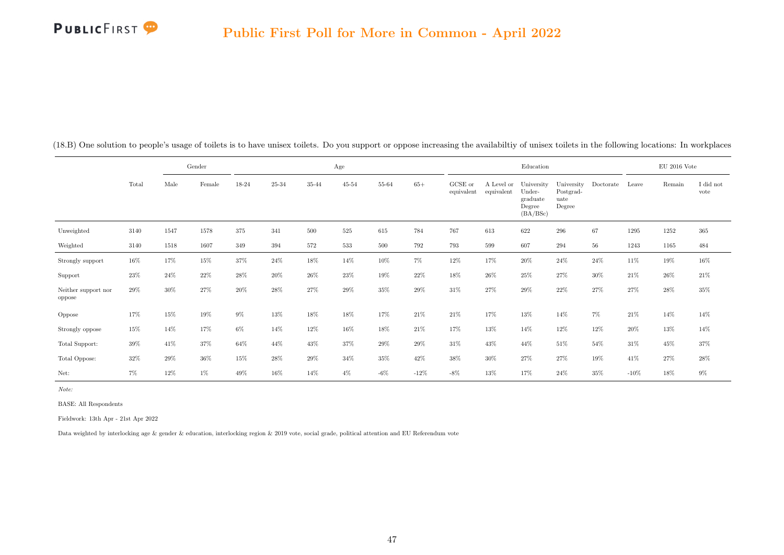

|                               |        |        | Gender |        |        |         | Age       |         |         |                       |                          | Education                                              |                                           |           |        | $EU$ 2016 Vote |                               |
|-------------------------------|--------|--------|--------|--------|--------|---------|-----------|---------|---------|-----------------------|--------------------------|--------------------------------------------------------|-------------------------------------------|-----------|--------|----------------|-------------------------------|
|                               | Total  | Male   | Female | 18-24  | 25-34  | 35-44   | $45 - 54$ | 55-64   | $65+$   | GCSE or<br>equivalent | A Level or<br>equivalent | University<br>Under-<br>graduate<br>Degree<br>(BA/BSc) | University<br>Postgrad-<br>uate<br>Degree | Doctorate | Leave  | Remain         | $\rm I$ did $\rm not$<br>vote |
| Unweighted                    | 3140   | 1547   | 1578   | 375    | 341    | 500     | 525       | 615     | 784     | 767                   | 613                      | 622                                                    | 296                                       | 67        | 1295   | 1252           | 365                           |
| Weighted                      | 3140   | 1518   | 1607   | 349    | 394    | $572\,$ | 533       | $500\,$ | 792     | 793                   | 599                      | 607                                                    | 294                                       | 56        | 1243   | 1165           | 484                           |
| Strongly support              | $16\%$ | 17%    | 15%    | 37%    | 24\%   | $18\%$  | 14%       | $10\%$  | $7\%$   | $12\%$                | 17%                      | $20\%$                                                 | 24\%                                      | 24\%      | 11\%   | 19%            | $16\%$                        |
| Support                       | $23\%$ | 24\%   | 22%    | $28\%$ | $20\%$ | $26\%$  | $23\%$    | 19%     | 22%     | $18\%$                | $26\%$                   | $25\%$                                                 | 27%                                       | 30%       | 21%    | $26\%$         | 21%                           |
| Neither support nor<br>oppose | 29%    | $30\%$ | 27%    | $20\%$ | $28\%$ | $27\%$  | $29\%$    | $35\%$  | $29\%$  | $31\%$                | $27\%$                   | $29\%$                                                 | $22\%$                                    | $27\%$    | $27\%$ | $28\%$         | $35\%$                        |
| Oppose                        | 17%    | 15%    | 19%    | 9%     | 13%    | $18\%$  | 18%       | 17%     | 21\%    | 21\%                  | 17%                      | 13%                                                    | 14%                                       | $7\%$     | 21%    | 14%            | $14\%$                        |
| Strongly oppose               | 15%    | 14%    | 17%    | $6\%$  | 14%    | $12\%$  | $16\%$    | $18\%$  | $21\%$  | $17\%$                | 13%                      | 14%                                                    | 12%                                       | 12%       | $20\%$ | $13\%$         | $14\%$                        |
| Total Support:                | $39\%$ | 41\%   | 37%    | 64%    | 44%    | 43%     | 37%       | $29\%$  | $29\%$  | $31\%$                | 43%                      | 44%                                                    | 51%                                       | 54%       | 31\%   | 45%            | 37%                           |
| Total Oppose:                 | $32\%$ | 29%    | 36%    | 15%    | $28\%$ | $29\%$  | 34%       | 35%     | 42%     | $38\%$                | 30%                      | 27%                                                    | 27%                                       | 19%       | 41\%   | 27%            | $28\%$                        |
| Net:                          | $7\%$  | 12%    | $1\%$  | 49%    | 16%    | 14%     | $4\%$     | $-6\%$  | $-12\%$ | $-8\%$                | 13%                      | 17%                                                    | $24\%$                                    | 35%       | $-10%$ | 18%            | $9\%$                         |

(18.B) One solution to people's usage of toilets is to have unisex toilets. Do you support or oppose increasing the availabiltiy of unisex toilets in the following locations: In workplaces

Note:

BASE: All Respondents

Fieldwork: 13th Apr - 21st Apr 2022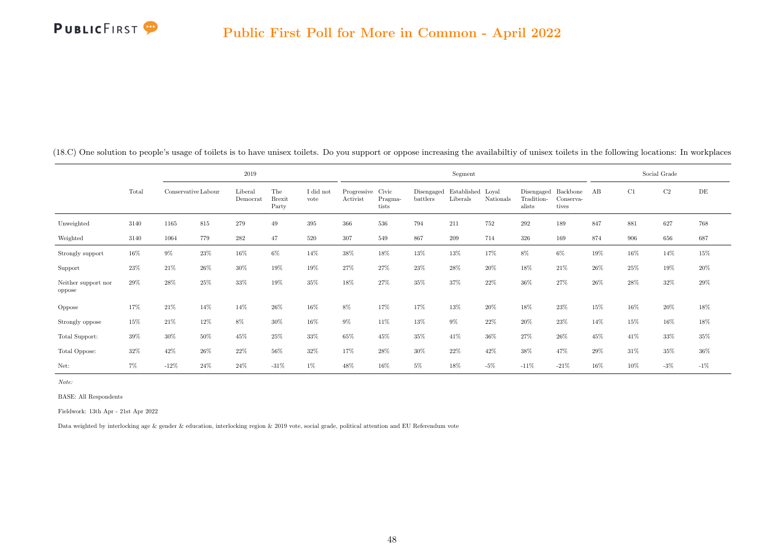|                               |       |                     |        | 2019                |                               |                   |                               |                  |          | Segment                                  |           |                                             |                    |        |      | Social Grade |        |
|-------------------------------|-------|---------------------|--------|---------------------|-------------------------------|-------------------|-------------------------------|------------------|----------|------------------------------------------|-----------|---------------------------------------------|--------------------|--------|------|--------------|--------|
|                               | Total | Conservative Labour |        | Liberal<br>Democrat | The<br><b>Brexit</b><br>Party | I did not<br>vote | Progressive Civic<br>Activist | Pragma-<br>tists | battlers | Disengaged Established Loyal<br>Liberals | Nationals | Disengaged Backbone<br>Tradition-<br>alists | Conserva-<br>tives | AB     | C1   | C2           | DE     |
| Unweighted                    | 3140  | 1165                | 815    | 279                 | 49                            | 395               | 366                           | 536              | 794      | 211                                      | 752       | 292                                         | 189                | 847    | 881  | 627          | 768    |
| Weighted                      | 3140  | 1064                | 779    | 282                 | 47                            | 520               | 307                           | 549              | 867      | 209                                      | 714       | 326                                         | 169                | 874    | 906  | 656          | 687    |
| Strongly support              | 16%   | $9\%$               | 23%    | 16%                 | 6%                            | 14%               | 38%                           | 18%              | 13%      | 13%                                      | 17%       | 8%                                          | $6\%$              | 19%    | 16%  | 14%          | 15%    |
| Support                       | 23%   | 21%                 | 26\%   | 30%                 | 19%                           | 19%               | 27%                           | 27%              | 23%      | 28%                                      | 20%       | 18%                                         | 21%                | $26\%$ | 25%  | 19%          | 20%    |
| Neither support nor<br>oppose | 29%   | 28%                 | $25\%$ | 33%                 | 19%                           | 35%               | 18%                           | 27%              | 35%      | 37%                                      | 22%       | 36%                                         | 27%                | 26%    | 28%  | 32%          | 29%    |
| Oppose                        | 17%   | 21\%                | 14%    | 14%                 | 26%                           | 16%               | 8%                            | 17%              | 17%      | 13%                                      | 20%       | 18%                                         | 23%                | 15%    | 16%  | 20%          | 18%    |
| Strongly oppose               | 15%   | 21%                 | 12%    | 8%                  | 30%                           | 16%               | 9%                            | 11%              | 13%      | $9\%$                                    | 22\%      | 20%                                         | 23%                | 14%    | 15%  | 16%          | 18%    |
| Total Support:                | 39%   | 30%                 | 50%    | 45%                 | 25%                           | 33%               | 65%                           | 45%              | 35%      | 41\%                                     | 36%       | 27%                                         | 26%                | 45%    | 41\% | 33%          | 35%    |
| Total Oppose:                 | 32%   | 42%                 | 26\%   | 22\%                | 56%                           | 32%               | 17%                           | $28\%$           | 30%      | 22%                                      | 42\%      | 38%                                         | 47%                | 29%    | 31\% | 35%          | 36%    |
| Net:                          | 7%    | $-12%$              | 24%    | 24\%                | $-31%$                        | $1\%$             | 48%                           | 16%              | $5\%$    | 18%                                      | $-5%$     | $-11%$                                      | $-21%$             | 16%    | 10%  | $-3\%$       | $-1\%$ |

(18.C) One solution to people's usage of toilets is to have unisex toilets. Do you support or oppose increasing the availabiltiy of unisex toilets in the following locations: In workplaces

Note:

BASE: All Respondents

Fieldwork: 13th Apr - 21st Apr 2022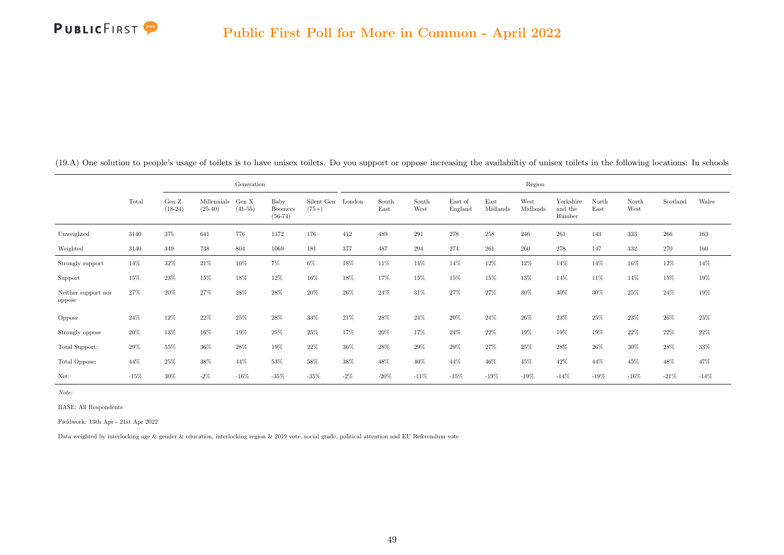|                               |        |                              |                          | Generation         |                                     |                       |        |               |               |                    |                  | Region           |                                |               |               |          |         |
|-------------------------------|--------|------------------------------|--------------------------|--------------------|-------------------------------------|-----------------------|--------|---------------|---------------|--------------------|------------------|------------------|--------------------------------|---------------|---------------|----------|---------|
|                               | Total  | Gen $\mathbf Z$<br>$(18-24)$ | Millennials<br>$(25-40)$ | Gen X<br>$(41-55)$ | Baby<br><b>Boomers</b><br>$(56-74)$ | Silent Gen<br>$(75+)$ | London | South<br>East | South<br>West | East of<br>England | East<br>Midlands | West<br>Midlands | Yorkshire<br>and the<br>Humber | North<br>East | North<br>West | Scotland | Wales   |
| Unweighted                    | 3140   | 375                          | 641                      | 776                | 1172                                | 176                   | 412    | 489           | 291           | 278                | 258              | 246              | 261                            | 143           | 333           | 266      | 163     |
| Weighted                      | 3140   | 349                          | 738                      | 804                | 1069                                | 181                   | 377    | 487           | 294           | 274                | 261              | 260              | 278                            | 147           | 332           | 270      | 160     |
| Strongly support              | 14%    | 32%                          | 21\%                     | 10%                | $7\%$                               | $6\%$                 | 18%    | 11%           | 14%           | 14%                | 12%              | 12%              | 14%                            | 14%           | 16%           | 12%      | 14%     |
| Support                       | 15%    | 23%                          | 15%                      | 18%                | 12%                                 | 16%                   | 18%    | 17%           | 15%           | 15%                | 15%              | 13%              | 14%                            | 11%           | 14%           | 15%      | $19\%$  |
| Neither support nor<br>oppose | 27%    | 20%                          | 27%                      | 28%                | 28%                                 | 20%                   | 26%    | 24%           | 31%           | 27%                | 27%              | $30\%$           | 30%                            | $30\%$        | 25%           | 24%      | 19%     |
| Oppose                        | 24%    | 12%                          | 22\%                     | 25%                | 28%                                 | 33%                   | 21\%   | 28%           | 24%           | $20\%$             | 24%              | 26%              | 23%                            | $25\%$        | 23%           | 26%      | $25\%$  |
| Strongly oppose               | 20%    | 13%                          | 16%                      | 19%                | 25%                                 | 25%                   | 17%    | $20\%$        | 17%           | 24%                | 22%              | 19%              | 19%                            | 19%           | 22%           | 22%      | $22\%$  |
| Total Support:                | 29%    | 55%                          | 36%                      | 28\%               | 19%                                 | 22%                   | 36%    | 28%           | 29%           | 29%                | 27%              | $25\%$           | 28%                            | 26%           | 30%           | $28\%$   | 33%     |
| Total Oppose:                 | 44%    | 25%                          | 38%                      | 44%                | 53%                                 | 58%                   | 38%    | 48%           | 40%           | 44%                | 46%              | 45%              | 42\%                           | 44%           | 45%           | 48%      | 47%     |
| Net:                          | $-15%$ | 30%                          | $-2\%$                   | $-16\%$            | $-35%$                              | $-35\%$               | $-2\%$ | $-20\%$       | $-11%$        | $-15%$             | $-19%$           | $-19\%$          | $-14%$                         | $-19%$        | $-16\%$       | $-21\%$  | $-14\%$ |

<span id="page-57-0"></span>(19.A) One solution to people's usage of toilets is to have unisex toilets. Do you support or oppose increasing the availabiltiy of unisex toilets in the following locations: In schools

Note:

BASE: All Respondents

Fieldwork: 13th Apr - 21st Apr 2022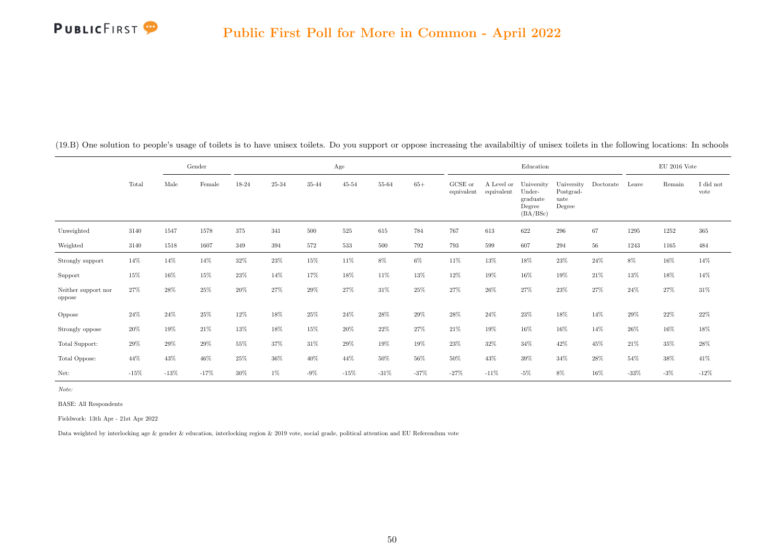

|                               |         |         | Gender |        |        |        | Age       |                |        |                       |                          | Education                                              |                                           |           |        | $\mathrm{EU}$ 2016 Vote |                               |
|-------------------------------|---------|---------|--------|--------|--------|--------|-----------|----------------|--------|-----------------------|--------------------------|--------------------------------------------------------|-------------------------------------------|-----------|--------|-------------------------|-------------------------------|
|                               | Total   | Male    | Female | 18-24  | 25-34  | 35-44  | $45 - 54$ | $55\mbox{-}64$ | $65+$  | GCSE or<br>equivalent | A Level or<br>equivalent | University<br>Under-<br>graduate<br>Degree<br>(BA/BSc) | University<br>Postgrad-<br>uate<br>Degree | Doctorate | Leave  | Remain                  | $\rm I$ did $\rm not$<br>vote |
| Unweighted                    | 3140    | 1547    | 1578   | 375    | 341    | 500    | $525\,$   | 615            | 784    | 767                   | 613                      | 622                                                    | 296                                       | 67        | 1295   | 1252                    | $365\,$                       |
| Weighted                      | 3140    | 1518    | 1607   | 349    | 394    | 572    | 533       | $500\,$        | 792    | 793                   | 599                      | 607                                                    | 294                                       | $56\,$    | 1243   | 1165                    | 484                           |
| Strongly support              | 14%     | 14%     | 14%    | $32\%$ | $23\%$ | 15%    | 11%       | $8\%$          | $6\%$  | 11%                   | 13%                      | 18%                                                    | 23%                                       | 24\%      | 8%     | 16%                     | 14%                           |
| Support                       | 15%     | 16%     | 15%    | $23\%$ | 14%    | 17%    | 18%       | 11%            | 13%    | $12\%$                | 19%                      | 16%                                                    | 19%                                       | 21\%      | 13%    | 18%                     | 14%                           |
| Neither support nor<br>oppose | 27%     | 28%     | 25%    | $20\%$ | $27\%$ | $29\%$ | 27%       | $31\%$         | $25\%$ | $27\%$                | $26\%$                   | 27%                                                    | $23\%$                                    | $27\%$    | $24\%$ | $27\%$                  | 31%                           |
| Oppose                        | 24%     | 24\%    | 25%    | 12%    | 18%    | 25%    | 24%       | 28%            | 29%    | 28%                   | 24%                      | 23%                                                    | 18%                                       | 14%       | 29%    | 22%                     | $22\%$                        |
| Strongly oppose               | $20\%$  | 19%     | 21%    | 13%    | $18\%$ | 15%    | $20\%$    | $22\%$         | 27%    | $21\%$                | 19%                      | 16%                                                    | 16%                                       | 14%       | 26%    | 16%                     | 18%                           |
| Total Support:                | $29\%$  | $29\%$  | 29%    | 55%    | 37%    | $31\%$ | $29\%$    | $19\%$         | $19\%$ | $23\%$                | 32%                      | 34%                                                    | 42%                                       | 45%       | $21\%$ | 35%                     | $28\%$                        |
| Total Oppose:                 | 44%     | 43%     | 46%    | 25%    | 36%    | 40%    | 44%       | $50\%$         | 56%    | $50\%$                | 43%                      | 39%                                                    | 34%                                       | $28\%$    | 54%    | 38%                     | 41\%                          |
| Net:                          | $-15\%$ | $-13\%$ | $-17%$ | $30\%$ | $1\%$  | $-9\%$ | $-15%$    | $-31%$         | $-37%$ | $-27%$                | $-11\%$                  | $-5%$                                                  | 8%                                        | 16%       | $-33%$ | $-3\%$                  | $-12\%$                       |

(19.B) One solution to people's usage of toilets is to have unisex toilets. Do you support or oppose increasing the availabiltiy of unisex toilets in the following locations: In schools

Note:

BASE: All Respondents

Fieldwork: 13th Apr - 21st Apr 2022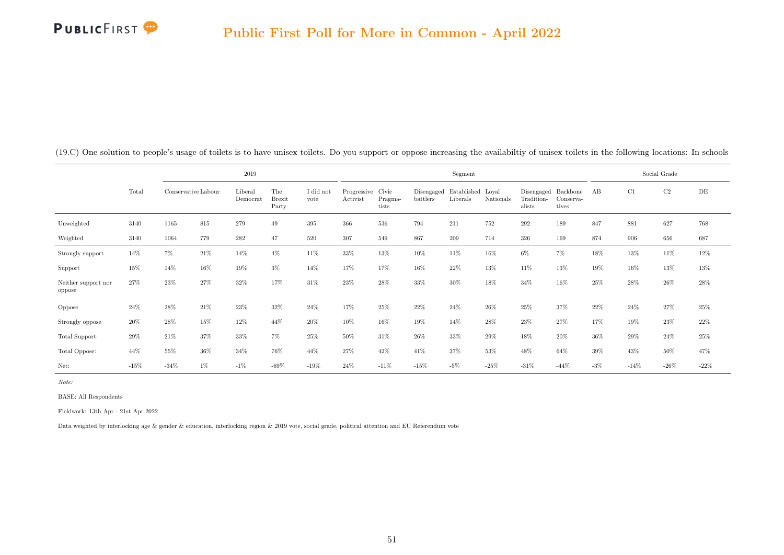|                               |        |                     |       | 2019                |                               |                   |                               |                  |          | Segment                                  |           |                                             |                    |       |        | Social Grade |        |
|-------------------------------|--------|---------------------|-------|---------------------|-------------------------------|-------------------|-------------------------------|------------------|----------|------------------------------------------|-----------|---------------------------------------------|--------------------|-------|--------|--------------|--------|
|                               | Total  | Conservative Labour |       | Liberal<br>Democrat | The<br><b>Brexit</b><br>Party | I did not<br>vote | Progressive Civic<br>Activist | Pragma-<br>tists | battlers | Disengaged Established Loyal<br>Liberals | Nationals | Disengaged Backbone<br>Tradition-<br>alists | Conserva-<br>tives | AB    | C1     | $\rm C2$     | DE     |
| Unweighted                    | 3140   | 1165                | 815   | 279                 | 49                            | 395               | 366                           | 536              | 794      | 211                                      | 752       | 292                                         | 189                | 847   | 881    | 627          | 768    |
| Weighted                      | 3140   | 1064                | 779   | 282                 | 47                            | 520               | 307                           | 549              | 867      | 209                                      | 714       | 326                                         | 169                | 874   | 906    | 656          | 687    |
| Strongly support              | 14%    | 7%                  | 21\%  | 14%                 | $4\%$                         | 11%               | 33%                           | 13%              | 10%      | 11%                                      | 16%       | 6%                                          | $7\%$              | 18%   | 13%    | 11%          | 12%    |
| Support                       | 15%    | 14%                 | 16%   | 19%                 | $3\%$                         | 14%               | 17%                           | 17%              | 16%      | $22\%$                                   | 13%       | 11%                                         | 13%                | 19%   | 16%    | 13%          | 13%    |
| Neither support nor<br>oppose | 27%    | 23%                 | 27%   | 32%                 | 17%                           | 31%               | 23%                           | 28%              | 33%      | 30%                                      | 18%       | 34%                                         | 16%                | 25%   | 28%    | 26\%         | 28%    |
| Oppose                        | 24%    | 28\%                | 21\%  | 23%                 | 32%                           | 24%               | 17%                           | 25%              | 22%      | 24\%                                     | 26%       | 25%                                         | 37%                | 22%   | 24%    | 27%          | 25%    |
| Strongly oppose               | $20\%$ | 28\%                | 15%   | 12%                 | 44%                           | 20%               | 10%                           | 16%              | 19%      | 14%                                      | 28%       | 23%                                         | 27%                | 17%   | 19%    | 23%          | 22%    |
| Total Support:                | 29%    | 21\%                | 37%   | 33%                 | 7%                            | 25%               | 50%                           | 31%              | 26%      | 33%                                      | 29%       | 18%                                         | 20%                | 36%   | 29%    | 24%          | 25%    |
| Total Oppose:                 | 44%    | 55%                 | 36%   | 34%                 | 76%                           | 44%               | 27%                           | 42%              | 41%      | 37%                                      | 53%       | 48%                                         | 64%                | 39%   | 43%    | 50%          | 47%    |
| Net:                          | $-15%$ | $-34%$              | $1\%$ | $-1\%$              | $-69%$                        | $-19%$            | 24%                           | $-11%$           | $-15%$   | $-5%$                                    | $-25%$    | $-31%$                                      | $-44%$             | $-3%$ | $-14%$ | $-26%$       | $-22%$ |

(19.C) One solution to people's usage of toilets is to have unisex toilets. Do you support or oppose increasing the availabiltiy of unisex toilets in the following locations: In schools

Note:

BASE: All Respondents

Fieldwork: 13th Apr - 21st Apr 2022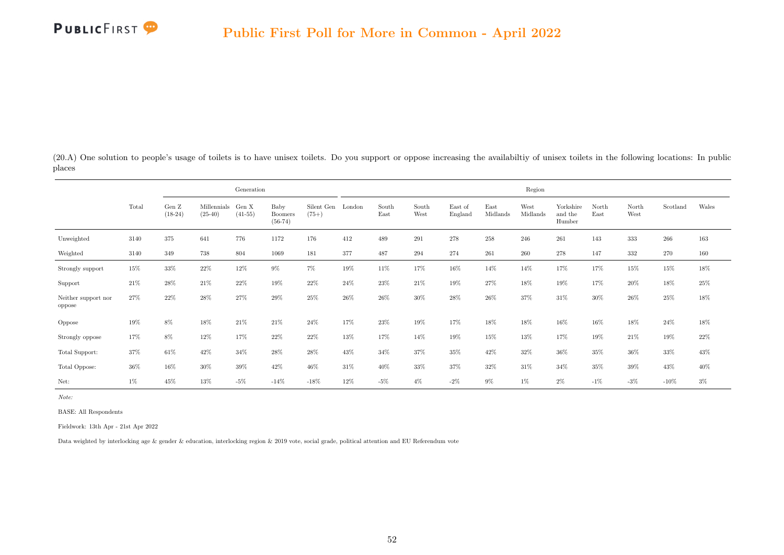<span id="page-60-0"></span>(20.A) One solution to people's usage of toilets is to have unisex toilets. Do you support or oppose increasing the availabiltiy of unisex toilets in the following locations: In public places

|                               |       |                              |                          | Generation         |                              |                       |        |               |               |                    |                  | Region           |                                |               |               |          |        |
|-------------------------------|-------|------------------------------|--------------------------|--------------------|------------------------------|-----------------------|--------|---------------|---------------|--------------------|------------------|------------------|--------------------------------|---------------|---------------|----------|--------|
|                               | Total | Gen $\mathbf Z$<br>$(18-24)$ | Millennials<br>$(25-40)$ | Gen X<br>$(41-55)$ | Baby<br>Boomers<br>$(56-74)$ | Silent Gen<br>$(75+)$ | London | South<br>East | South<br>West | East of<br>England | East<br>Midlands | West<br>Midlands | Yorkshire<br>and the<br>Humber | North<br>East | North<br>West | Scotland | Wales  |
| Unweighted                    | 3140  | 375                          | 641                      | 776                | 1172                         | 176                   | 412    | 489           | 291           | 278                | 258              | 246              | 261                            | 143           | 333           | 266      | 163    |
| Weighted                      | 3140  | 349                          | 738                      | 804                | 1069                         | 181                   | 377    | 487           | 294           | 274                | 261              | 260              | 278                            | 147           | 332           | 270      | 160    |
| Strongly support              | 15%   | 33%                          | $22\%$                   | $12\%$             | $9\%$                        | $7\%$                 | 19%    | 11%           | 17%           | 16%                | 14%              | 14%              | 17%                            | 17%           | 15%           | 15%      | 18%    |
| Support                       | 21%   | 28%                          | 21\%                     | $22\%$             | 19%                          | $22\%$                | 24%    | $23\%$        | 21%           | 19%                | 27%              | 18%              | 19%                            | 17%           | $20\%$        | 18%      | 25%    |
| Neither support nor<br>oppose | 27%   | 22%                          | 28%                      | 27%                | 29%                          | 25%                   | 26%    | 26\%          | 30%           | 28%                | 26%              | 37%              | 31\%                           | 30%           | 26%           | $25\%$   | 18%    |
| Oppose                        | 19%   | $8\%$                        | 18%                      | 21\%               | 21\%                         | 24%                   | 17%    | $23\%$        | 19%           | 17%                | 18%              | 18%              | 16%                            | 16%           | 18%           | 24%      | 18%    |
| Strongly oppose               | 17%   | $8\%$                        | 12%                      | 17%                | 22%                          | 22%                   | 13%    | 17%           | 14%           | 19%                | 15%              | 13%              | 17%                            | 19%           | 21\%          | 19%      | $22\%$ |
| Total Support:                | 37%   | 61\%                         | 42%                      | 34\%               | 28%                          | 28%                   | 43%    | 34%           | 37%           | 35%                | 42%              | 32%              | 36%                            | 35%           | $36\%$        | 33%      | 43%    |
| Total Oppose:                 | 36%   | 16%                          | 30%                      | 39%                | 42\%                         | 46%                   | 31%    | 40%           | 33%           | 37%                | 32%              | 31%              | 34%                            | 35%           | $39\%$        | 43%      | $40\%$ |
| Net:                          | $1\%$ | 45%                          | 13%                      | $-5%$              | $-14%$                       | $-18%$                | 12%    | $-5%$         | $4\%$         | $-2\%$             | $9\%$            | $1\%$            | $2\%$                          | $-1%$         | $-3%$         | $-10%$   | $3\%$  |

Note:

BASE: All Respondents

Fieldwork: 13th Apr - 21st Apr 2022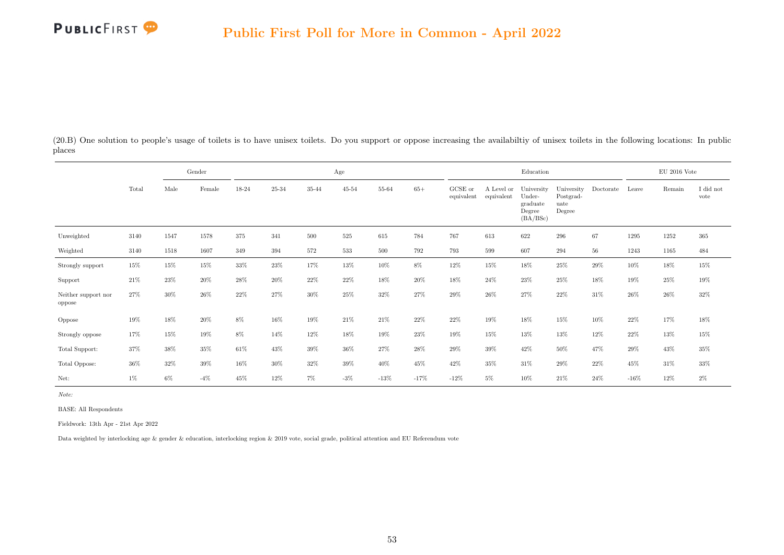

(20.B) One solution to people's usage of toilets is to have unisex toilets. Do you support or oppose increasing the availabiltiy of unisex toilets in the following locations: In public places

|                               |        |       | Gender |        |           |           | Age            |        |        |                       |                          | Education                                              |                                           |           |         | $\mathrm{EU}$ 2016 Vote |                   |
|-------------------------------|--------|-------|--------|--------|-----------|-----------|----------------|--------|--------|-----------------------|--------------------------|--------------------------------------------------------|-------------------------------------------|-----------|---------|-------------------------|-------------------|
|                               | Total  | Male  | Female | 18-24  | $25 - 34$ | $35 - 44$ | $45\hbox{-}54$ | 55-64  | $65+$  | GCSE or<br>equivalent | A Level or<br>equivalent | University<br>Under-<br>graduate<br>Degree<br>(BA/BSc) | University<br>Postgrad-<br>uate<br>Degree | Doctorate | Leave   | Remain                  | I did not<br>vote |
| Unweighted                    | 3140   | 1547  | 1578   | 375    | 341       | 500       | 525            | 615    | 784    | 767                   | 613                      | 622                                                    | 296                                       | 67        | 1295    | 1252                    | 365               |
| Weighted                      | 3140   | 1518  | 1607   | 349    | 394       | 572       | 533            | 500    | 792    | 793                   | 599                      | 607                                                    | 294                                       | 56        | 1243    | 1165                    | 484               |
| Strongly support              | 15%    | 15%   | 15%    | $33\%$ | $23\%$    | 17%       | 13%            | $10\%$ | 8%     | 12%                   | 15%                      | $18\%$                                                 | 25%                                       | 29%       | 10%     | $18\%$                  | $15\%$            |
| Support                       | 21\%   | 23%   | 20%    | 28%    | 20%       | 22%       | 22%            | 18%    | 20%    | 18%                   | 24%                      | 23%                                                    | 25%                                       | 18%       | 19%     | 25%                     | 19%               |
| Neither support nor<br>oppose | 27%    | 30%   | 26%    | 22%    | 27%       | 30%       | 25%            | 32%    | 27%    | 29%                   | $26\%$                   | 27%                                                    | 22\%                                      | 31%       | $26\%$  | 26%                     | 32%               |
| Oppose                        | 19%    | 18%   | $20\%$ | $8\%$  | 16%       | 19%       | 21\%           | 21\%   | 22%    | 22%                   | 19%                      | 18%                                                    | 15%                                       | 10%       | 22%     | 17%                     | $18\%$            |
| Strongly oppose               | 17%    | 15%   | $19\%$ | $8\%$  | 14%       | 12%       | 18%            | $19\%$ | $23\%$ | 19%                   | 15%                      | 13%                                                    | 13%                                       | 12%       | 22%     | $13\%$                  | $15\%$            |
| Total Support:                | $37\%$ | 38%   | 35%    | $61\%$ | 43%       | 39%       | 36%            | 27%    | 28%    | 29%                   | 39%                      | 42\%                                                   | 50%                                       | 47%       | $29\%$  | 43%                     | $35\%$            |
| Total Oppose:                 | $36\%$ | 32%   | 39%    | 16%    | 30%       | 32%       | 39%            | 40%    | 45%    | 42%                   | 35%                      | 31\%                                                   | 29%                                       | 22%       | 45%     | 31\%                    | 33%               |
| Net:                          | $1\%$  | $6\%$ | $-4\%$ | 45%    | 12%       | $7\%$     | $-3\%$         | $-13%$ | $-17%$ | $-12%$                | $5\%$                    | 10%                                                    | 21\%                                      | 24%       | $-16\%$ | 12%                     | 2%                |

Note:

BASE: All Respondents

Fieldwork: 13th Apr - 21st Apr 2022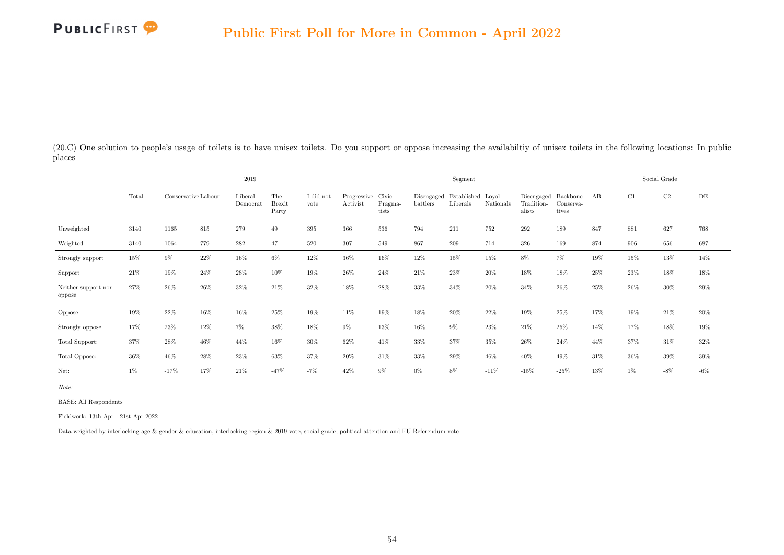(20.C) One solution to people's usage of toilets is to have unisex toilets. Do you support or oppose increasing the availabiltiy of unisex toilets in the following locations: In public places

|                               |        |                     |     | 2019                |                               |                   |                               |                  |                        | Segment                       |           |                                    |                                |      |       | Social Grade |        |
|-------------------------------|--------|---------------------|-----|---------------------|-------------------------------|-------------------|-------------------------------|------------------|------------------------|-------------------------------|-----------|------------------------------------|--------------------------------|------|-------|--------------|--------|
|                               | Total  | Conservative Labour |     | Liberal<br>Democrat | The<br><b>Brexit</b><br>Party | I did not<br>vote | Progressive Civic<br>Activist | Pragma-<br>tists | Disengaged<br>battlers | Established Loyal<br>Liberals | Nationals | Disengaged<br>Tradition-<br>alists | Backbone<br>Conserva-<br>tives | AB   | C1    | C2           | DE     |
| Unweighted                    | 3140   | 1165                | 815 | 279                 | 49                            | 395               | 366                           | 536              | 794                    | 211                           | 752       | 292                                | 189                            | 847  | 881   | 627          | 768    |
| Weighted                      | 3140   | 1064                | 779 | 282                 | 47                            | 520               | 307                           | 549              | 867                    | 209                           | 714       | 326                                | 169                            | 874  | 906   | 656          | 687    |
| Strongly support              | $15\%$ | $9\%$               | 22% | $16\%$              | $6\%$                         | 12%               | 36%                           | $16\%$           | 12%                    | 15%                           | 15%       | $8\%$                              | $7\%$                          | 19%  | 15%   | 13%          | 14%    |
| Support                       | 21\%   | 19%                 | 24% | 28%                 | 10%                           | 19%               | $26\%$                        | 24\%             | $21\%$                 | 23%                           | 20%       | 18%                                | 18%                            | 25%  | 23%   | 18%          | 18%    |
| Neither support nor<br>oppose | 27%    | 26\%                | 26% | 32%                 | 21\%                          | 32%               | 18%                           | 28%              | 33%                    | 34%                           | 20%       | 34%                                | $26\%$                         | 25%  | 26%   | 30%          | 29%    |
| Oppose                        | 19%    | 22%                 | 16% | 16%                 | 25%                           | 19%               | 11%                           | 19%              | 18%                    | 20%                           | 22%       | 19%                                | 25%                            | 17%  | 19%   | 21%          | $20\%$ |
| Strongly oppose               | 17%    | $23\%$              | 12% | 7%                  | 38%                           | 18%               | $9\%$                         | 13%              | 16%                    | $9\%$                         | 23%       | 21\%                               | 25%                            | 14%  | 17%   | 18%          | 19%    |
| Total Support:                | 37%    | $28\%$              | 46% | 44%                 | 16%                           | 30%               | 62%                           | 41\%             | 33%                    | 37%                           | 35%       | $26\%$                             | 24%                            | 44%  | 37%   | 31\%         | 32%    |
| Total Oppose:                 | 36%    | 46%                 | 28% | 23%                 | 63%                           | 37%               | 20%                           | 31\%             | 33%                    | 29%                           | 46%       | 40%                                | 49%                            | 31\% | 36%   | 39%          | 39%    |
| Net:                          | $1\%$  | $-17\%$             | 17% | 21\%                | $-47%$                        | $-7%$             | 42%                           | $9\%$            | $0\%$                  | $8\%$                         | $-11\%$   | $-15\%$                            | $-25%$                         | 13%  | $1\%$ | $-8\%$       | $-6\%$ |

Note:

BASE: All Respondents

Fieldwork: 13th Apr - 21st Apr 2022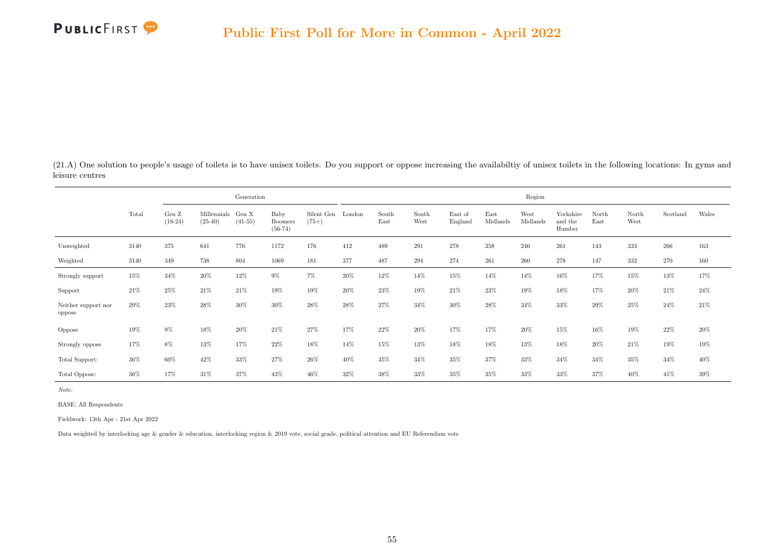<span id="page-63-0"></span>(21.A) One solution to people's usage of toilets is to have unisex toilets. Do you support or oppose increasing the availabiltiy of unisex toilets in the following locations: In gyms and leisure centres

|                               |       |                              |                          | Generation         |                                     |                       | Region |               |               |                    |                  |                  |                                |               |               |          |        |  |
|-------------------------------|-------|------------------------------|--------------------------|--------------------|-------------------------------------|-----------------------|--------|---------------|---------------|--------------------|------------------|------------------|--------------------------------|---------------|---------------|----------|--------|--|
|                               | Total | Gen $\mathbf Z$<br>$(18-24)$ | Millennials<br>$(25-40)$ | Gen X<br>$(41-55)$ | Baby<br><b>Boomers</b><br>$(56-74)$ | Silent Gen<br>$(75+)$ | London | South<br>East | South<br>West | East of<br>England | East<br>Midlands | West<br>Midlands | Yorkshire<br>and the<br>Humber | North<br>East | North<br>West | Scotland | Wales  |  |
| Unweighted                    | 3140  | 375                          | 641                      | 776                | 1172                                | 176                   | 412    | 489           | 291           | 278                | 258              | 246              | 261                            | 143           | 333           | 266      | 163    |  |
| Weighted                      | 3140  | 349                          | 738                      | 804                | 1069                                | 181                   | 377    | 487           | 294           | 274                | 261              | 260              | 278                            | 147           | 332           | 270      | 160    |  |
| Strongly support              | 15%   | 34%                          | 20%                      | $12\%$             | $9\%$                               | 7%                    | 20%    | 12%           | 14%           | 15%                | 14%              | 14%              | 16%                            | 17%           | 15%           | 13%      | 17%    |  |
| Support                       | 21%   | 25%                          | 21%                      | $21\%$             | 19%                                 | 19%                   | 20%    | $23\%$        | 19%           | 21%                | 23%              | 19%              | 18%                            | 17%           | 20%           | 21\%     | 24\%   |  |
| Neither support nor<br>oppose | 29%   | 23%                          | 28%                      | 30%                | 30%                                 | 28%                   | 28%    | 27%           | 34%           | 30%                | 28%              | 34%              | 33%                            | 29%           | 25%           | 24%      | 21\%   |  |
| Oppose                        | 19%   | $9\%$                        | 18%                      | $20\%$             | $21\%$                              | 27%                   | 17%    | $22\%$        | 20%           | 17%                | 17%              | 20%              | 15%                            | 16%           | 19%           | 22%      | $20\%$ |  |
| Strongly oppose               | 17%   | 8%                           | 13%                      | 17%                | $22\%$                              | $18\%$                | 14%    | 15%           | 13%           | 18%                | 18%              | 13%              | 18%                            | 20%           | 21%           | 19%      | 19%    |  |
| Total Support:                | 36%   | 60%                          | 42%                      | $33\%$             | 27%                                 | 26%                   | 40%    | 35%           | 34%           | 35%                | 37%              | 33%              | 34%                            | 34%           | 35%           | 34%      | $40\%$ |  |
| Total Oppose:                 | 36%   | 17%                          | 31%                      | 37%                | 43%                                 | 46%                   | 32%    | $38\%$        | 33%           | 35%                | 35%              | 33%              | 33%                            | 37%           | 40%           | 41%      | 39%    |  |

Note:

BASE: All Respondents

Fieldwork: 13th Apr - 21st Apr 2022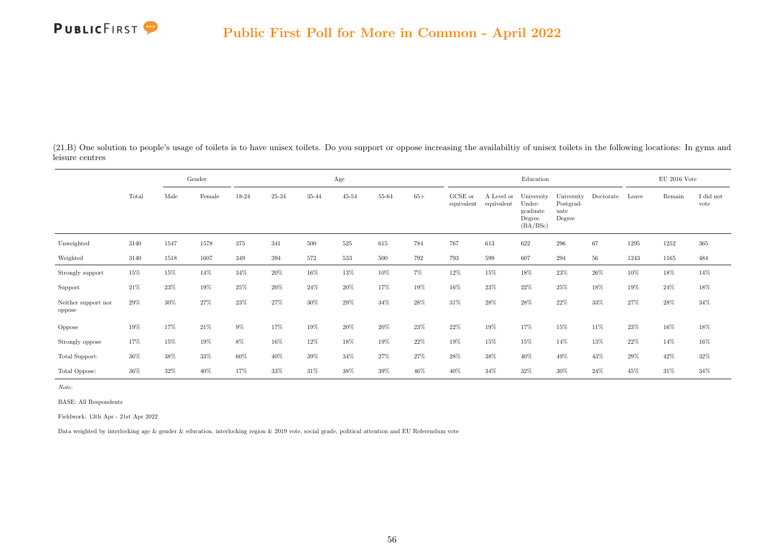

(21.B) One solution to people's usage of toilets is to have unisex toilets. Do you support or oppose increasing the availabiltiy of unisex toilets in the following locations: In gyms and leisure centres

|                               |        |      | Gender | Age    |        |        |           |        |       |                       |                          | Education                                              |                                           | $EU$ 2016 Vote |       |        |                   |
|-------------------------------|--------|------|--------|--------|--------|--------|-----------|--------|-------|-----------------------|--------------------------|--------------------------------------------------------|-------------------------------------------|----------------|-------|--------|-------------------|
|                               | Total  | Male | Female | 18-24  | 25-34  | 35-44  | $45 - 54$ | 55-64  | $65+$ | GCSE or<br>equivalent | A Level or<br>equivalent | University<br>Under-<br>graduate<br>Degree<br>(BA/BSc) | University<br>Postgrad-<br>uate<br>Degree | Doctorate      | Leave | Remain | I did not<br>vote |
| Unweighted                    | 3140   | 1547 | 1578   | 375    | 341    | 500    | $525\,$   | 615    | 784   | 767                   | 613                      | 622                                                    | 296                                       | 67             | 1295  | 1252   | 365               |
| Weighted                      | 3140   | 1518 | 1607   | 349    | 394    | 572    | 533       | 500    | 792   | 793                   | 599                      | 607                                                    | 294                                       | 56             | 1243  | 1165   | 484               |
| Strongly support              | 15%    | 15%  | 14%    | 34\%   | $20\%$ | $16\%$ | 13%       | $10\%$ | $7\%$ | $12\%$                | 15%                      | 18%                                                    | 23%                                       | 26\%           | 10%   | 18%    | 14%               |
| Support                       | 21%    | 23%  | 19%    | $25\%$ | 20%    | 24%    | 20%       | 17%    | 19%   | 16%                   | 23%                      | 22%                                                    | $25\%$                                    | 18%            | 19%   | 24%    | 18%               |
| Neither support nor<br>oppose | 29%    | 30%  | 27%    | 23%    | 27%    | 30%    | 29%       | 34%    | 28%   | 31%                   | 28%                      | 28%                                                    | 22\%                                      | 33%            | 27%   | 28%    | 34%               |
| Oppose                        | 19%    | 17%  | 21\%   | 9%     | 17%    | 19%    | 20%       | 20%    | 23%   | 22%                   | 19%                      | 17%                                                    | 15%                                       | 11\%           | 23%   | 16%    | 18%               |
| Strongly oppose               | 17%    | 15%  | 19%    | $8\%$  | 16%    | 12%    | 18%       | 19%    | 22%   | 19%                   | 15%                      | 15%                                                    | 14%                                       | 13%            | 22%   | 14%    | $16\%$            |
| Total Support:                | $36\%$ | 38%  | 33%    | $60\%$ | $40\%$ | 39%    | 34%       | 27%    | 27%   | 28%                   | 38%                      | 40%                                                    | 49%                                       | $43\%$         | 29%   | 42%    | $32\%$            |
| Total Oppose:                 | $36\%$ | 32%  | 40%    | 17%    | 33%    | 31%    | 38%       | $39\%$ | 46%   | $40\%$                | 34%                      | $32\%$                                                 | 30%                                       | 24\%           | 45%   | 31%    | $34\%$            |

Note:

BASE: All Respondents

Fieldwork: 13th Apr - 21st Apr 2022